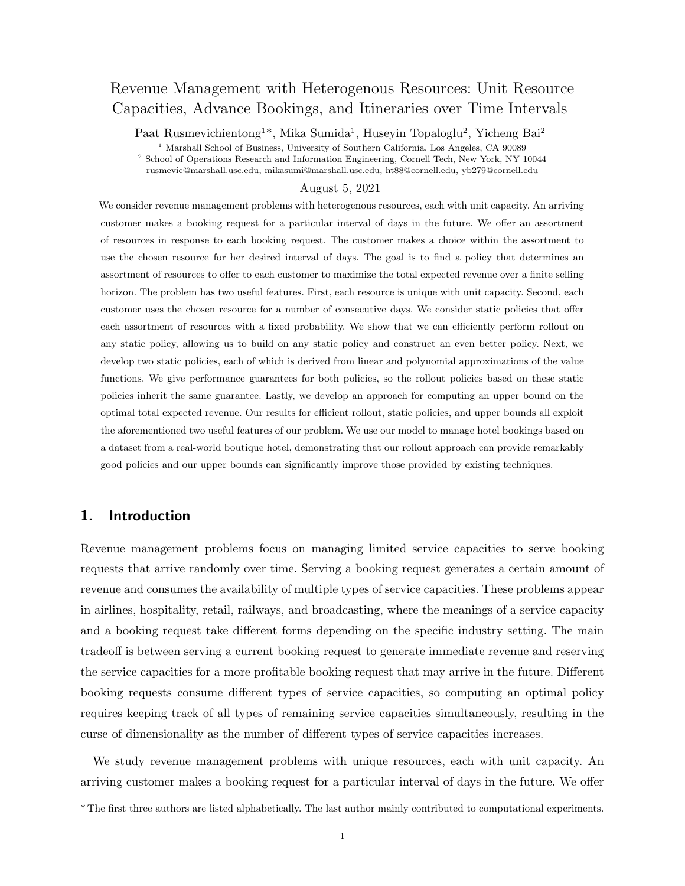# Revenue Management with Heterogenous Resources: Unit Resource Capacities, Advance Bookings, and Itineraries over Time Intervals

Paat Rusmevichientong<sup>1\*</sup>, Mika Sumida<sup>1</sup>, Huseyin Topaloglu<sup>2</sup>, Yicheng Bai<sup>2</sup>

<sup>1</sup> Marshall School of Business, University of Southern California, Los Angeles, CA 90089

<sup>2</sup> School of Operations Research and Information Engineering, Cornell Tech, New York, NY 10044 rusmevic@marshall.usc.edu, mikasumi@marshall.usc.edu, ht88@cornell.edu, yb279@cornell.edu

### August 5, 2021

We consider revenue management problems with heterogenous resources, each with unit capacity. An arriving customer makes a booking request for a particular interval of days in the future. We offer an assortment of resources in response to each booking request. The customer makes a choice within the assortment to use the chosen resource for her desired interval of days. The goal is to find a policy that determines an assortment of resources to offer to each customer to maximize the total expected revenue over a finite selling horizon. The problem has two useful features. First, each resource is unique with unit capacity. Second, each customer uses the chosen resource for a number of consecutive days. We consider static policies that offer each assortment of resources with a fixed probability. We show that we can efficiently perform rollout on any static policy, allowing us to build on any static policy and construct an even better policy. Next, we develop two static policies, each of which is derived from linear and polynomial approximations of the value functions. We give performance guarantees for both policies, so the rollout policies based on these static policies inherit the same guarantee. Lastly, we develop an approach for computing an upper bound on the optimal total expected revenue. Our results for efficient rollout, static policies, and upper bounds all exploit the aforementioned two useful features of our problem. We use our model to manage hotel bookings based on a dataset from a real-world boutique hotel, demonstrating that our rollout approach can provide remarkably good policies and our upper bounds can significantly improve those provided by existing techniques.

## 1. Introduction

Revenue management problems focus on managing limited service capacities to serve booking requests that arrive randomly over time. Serving a booking request generates a certain amount of revenue and consumes the availability of multiple types of service capacities. These problems appear in airlines, hospitality, retail, railways, and broadcasting, where the meanings of a service capacity and a booking request take different forms depending on the specific industry setting. The main tradeoff is between serving a current booking request to generate immediate revenue and reserving the service capacities for a more profitable booking request that may arrive in the future. Different booking requests consume different types of service capacities, so computing an optimal policy requires keeping track of all types of remaining service capacities simultaneously, resulting in the curse of dimensionality as the number of different types of service capacities increases.

We study revenue management problems with unique resources, each with unit capacity. An arriving customer makes a booking request for a particular interval of days in the future. We offer

\* The first three authors are listed alphabetically. The last author mainly contributed to computational experiments.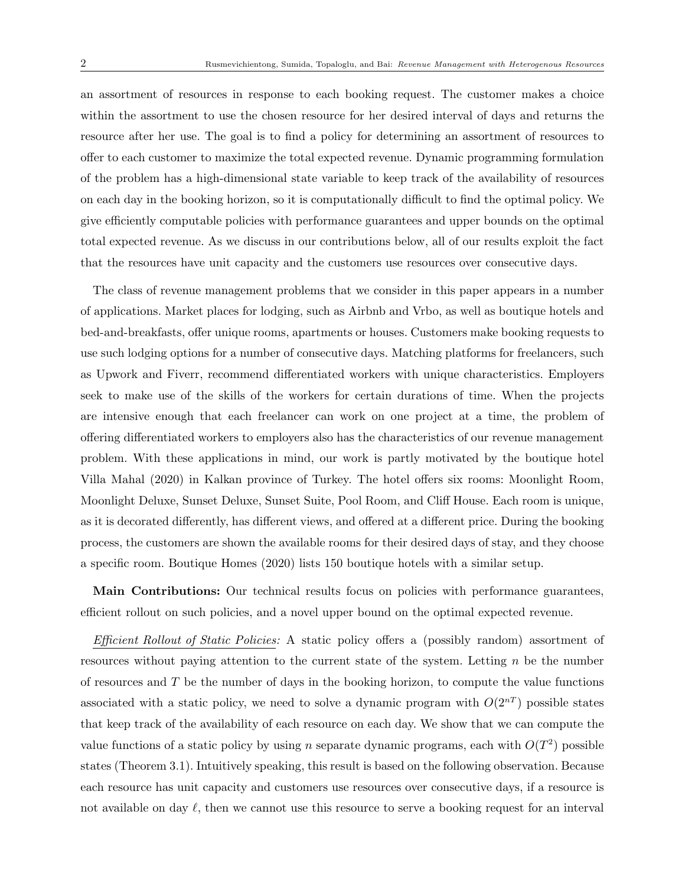an assortment of resources in response to each booking request. The customer makes a choice within the assortment to use the chosen resource for her desired interval of days and returns the resource after her use. The goal is to find a policy for determining an assortment of resources to offer to each customer to maximize the total expected revenue. Dynamic programming formulation of the problem has a high-dimensional state variable to keep track of the availability of resources on each day in the booking horizon, so it is computationally difficult to find the optimal policy. We give efficiently computable policies with performance guarantees and upper bounds on the optimal total expected revenue. As we discuss in our contributions below, all of our results exploit the fact that the resources have unit capacity and the customers use resources over consecutive days.

The class of revenue management problems that we consider in this paper appears in a number of applications. Market places for lodging, such as Airbnb and Vrbo, as well as boutique hotels and bed-and-breakfasts, offer unique rooms, apartments or houses. Customers make booking requests to use such lodging options for a number of consecutive days. Matching platforms for freelancers, such as Upwork and Fiverr, recommend differentiated workers with unique characteristics. Employers seek to make use of the skills of the workers for certain durations of time. When the projects are intensive enough that each freelancer can work on one project at a time, the problem of offering differentiated workers to employers also has the characteristics of our revenue management problem. With these applications in mind, our work is partly motivated by the boutique hotel Villa Mahal (2020) in Kalkan province of Turkey. The hotel offers six rooms: Moonlight Room, Moonlight Deluxe, Sunset Deluxe, Sunset Suite, Pool Room, and Cliff House. Each room is unique, as it is decorated differently, has different views, and offered at a different price. During the booking process, the customers are shown the available rooms for their desired days of stay, and they choose a specific room. Boutique Homes (2020) lists 150 boutique hotels with a similar setup.

Main Contributions: Our technical results focus on policies with performance guarantees, efficient rollout on such policies, and a novel upper bound on the optimal expected revenue.

Efficient Rollout of Static Policies: A static policy offers a (possibly random) assortment of resources without paying attention to the current state of the system. Letting  $n$  be the number of resources and  $T$  be the number of days in the booking horizon, to compute the value functions associated with a static policy, we need to solve a dynamic program with  $O(2^{nT})$  possible states that keep track of the availability of each resource on each day. We show that we can compute the value functions of a static policy by using n separate dynamic programs, each with  $O(T^2)$  possible states (Theorem 3.1). Intuitively speaking, this result is based on the following observation. Because each resource has unit capacity and customers use resources over consecutive days, if a resource is not available on day  $\ell$ , then we cannot use this resource to serve a booking request for an interval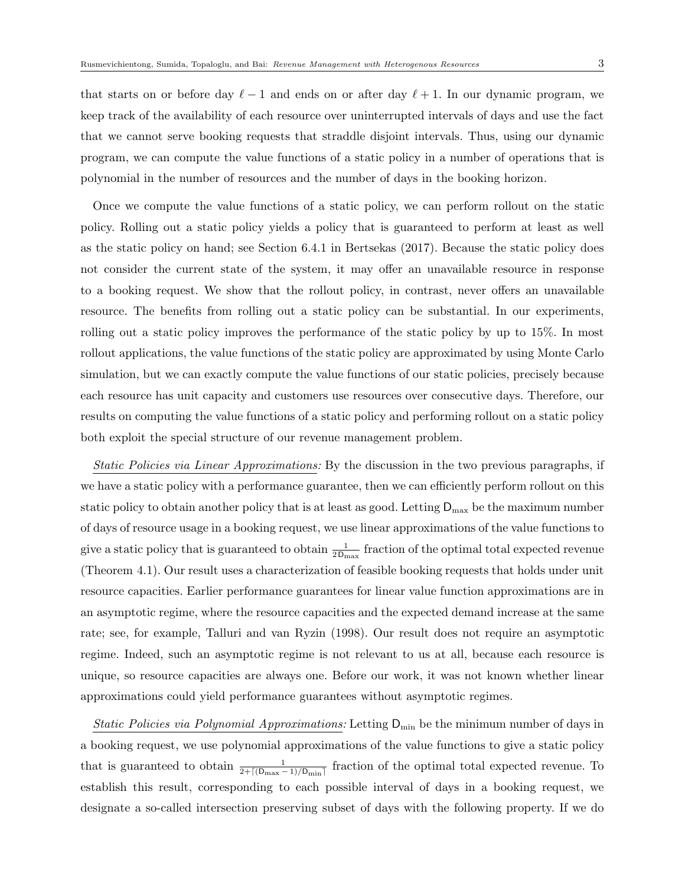that starts on or before day  $\ell - 1$  and ends on or after day  $\ell + 1$ . In our dynamic program, we keep track of the availability of each resource over uninterrupted intervals of days and use the fact that we cannot serve booking requests that straddle disjoint intervals. Thus, using our dynamic program, we can compute the value functions of a static policy in a number of operations that is polynomial in the number of resources and the number of days in the booking horizon.

Once we compute the value functions of a static policy, we can perform rollout on the static policy. Rolling out a static policy yields a policy that is guaranteed to perform at least as well as the static policy on hand; see Section 6.4.1 in Bertsekas (2017). Because the static policy does not consider the current state of the system, it may offer an unavailable resource in response to a booking request. We show that the rollout policy, in contrast, never offers an unavailable resource. The benefits from rolling out a static policy can be substantial. In our experiments, rolling out a static policy improves the performance of the static policy by up to 15%. In most rollout applications, the value functions of the static policy are approximated by using Monte Carlo simulation, but we can exactly compute the value functions of our static policies, precisely because each resource has unit capacity and customers use resources over consecutive days. Therefore, our results on computing the value functions of a static policy and performing rollout on a static policy both exploit the special structure of our revenue management problem.

Static Policies via Linear Approximations: By the discussion in the two previous paragraphs, if we have a static policy with a performance guarantee, then we can efficiently perform rollout on this static policy to obtain another policy that is at least as good. Letting  $D_{\text{max}}$  be the maximum number of days of resource usage in a booking request, we use linear approximations of the value functions to give a static policy that is guaranteed to obtain  $\frac{1}{2 \text{D}_{\text{max}}}$  fraction of the optimal total expected revenue (Theorem 4.1). Our result uses a characterization of feasible booking requests that holds under unit resource capacities. Earlier performance guarantees for linear value function approximations are in an asymptotic regime, where the resource capacities and the expected demand increase at the same rate; see, for example, Talluri and van Ryzin (1998). Our result does not require an asymptotic regime. Indeed, such an asymptotic regime is not relevant to us at all, because each resource is unique, so resource capacities are always one. Before our work, it was not known whether linear approximations could yield performance guarantees without asymptotic regimes.

Static Policies via Polynomial Approximations: Letting  $D_{\min}$  be the minimum number of days in a booking request, we use polynomial approximations of the value functions to give a static policy that is guaranteed to obtain  $\frac{1}{2+\lceil(\mathsf{D}_{\max}-1)/\mathsf{D}_{\min}\rceil}$  fraction of the optimal total expected revenue. To establish this result, corresponding to each possible interval of days in a booking request, we designate a so-called intersection preserving subset of days with the following property. If we do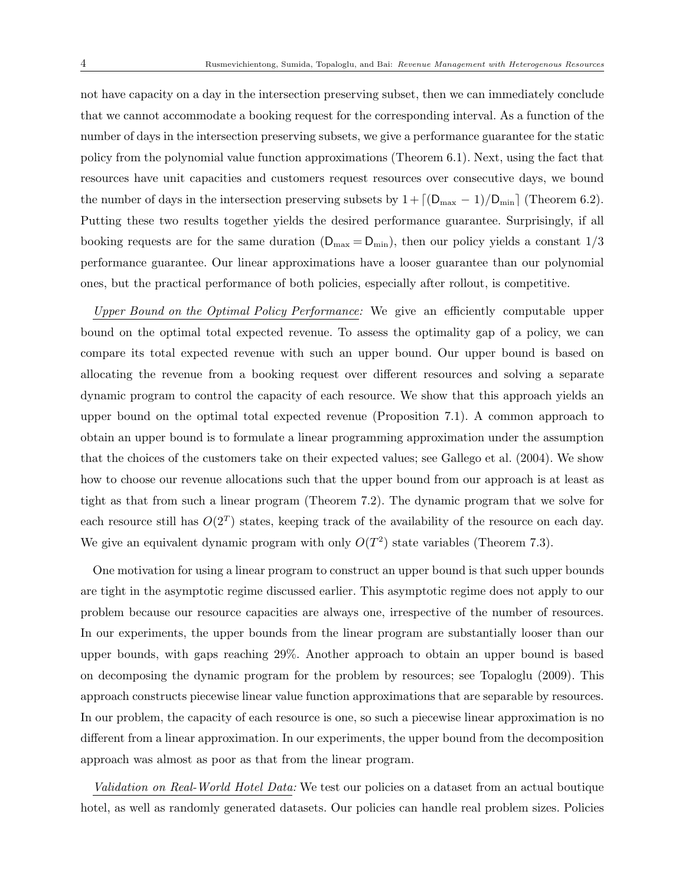not have capacity on a day in the intersection preserving subset, then we can immediately conclude that we cannot accommodate a booking request for the corresponding interval. As a function of the number of days in the intersection preserving subsets, we give a performance guarantee for the static policy from the polynomial value function approximations (Theorem 6.1). Next, using the fact that resources have unit capacities and customers request resources over consecutive days, we bound the number of days in the intersection preserving subsets by  $1 + \left[ \frac{D_{\text{max}} - 1}{D_{\text{min}}} \right]$  (Theorem 6.2). Putting these two results together yields the desired performance guarantee. Surprisingly, if all booking requests are for the same duration  $(D_{\text{max}} = D_{\text{min}})$ , then our policy yields a constant  $1/3$ performance guarantee. Our linear approximations have a looser guarantee than our polynomial ones, but the practical performance of both policies, especially after rollout, is competitive.

Upper Bound on the Optimal Policy Performance: We give an efficiently computable upper bound on the optimal total expected revenue. To assess the optimality gap of a policy, we can compare its total expected revenue with such an upper bound. Our upper bound is based on allocating the revenue from a booking request over different resources and solving a separate dynamic program to control the capacity of each resource. We show that this approach yields an upper bound on the optimal total expected revenue (Proposition 7.1). A common approach to obtain an upper bound is to formulate a linear programming approximation under the assumption that the choices of the customers take on their expected values; see Gallego et al. (2004). We show how to choose our revenue allocations such that the upper bound from our approach is at least as tight as that from such a linear program (Theorem 7.2). The dynamic program that we solve for each resource still has  $O(2^T)$  states, keeping track of the availability of the resource on each day. We give an equivalent dynamic program with only  $O(T^2)$  state variables (Theorem 7.3).

One motivation for using a linear program to construct an upper bound is that such upper bounds are tight in the asymptotic regime discussed earlier. This asymptotic regime does not apply to our problem because our resource capacities are always one, irrespective of the number of resources. In our experiments, the upper bounds from the linear program are substantially looser than our upper bounds, with gaps reaching 29%. Another approach to obtain an upper bound is based on decomposing the dynamic program for the problem by resources; see Topaloglu (2009). This approach constructs piecewise linear value function approximations that are separable by resources. In our problem, the capacity of each resource is one, so such a piecewise linear approximation is no different from a linear approximation. In our experiments, the upper bound from the decomposition approach was almost as poor as that from the linear program.

Validation on Real-World Hotel Data: We test our policies on a dataset from an actual boutique hotel, as well as randomly generated datasets. Our policies can handle real problem sizes. Policies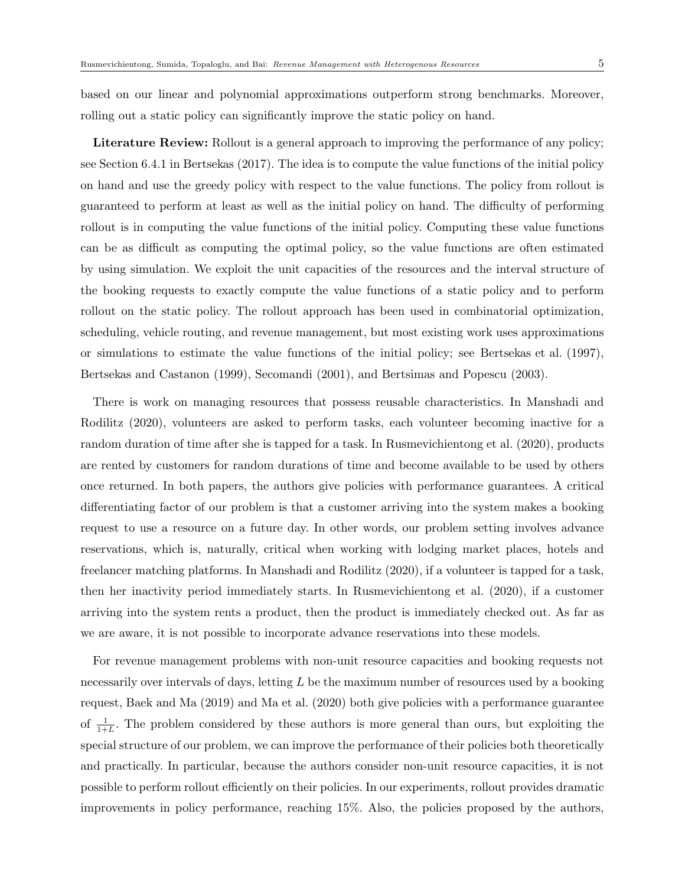based on our linear and polynomial approximations outperform strong benchmarks. Moreover, rolling out a static policy can significantly improve the static policy on hand.

Literature Review: Rollout is a general approach to improving the performance of any policy; see Section 6.4.1 in Bertsekas (2017). The idea is to compute the value functions of the initial policy on hand and use the greedy policy with respect to the value functions. The policy from rollout is guaranteed to perform at least as well as the initial policy on hand. The difficulty of performing rollout is in computing the value functions of the initial policy. Computing these value functions can be as difficult as computing the optimal policy, so the value functions are often estimated by using simulation. We exploit the unit capacities of the resources and the interval structure of the booking requests to exactly compute the value functions of a static policy and to perform rollout on the static policy. The rollout approach has been used in combinatorial optimization, scheduling, vehicle routing, and revenue management, but most existing work uses approximations or simulations to estimate the value functions of the initial policy; see Bertsekas et al. (1997), Bertsekas and Castanon (1999), Secomandi (2001), and Bertsimas and Popescu (2003).

There is work on managing resources that possess reusable characteristics. In Manshadi and Rodilitz (2020), volunteers are asked to perform tasks, each volunteer becoming inactive for a random duration of time after she is tapped for a task. In Rusmevichientong et al. (2020), products are rented by customers for random durations of time and become available to be used by others once returned. In both papers, the authors give policies with performance guarantees. A critical differentiating factor of our problem is that a customer arriving into the system makes a booking request to use a resource on a future day. In other words, our problem setting involves advance reservations, which is, naturally, critical when working with lodging market places, hotels and freelancer matching platforms. In Manshadi and Rodilitz (2020), if a volunteer is tapped for a task, then her inactivity period immediately starts. In Rusmevichientong et al. (2020), if a customer arriving into the system rents a product, then the product is immediately checked out. As far as we are aware, it is not possible to incorporate advance reservations into these models.

For revenue management problems with non-unit resource capacities and booking requests not necessarily over intervals of days, letting  $L$  be the maximum number of resources used by a booking request, Baek and Ma (2019) and Ma et al. (2020) both give policies with a performance guarantee of  $\frac{1}{1+L}$ . The problem considered by these authors is more general than ours, but exploiting the special structure of our problem, we can improve the performance of their policies both theoretically and practically. In particular, because the authors consider non-unit resource capacities, it is not possible to perform rollout efficiently on their policies. In our experiments, rollout provides dramatic improvements in policy performance, reaching 15%. Also, the policies proposed by the authors,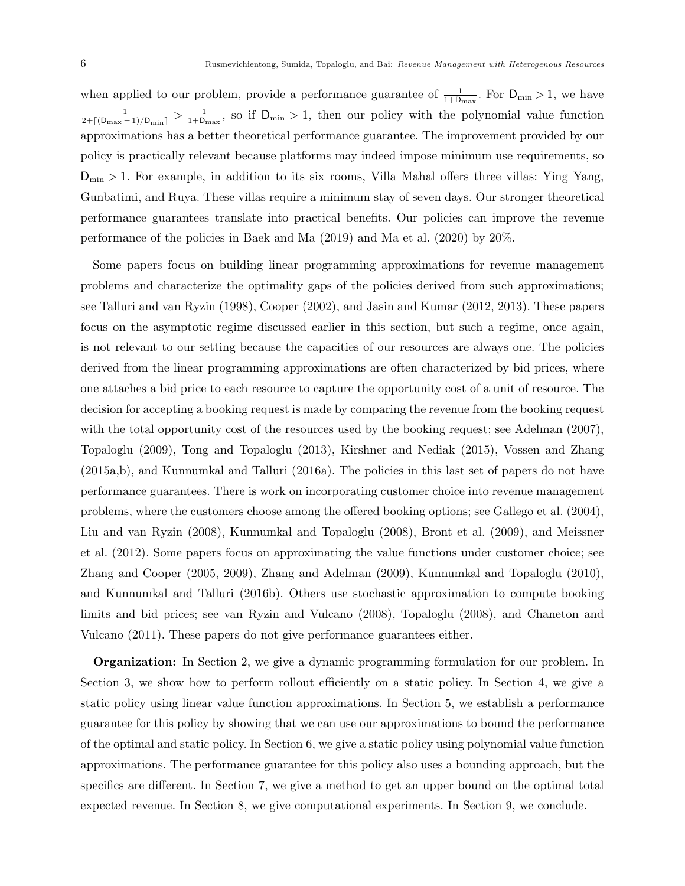when applied to our problem, provide a performance guarantee of  $\frac{1}{1+D_{\max}}$ . For  $D_{\min} > 1$ , we have  $\frac{1}{2 + \lceil (D_{\max} - 1)/D_{\min} \rceil} > \frac{1}{1 + D_1}$  $\frac{1}{1+D_{\max}}$ , so if  $D_{\min} > 1$ , then our policy with the polynomial value function approximations has a better theoretical performance guarantee. The improvement provided by our policy is practically relevant because platforms may indeed impose minimum use requirements, so  $D_{\min} > 1$ . For example, in addition to its six rooms, Villa Mahal offers three villas: Ying Yang, Gunbatimi, and Ruya. These villas require a minimum stay of seven days. Our stronger theoretical performance guarantees translate into practical benefits. Our policies can improve the revenue performance of the policies in Baek and Ma (2019) and Ma et al. (2020) by 20%.

Some papers focus on building linear programming approximations for revenue management problems and characterize the optimality gaps of the policies derived from such approximations; see Talluri and van Ryzin (1998), Cooper (2002), and Jasin and Kumar (2012, 2013). These papers focus on the asymptotic regime discussed earlier in this section, but such a regime, once again, is not relevant to our setting because the capacities of our resources are always one. The policies derived from the linear programming approximations are often characterized by bid prices, where one attaches a bid price to each resource to capture the opportunity cost of a unit of resource. The decision for accepting a booking request is made by comparing the revenue from the booking request with the total opportunity cost of the resources used by the booking request; see Adelman (2007), Topaloglu (2009), Tong and Topaloglu (2013), Kirshner and Nediak (2015), Vossen and Zhang (2015a,b), and Kunnumkal and Talluri (2016a). The policies in this last set of papers do not have performance guarantees. There is work on incorporating customer choice into revenue management problems, where the customers choose among the offered booking options; see Gallego et al. (2004), Liu and van Ryzin (2008), Kunnumkal and Topaloglu (2008), Bront et al. (2009), and Meissner et al. (2012). Some papers focus on approximating the value functions under customer choice; see Zhang and Cooper (2005, 2009), Zhang and Adelman (2009), Kunnumkal and Topaloglu (2010), and Kunnumkal and Talluri (2016b). Others use stochastic approximation to compute booking limits and bid prices; see van Ryzin and Vulcano (2008), Topaloglu (2008), and Chaneton and Vulcano (2011). These papers do not give performance guarantees either.

**Organization:** In Section 2, we give a dynamic programming formulation for our problem. In Section 3, we show how to perform rollout efficiently on a static policy. In Section 4, we give a static policy using linear value function approximations. In Section 5, we establish a performance guarantee for this policy by showing that we can use our approximations to bound the performance of the optimal and static policy. In Section 6, we give a static policy using polynomial value function approximations. The performance guarantee for this policy also uses a bounding approach, but the specifics are different. In Section 7, we give a method to get an upper bound on the optimal total expected revenue. In Section 8, we give computational experiments. In Section 9, we conclude.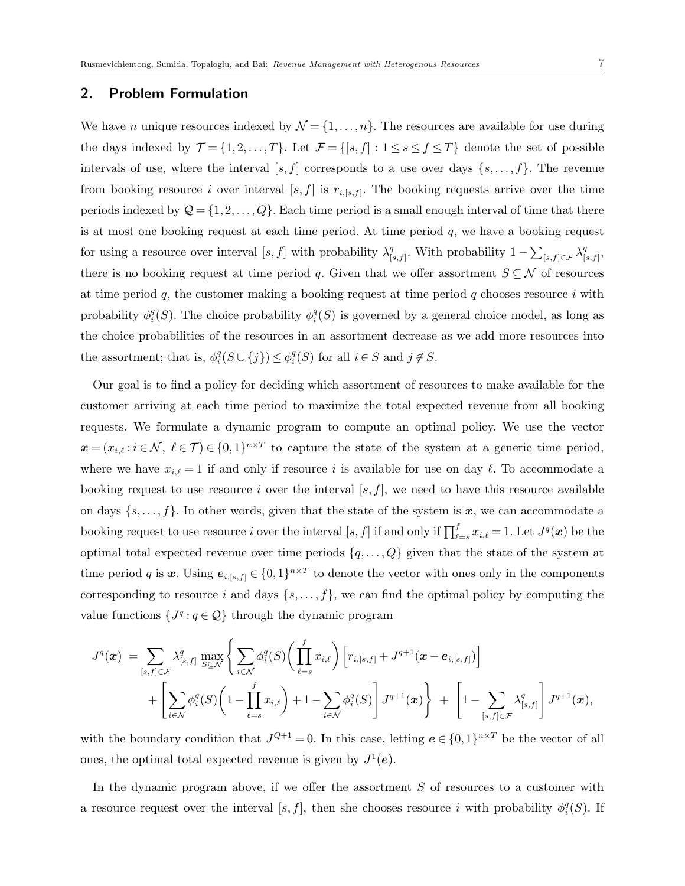## 2. Problem Formulation

We have *n* unique resources indexed by  $\mathcal{N} = \{1, \ldots, n\}$ . The resources are available for use during the days indexed by  $\mathcal{T} = \{1, 2, ..., T\}$ . Let  $\mathcal{F} = \{[s, f] : 1 \le s \le f \le T\}$  denote the set of possible intervals of use, where the interval  $[s, f]$  corresponds to a use over days  $\{s, \ldots, f\}$ . The revenue from booking resource i over interval  $[s, f]$  is  $r_{i,[s,f]}$ . The booking requests arrive over the time periods indexed by  $\mathcal{Q} = \{1, 2, ..., Q\}$ . Each time period is a small enough interval of time that there is at most one booking request at each time period. At time period  $q$ , we have a booking request for using a resource over interval [s, f] with probability  $\lambda_1^q$  $\sum_{[s,f]}$ . With probability  $1 - \sum_{[s,f] \in \mathcal{F}} \lambda_{[s,f]}^q$  $q$ <sub>s,f</sub> $,$ there is no booking request at time period q. Given that we offer assortment  $S \subseteq \mathcal{N}$  of resources at time period q, the customer making a booking request at time period q chooses resource i with probability  $\phi_i^q(S)$ . The choice probability  $\phi_i^q(S)$  is governed by a general choice model, as long as the choice probabilities of the resources in an assortment decrease as we add more resources into the assortment; that is,  $\phi_i^q(S \cup \{j\}) \leq \phi_i^q(S)$  for all  $i \in S$  and  $j \notin S$ .

Our goal is to find a policy for deciding which assortment of resources to make available for the customer arriving at each time period to maximize the total expected revenue from all booking requests. We formulate a dynamic program to compute an optimal policy. We use the vector  $\boldsymbol{x} = (x_{i,\ell} : i \in \mathcal{N}, \ell \in \mathcal{T}) \in \{0,1\}^{n \times T}$  to capture the state of the system at a generic time period, where we have  $x_{i,\ell} = 1$  if and only if resource i is available for use on day  $\ell$ . To accommodate a booking request to use resource i over the interval  $[s, f]$ , we need to have this resource available on days  $\{s, \ldots, f\}$ . In other words, given that the state of the system is x, we can accommodate a booking request to use resource i over the interval  $[s, f]$  if and only if  $\prod_{\ell=s}^f x_{i,\ell} = 1$ . Let  $J^q(\boldsymbol{x})$  be the optimal total expected revenue over time periods  $\{q, \ldots, Q\}$  given that the state of the system at time period q is x. Using  $e_{i,[s,f]} \in \{0,1\}^{n \times T}$  to denote the vector with ones only in the components corresponding to resource i and days  $\{s, \ldots, f\}$ , we can find the optimal policy by computing the value functions  $\{J^q : q \in \mathcal{Q}\}\$  through the dynamic program

$$
J^q(\boldsymbol{x}) = \sum_{[s,f]\in\mathcal{F}} \lambda^q_{[s,f]} \max_{S\subseteq\mathcal{N}} \left\{ \sum_{i\in\mathcal{N}} \phi_i^q(S) \bigg( \prod_{\ell=s}^f x_{i,\ell} \bigg) \left[ r_{i,[s,f]} + J^{q+1}(\boldsymbol{x}-\boldsymbol{e}_{i,[s,f]}) \right] \right.+ \left[ \sum_{i\in\mathcal{N}} \phi_i^q(S) \bigg( 1 - \prod_{\ell=s}^f x_{i,\ell} \bigg) + 1 - \sum_{i\in\mathcal{N}} \phi_i^q(S) \right] J^{q+1}(\boldsymbol{x}) \right\} + \left[ 1 - \sum_{[s,f]\in\mathcal{F}} \lambda^q_{[s,f]} \right] J^{q+1}(\boldsymbol{x}),
$$

with the boundary condition that  $J^{Q+1}=0$ . In this case, letting  $e \in \{0,1\}^{n \times T}$  be the vector of all ones, the optimal total expected revenue is given by  $J^1(e)$ .

In the dynamic program above, if we offer the assortment  $S$  of resources to a customer with a resource request over the interval [s, f], then she chooses resource i with probability  $\phi_i^q(S)$ . If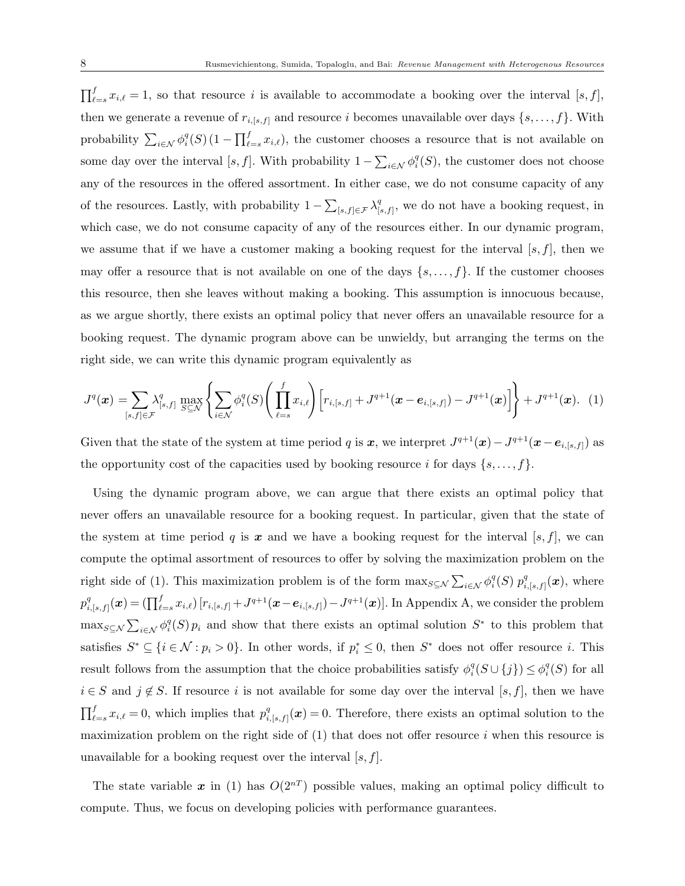$\prod_{\ell=s}^f x_{i,\ell} = 1$ , so that resource i is available to accommodate a booking over the interval  $[s, f]$ , then we generate a revenue of  $r_{i,[s,f]}$  and resource i becomes unavailable over days  $\{s,\ldots,f\}$ . With probability  $\sum_{i\in\mathcal{N}}\phi_i^q(S)(1-\prod_{\ell=s}^fx_{i,\ell}),$  the customer chooses a resource that is not available on some day over the interval [s, f]. With probability  $1 - \sum_{i \in \mathcal{N}} \phi_i^q(S)$ , the customer does not choose any of the resources in the offered assortment. In either case, we do not consume capacity of any of the resources. Lastly, with probability  $1 - \sum_{[s,f] \in \mathcal{F}} \lambda_{[s,f]}^q$  $S_{[s,f]}^q$ , we do not have a booking request, in which case, we do not consume capacity of any of the resources either. In our dynamic program, we assume that if we have a customer making a booking request for the interval  $[s, f]$ , then we may offer a resource that is not available on one of the days  $\{s, \ldots, f\}$ . If the customer chooses this resource, then she leaves without making a booking. This assumption is innocuous because, as we argue shortly, there exists an optimal policy that never offers an unavailable resource for a booking request. The dynamic program above can be unwieldy, but arranging the terms on the right side, we can write this dynamic program equivalently as

$$
J^{q}(\boldsymbol{x}) = \sum_{[s,f] \in \mathcal{F}} \lambda_{[s,f]}^{q} \max_{S \subseteq \mathcal{N}} \left\{ \sum_{i \in \mathcal{N}} \phi_{i}^{q}(S) \left( \prod_{\ell=s}^{f} x_{i,\ell} \right) \left[ r_{i,[s,f]} + J^{q+1}(\boldsymbol{x} - \boldsymbol{e}_{i,[s,f]}) - J^{q+1}(\boldsymbol{x}) \right] \right\} + J^{q+1}(\boldsymbol{x}). \tag{1}
$$

Given that the state of the system at time period q is x, we interpret  $J^{q+1}(\mathbf{x}) - J^{q+1}(\mathbf{x} - \mathbf{e}_{i,[s,f]})$  as the opportunity cost of the capacities used by booking resource i for days  $\{s, \ldots, f\}$ .

Using the dynamic program above, we can argue that there exists an optimal policy that never offers an unavailable resource for a booking request. In particular, given that the state of the system at time period q is x and we have a booking request for the interval [s, f], we can compute the optimal assortment of resources to offer by solving the maximization problem on the right side of (1). This maximization problem is of the form  $\max_{S \subseteq \mathcal{N}} \sum_{i \in \mathcal{N}} \phi_i^q(S) p_i^q$  $_{i,[s,f]}^q(\boldsymbol x),$  where  $p_i^q$  $\mathcal{F}^q_{i,[s,f]}(\boldsymbol x) = (\prod_{\ell=s}^f x_{i,\ell}) \left[ r_{i,[s,f]} + J^{q+1}(\boldsymbol x-\boldsymbol e_{i,[s,f]}) - J^{q+1}(\boldsymbol x) \right].$  In Appendix A, we consider the problem  $\max_{S \subseteq \mathcal{N}} \sum_{i \in \mathcal{N}} \phi_i^q(S) p_i$  and show that there exists an optimal solution  $S^*$  to this problem that satisfies  $S^* \subseteq \{i \in \mathcal{N} : p_i > 0\}$ . In other words, if  $p_i^* \leq 0$ , then  $S^*$  does not offer resource i. This result follows from the assumption that the choice probabilities satisfy  $\phi_i^q(S \cup \{j\}) \leq \phi_i^q(S)$  for all  $i \in S$  and  $j \notin S$ . If resource i is not available for some day over the interval [s, f], then we have  $\prod_{\ell=s}^{f} x_{i,\ell} = 0$ , which implies that  $p_i^q$  $\mathcal{L}_{i,s,f}^q(\boldsymbol{x})=0.$  Therefore, there exists an optimal solution to the maximization problem on the right side of  $(1)$  that does not offer resource i when this resource is unavailable for a booking request over the interval  $[s, f]$ .

The state variable x in (1) has  $O(2^{n})$  possible values, making an optimal policy difficult to compute. Thus, we focus on developing policies with performance guarantees.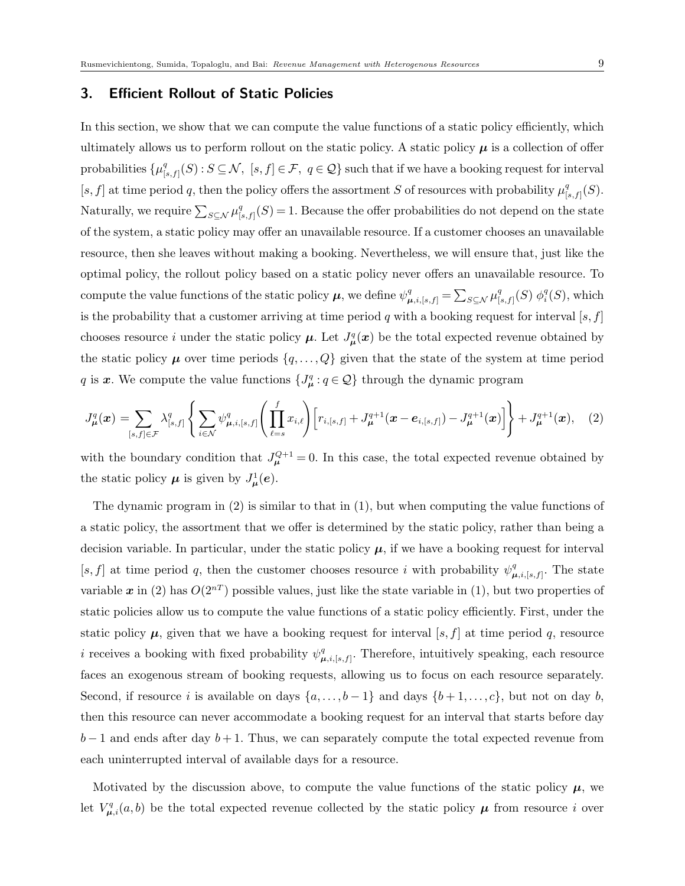## 3. Efficient Rollout of Static Policies

In this section, we show that we can compute the value functions of a static policy efficiently, which ultimately allows us to perform rollout on the static policy. A static policy  $\mu$  is a collection of offer probabilities  $\{\mu_1^q\}$  $\mathcal{G}_{[s,f]}^q(S)$  :  $S \subseteq \mathcal{N}, [s,f] \in \mathcal{F}, q \in \mathcal{Q}$  such that if we have a booking request for interval [s, f] at time period q, then the policy offers the assortment S of resources with probability  $\mu_0^q$  $_{[s,f]}^q(S).$ Naturally, we require  $\sum_{S \subseteq \mathcal{N}} \mu_{\parallel}^q$  $\mathcal{L}_{[s,f]}(S) = 1.$  Because the offer probabilities do not depend on the state of the system, a static policy may offer an unavailable resource. If a customer chooses an unavailable resource, then she leaves without making a booking. Nevertheless, we will ensure that, just like the optimal policy, the rollout policy based on a static policy never offers an unavailable resource. To compute the value functions of the static policy  $\mu$ , we define  $\psi^q_{\mu,i,[s,f]} = \sum_{S \subseteq \mathcal{N}} \mu^q_{[s]}$  $\frac{q}{[s,f]}(S)$   $\phi_i^q(S)$ , which is the probability that a customer arriving at time period q with a booking request for interval  $[s, f]$ chooses resource i under the static policy  $\mu$ . Let  $J^q_{\mu}(x)$  be the total expected revenue obtained by the static policy  $\mu$  over time periods  $\{q, \ldots, Q\}$  given that the state of the system at time period q is x. We compute the value functions  $\{J^q_\mu: q \in \mathcal{Q}\}\$  through the dynamic program

$$
J_{\mu}^{q}(\boldsymbol{x}) = \sum_{[s,f] \in \mathcal{F}} \lambda_{[s,f]}^{q} \left\{ \sum_{i \in \mathcal{N}} \psi_{\mu,i,[s,f]}^{q} \left( \prod_{\ell=s}^{f} x_{i,\ell} \right) \left[ r_{i,[s,f]} + J_{\mu}^{q+1}(\boldsymbol{x} - \boldsymbol{e}_{i,[s,f]}) - J_{\mu}^{q+1}(\boldsymbol{x}) \right] \right\} + J_{\mu}^{q+1}(\boldsymbol{x}), \quad (2)
$$

with the boundary condition that  $J_{\mu}^{Q+1} = 0$ . In this case, the total expected revenue obtained by the static policy  $\mu$  is given by  $J^1_{\mu}(e)$ .

The dynamic program in (2) is similar to that in (1), but when computing the value functions of a static policy, the assortment that we offer is determined by the static policy, rather than being a decision variable. In particular, under the static policy  $\mu$ , if we have a booking request for interval [s, f] at time period q, then the customer chooses resource i with probability  $\psi^q$  $_{\boldsymbol{\mu},i,[s,f]}^q$ . The state variable x in (2) has  $O(2^{n})$  possible values, just like the state variable in (1), but two properties of static policies allow us to compute the value functions of a static policy efficiently. First, under the static policy  $\mu$ , given that we have a booking request for interval [s, f] at time period q, resource *i* receives a booking with fixed probability  $\psi^q$  $_{\boldsymbol{\mu},i,[s,f]}^q$ . Therefore, intuitively speaking, each resource faces an exogenous stream of booking requests, allowing us to focus on each resource separately. Second, if resource i is available on days  $\{a, \ldots, b-1\}$  and days  $\{b+1, \ldots, c\}$ , but not on day b, then this resource can never accommodate a booking request for an interval that starts before day  $b-1$  and ends after day  $b+1$ . Thus, we can separately compute the total expected revenue from each uninterrupted interval of available days for a resource.

Motivated by the discussion above, to compute the value functions of the static policy  $\mu$ , we let  $V_{\mu,i}^q(a,b)$  be the total expected revenue collected by the static policy  $\mu$  from resource i over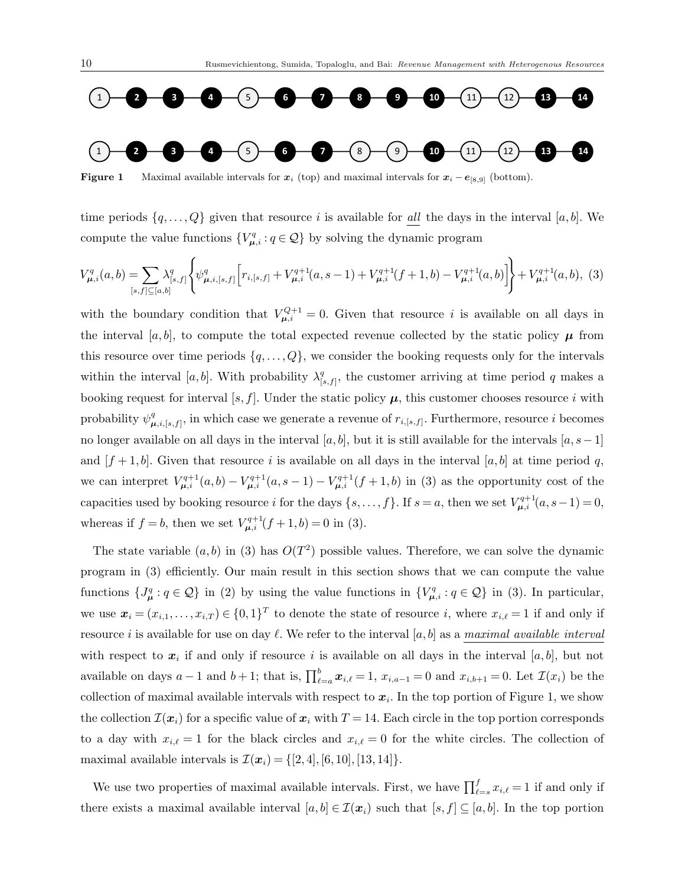

**Figure 1** Maximal available intervals for  $x_i$  (top) and maximal intervals for  $x_i - e_{[8,9]}$  (bottom).

time periods  $\{q, \ldots, Q\}$  given that resource i is available for all the days in the interval [a, b]. We compute the value functions  $\{V_{\mu,i}^q : q \in \mathcal{Q}\}\$  by solving the dynamic program

$$
V_{\mu,i}^q(a,b) = \sum_{[s,f]\subseteq[a,b]} \lambda_{[s,f]}^q \left\{ \psi_{\mu,i,[s,f]}^q \left[ r_{i,[s,f]} + V_{\mu,i}^{q+1}(a,s-1) + V_{\mu,i}^{q+1}(f+1,b) - V_{\mu,i}^{q+1}(a,b) \right] \right\} + V_{\mu,i}^{q+1}(a,b), (3)
$$

with the boundary condition that  $V_{\mu,i}^{Q+1} = 0$ . Given that resource i is available on all days in the interval [a, b], to compute the total expected revenue collected by the static policy  $\mu$  from this resource over time periods  $\{q, \ldots, Q\}$ , we consider the booking requests only for the intervals within the interval [a, b]. With probability  $\lambda_1^q$  $S_{[s,f]}^q$ , the customer arriving at time period q makes a booking request for interval [s, f]. Under the static policy  $\mu$ , this customer chooses resource i with probability  $\psi^q_\mu$  $\mu_{i,[s,f]}^q$ , in which case we generate a revenue of  $r_{i,[s,f]}$ . Furthermore, resource i becomes no longer available on all days in the interval [a, b], but it is still available for the intervals [a, s−1] and  $[f + 1, b]$ . Given that resource i is available on all days in the interval  $[a, b]$  at time period q, we can interpret  $V_{\mu,i}^{q+1}(a,b) - V_{\mu,i}^{q+1}(a,s-1) - V_{\mu,i}^{q+1}(f+1,b)$  in (3) as the opportunity cost of the capacities used by booking resource i for the days  $\{s, \ldots, f\}$ . If  $s = a$ , then we set  $V_{\mu,i}^{q+1}(a, s-1) = 0$ , whereas if  $f = b$ , then we set  $V_{\mu,i}^{q+1}(f + 1, b) = 0$  in (3).

The state variable  $(a, b)$  in (3) has  $O(T^2)$  possible values. Therefore, we can solve the dynamic program in (3) efficiently. Our main result in this section shows that we can compute the value functions  $\{J^q_\mu: q \in \mathcal{Q}\}\$ in (2) by using the value functions in  $\{V^q_{\mu,i}: q \in \mathcal{Q}\}\$ in (3). In particular, we use  $\mathbf{x}_i = (x_{i,1}, \ldots, x_{i,T}) \in \{0,1\}^T$  to denote the state of resource i, where  $x_{i,\ell} = 1$  if and only if resource i is available for use on day  $\ell$ . We refer to the interval [a, b] as a maximal available interval with respect to  $x_i$  if and only if resource i is available on all days in the interval  $[a, b]$ , but not available on days  $a-1$  and  $b+1$ ; that is,  $\prod_{\ell=a}^{b} x_{i,\ell} = 1$ ,  $x_{i,a-1} = 0$  and  $x_{i,b+1} = 0$ . Let  $\mathcal{I}(x_i)$  be the collection of maximal available intervals with respect to  $x_i$ . In the top portion of Figure 1, we show the collection  $\mathcal{I}(x_i)$  for a specific value of  $x_i$  with  $T = 14$ . Each circle in the top portion corresponds to a day with  $x_{i,\ell} = 1$  for the black circles and  $x_{i,\ell} = 0$  for the white circles. The collection of maximal available intervals is  $\mathcal{I}(\bm{x}_i) = \{[2, 4], [6, 10], [13, 14]\}.$ 

We use two properties of maximal available intervals. First, we have  $\prod_{\ell=s}^{f} x_{i,\ell} = 1$  if and only if there exists a maximal available interval  $[a, b] \in \mathcal{I}(x_i)$  such that  $[s, f] \subseteq [a, b]$ . In the top portion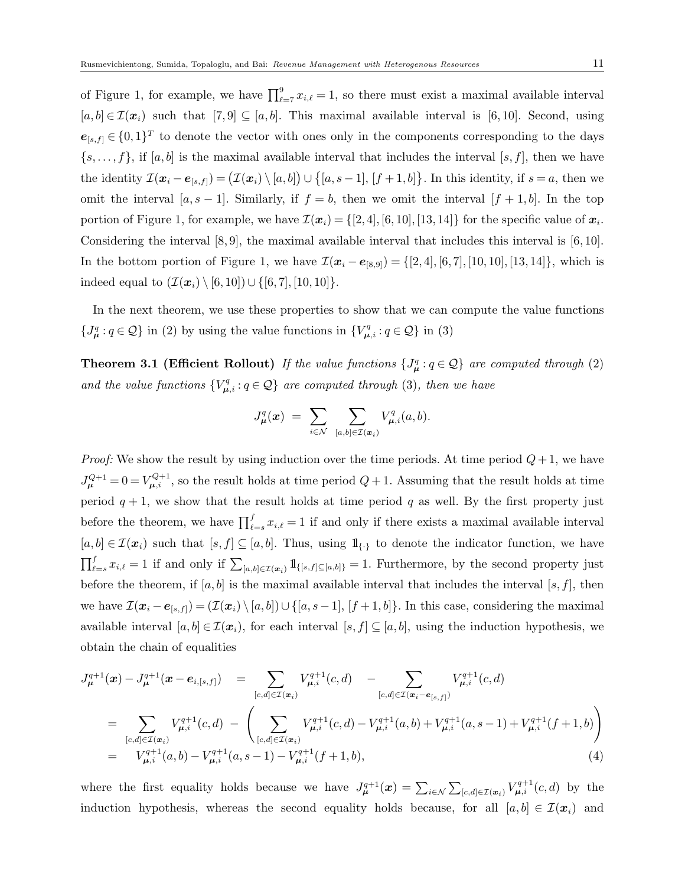of Figure 1, for example, we have  $\prod_{\ell=7}^{9} x_{i,\ell} = 1$ , so there must exist a maximal available interval  $[a, b] \in \mathcal{I}(\boldsymbol{x}_i)$  such that  $[7, 9] \subseteq [a, b]$ . This maximal available interval is  $[6, 10]$ . Second, using  $e_{[s,f]} \in \{0,1\}^T$  to denote the vector with ones only in the components corresponding to the days  $\{s, \ldots, f\}$ , if  $[a, b]$  is the maximal available interval that includes the interval  $[s, f]$ , then we have the identity  $\mathcal{I}(\boldsymbol{x}_i - \boldsymbol{e}_{[s,f]}) = (\mathcal{I}(\boldsymbol{x}_i) \setminus [a,b]) \cup \{[a,s-1], [f+1,b]\}.$  In this identity, if  $s = a$ , then we omit the interval  $[a, s-1]$ . Similarly, if  $f = b$ , then we omit the interval  $[f + 1, b]$ . In the top portion of Figure 1, for example, we have  $\mathcal{I}(\bm{x}_i) = \{[2,4], [6,10], [13,14]\}$  for the specific value of  $\bm{x}_i$ . Considering the interval [8, 9], the maximal available interval that includes this interval is [6, 10]. In the bottom portion of Figure 1, we have  $\mathcal{I}(\mathbf{x}_i - \mathbf{e}_{[8,9]}) = \{[2,4], [6,7], [10,10], [13,14]\},$  which is indeed equal to  $(\mathcal{I}(\bm{x}_i) \setminus [6, 10]) \cup \{[6, 7], [10, 10]\}.$ 

In the next theorem, we use these properties to show that we can compute the value functions  $\{J^q_\mu: q \in \mathcal{Q}\}\$ in (2) by using the value functions in  $\{V^q_{\mu,i}: q \in \mathcal{Q}\}\$ in (3)

**Theorem 3.1 (Efficient Rollout)** If the value functions  $\{J^q_\mu : q \in \mathcal{Q}\}\$  are computed through (2) and the value functions  ${V}_{\mu,i}^q: q \in \mathcal{Q}$  are computed through (3), then we have

$$
J^q_{\boldsymbol\mu}(\boldsymbol x)\;=\;\sum_{i\in\mathcal N}\;\sum_{[a,b]\in\mathcal I(\boldsymbol x_i)}V^q_{\boldsymbol\mu,i}(a,b).
$$

*Proof:* We show the result by using induction over the time periods. At time period  $Q+1$ , we have  $J_{\mu}^{Q+1} = 0 = V_{\mu,i}^{Q+1}$ , so the result holds at time period  $Q+1$ . Assuming that the result holds at time period  $q + 1$ , we show that the result holds at time period q as well. By the first property just before the theorem, we have  $\prod_{\ell=s}^{f} x_{i,\ell} = 1$  if and only if there exists a maximal available interval  $[a, b] \in \mathcal{I}(\boldsymbol{x}_i)$  such that  $[s, f] \subseteq [a, b]$ . Thus, using  $\mathbb{1}_{\{\cdot\}}$  to denote the indicator function, we have  $\prod_{\ell=s}^f x_{i,\ell} = 1$  if and only if  $\sum_{[a,b]\in\mathcal{I}(\bm{x}_i)} 1\!\!\!1_{\{[s,f]\subseteq [a,b]\}} = 1$ . Furthermore, by the second property just before the theorem, if  $[a, b]$  is the maximal available interval that includes the interval  $[s, f]$ , then we have  $\mathcal{I}(\boldsymbol{x}_i - \boldsymbol{e}_{[s,f]}) = (\mathcal{I}(\boldsymbol{x}_i) \setminus [a,b]) \cup \{[a,s-1], [f+1,b]\}.$  In this case, considering the maximal available interval  $[a, b] \in \mathcal{I}(\boldsymbol{x}_i)$ , for each interval  $[s, f] \subseteq [a, b]$ , using the induction hypothesis, we obtain the chain of equalities

$$
J_{\mu}^{q+1}(\boldsymbol{x}) - J_{\mu}^{q+1}(\boldsymbol{x} - \boldsymbol{e}_{i,[s,f]}) = \sum_{[c,d] \in \mathcal{I}(\boldsymbol{x}_i)} V_{\mu,i}^{q+1}(c,d) - \sum_{[c,d] \in \mathcal{I}(\boldsymbol{x}_i - \boldsymbol{e}_{[s,f]})} V_{\mu,i}^{q+1}(c,d)
$$
  
\n
$$
= \sum_{[c,d] \in \mathcal{I}(\boldsymbol{x}_i)} V_{\mu,i}^{q+1}(c,d) - \left( \sum_{[c,d] \in \mathcal{I}(\boldsymbol{x}_i)} V_{\mu,i}^{q+1}(c,d) - V_{\mu,i}^{q+1}(a,b) + V_{\mu,i}^{q+1}(a,s-1) + V_{\mu,i}^{q+1}(f+1,b) \right)
$$
  
\n
$$
= V_{\mu,i}^{q+1}(a,b) - V_{\mu,i}^{q+1}(a,s-1) - V_{\mu,i}^{q+1}(f+1,b), \qquad (4)
$$

where the first equality holds because we have  $J_{\mu}^{q+1}(\boldsymbol{x}) = \sum_{i \in \mathcal{N}} \sum_{[c,d] \in \mathcal{I}(\boldsymbol{x}_i)} V_{\mu,i}^{q+1}(c,d)$  by the induction hypothesis, whereas the second equality holds because, for all  $[a, b] \in \mathcal{I}(x_i)$  and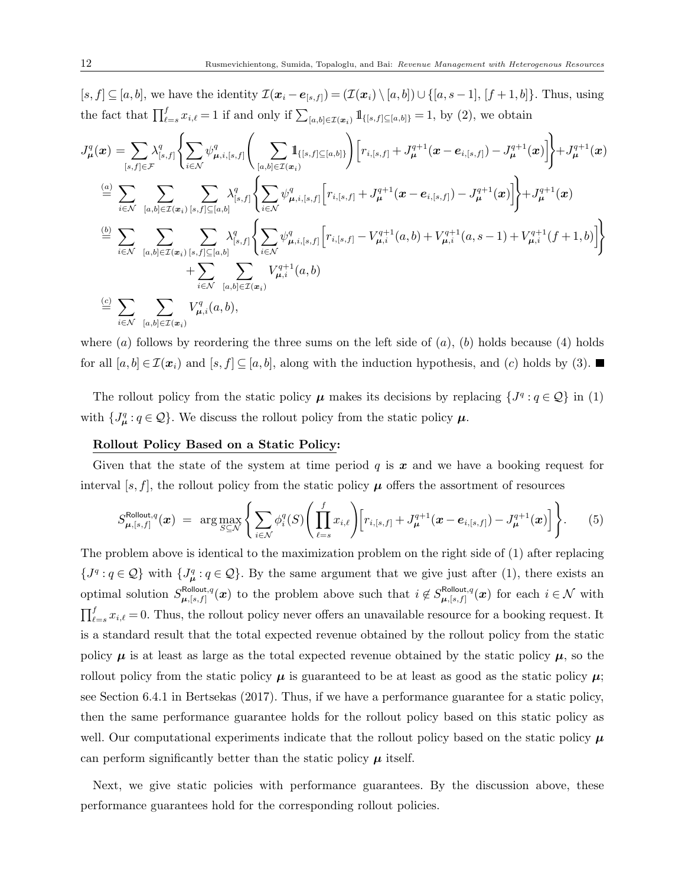$[s, f] \subseteq [a, b]$ , we have the identity  $\mathcal{I}(\boldsymbol{x}_i - \boldsymbol{e}_{[s,f]}) = (\mathcal{I}(\boldsymbol{x}_i) \setminus [a, b]) \cup \{[a, s-1], [f+1, b]\}$ . Thus, using the fact that  $\prod_{\ell=s}^f x_{i,\ell} = 1$  if and only if  $\sum_{[a,b]\in\mathcal{I}(\boldsymbol{x}_i)} 1\!\!1_{\{[s,f]\subseteq [a,b]\}} = 1$ , by (2), we obtain

$$
J_{\mu}^{q}(x) = \sum_{[s,f] \in \mathcal{F}} \lambda_{[s,f]}^{q} \Biggl\{ \sum_{i \in \mathcal{N}} \psi_{\mu,i,[s,f]}^{q} \Biggl( \sum_{[a,b] \in \mathcal{I}(x_{i})} \mathbf{1}_{\{[s,f] \subseteq [a,b]\}} \Biggr) \Biggl[ r_{i,[s,f]} + J_{\mu}^{q+1}(x - e_{i,[s,f]}) - J_{\mu}^{q+1}(x) \Biggr] \Biggr\} + J_{\mu}^{q+1}(x)
$$
\n
$$
\stackrel{(a)}{=} \sum_{i \in \mathcal{N}} \sum_{[a,b] \in \mathcal{I}(x_{i})} \sum_{[s,f] \subseteq [a,b]} \lambda_{[s,f]}^{q} \Biggl\{ \sum_{i \in \mathcal{N}} \psi_{\mu,i,[s,f]}^{q} \Biggl[ r_{i,[s,f]} + J_{\mu}^{q+1}(x - e_{i,[s,f]}) - J_{\mu}^{q+1}(x) \Biggr] \Biggr\} + J_{\mu}^{q+1}(x)
$$
\n
$$
\stackrel{(b)}{=} \sum_{i \in \mathcal{N}} \sum_{[a,b] \in \mathcal{I}(x_{i})} \sum_{[s,f] \subseteq [a,b]} \lambda_{[s,f]}^{q} \Biggl\{ \sum_{i \in \mathcal{N}} \psi_{\mu,i,[s,f]}^{q} \Biggl[ r_{i,[s,f]} - V_{\mu,i}^{q+1}(a,b) + V_{\mu,i}^{q+1}(a,s-1) + V_{\mu,i}^{q+1}(f+1,b) \Biggr] \Biggr\}
$$
\n
$$
\stackrel{(c)}{=} \sum_{i \in \mathcal{N}} \sum_{[a,b] \in \mathcal{I}(x_{i})} V_{\mu,i}^{q}(a,b),
$$
\n
$$
\stackrel{(d)}{=} \sum_{i \in \mathcal{N}} \sum_{[a,b] \in \mathcal{I}(x_{i})} V_{\mu,i}^{q}(a,b),
$$

where (a) follows by reordering the three sums on the left side of  $(a)$ ,  $(b)$  holds because (4) holds for all  $[a, b] \in \mathcal{I}(\boldsymbol{x}_i)$  and  $[s, f] \subseteq [a, b]$ , along with the induction hypothesis, and  $(c)$  holds by (3).

The rollout policy from the static policy  $\mu$  makes its decisions by replacing  $\{J^q : q \in \mathcal{Q}\}\$ in (1) with  $\{J^q_\mu: q \in \mathcal{Q}\}$ . We discuss the rollout policy from the static policy  $\mu$ .

#### Rollout Policy Based on a Static Policy:

Given that the state of the system at time period  $q$  is  $x$  and we have a booking request for interval [s, f], the rollout policy from the static policy  $\mu$  offers the assortment of resources

$$
S_{\mu,[s,f]}^{\text{Rollout},q}(\boldsymbol{x}) = \arg \max_{S \subseteq \mathcal{N}} \left\{ \sum_{i \in \mathcal{N}} \phi_i^q(S) \Bigg( \prod_{\ell=s}^f x_{i,\ell} \Bigg) \Big[ r_{i,[s,f]} + J_{\mu}^{q+1}(\boldsymbol{x} - \boldsymbol{e}_{i,[s,f]}) - J_{\mu}^{q+1}(\boldsymbol{x}) \Big] \right\}.
$$
 (5)

The problem above is identical to the maximization problem on the right side of (1) after replacing  $\{J^q : q \in \mathcal{Q}\}\$  with  $\{J^q_\mu : q \in \mathcal{Q}\}\$ . By the same argument that we give just after (1), there exists an optimal solution  $S_{\mu}^{\text{Rollout},q}$  $E_{\mu,[s,f]}^{\text{Rollout},q}(\boldsymbol{x})$  to the problem above such that  $i \notin S_{\mu,[s,f]}^{\text{Rollout},q}$  $\mu$ <sup>Rollout, q</sup> $(x)$  for each  $i \in \mathcal{N}$  with  $\prod_{\ell=s}^f x_{i,\ell} = 0$ . Thus, the rollout policy never offers an unavailable resource for a booking request. It is a standard result that the total expected revenue obtained by the rollout policy from the static policy  $\mu$  is at least as large as the total expected revenue obtained by the static policy  $\mu$ , so the rollout policy from the static policy  $\mu$  is guaranteed to be at least as good as the static policy  $\mu$ ; see Section 6.4.1 in Bertsekas (2017). Thus, if we have a performance guarantee for a static policy, then the same performance guarantee holds for the rollout policy based on this static policy as well. Our computational experiments indicate that the rollout policy based on the static policy  $\mu$ can perform significantly better than the static policy  $\mu$  itself.

Next, we give static policies with performance guarantees. By the discussion above, these performance guarantees hold for the corresponding rollout policies.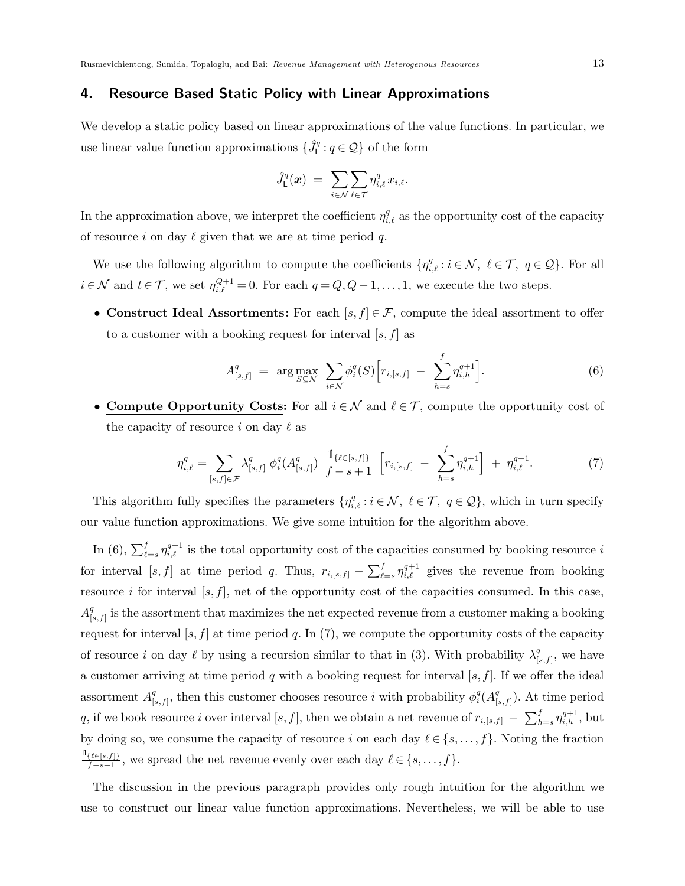### 4. Resource Based Static Policy with Linear Approximations

We develop a static policy based on linear approximations of the value functions. In particular, we use linear value function approximations  $\{\hat{J}_{\mathsf{L}}^q:q\in\mathcal{Q}\}$  of the form

$$
\hat{J}_{\mathsf{L}}^q(\boldsymbol{x})\;=\;\sum_{i\in\mathcal{N}}\sum_{\ell\in\mathcal{T}}\eta_{i,\ell}^q\,x_{i,\ell}.
$$

In the approximation above, we interpret the coefficient  $\eta_{i,\ell}^q$  as the opportunity cost of the capacity of resource i on day  $\ell$  given that we are at time period q.

We use the following algorithm to compute the coefficients  $\{\eta_{i,\ell}^q : i \in \mathcal{N}, \ell \in \mathcal{T}, q \in \mathcal{Q}\}\.$  For all  $i \in \mathcal{N}$  and  $t \in \mathcal{T}$ , we set  $\eta_{i,\ell}^{Q+1} = 0$ . For each  $q = Q, Q-1, \ldots, 1$ , we execute the two steps.

• Construct Ideal Assortments: For each  $[s, f] \in \mathcal{F}$ , compute the ideal assortment to offer to a customer with a booking request for interval  $[s, f]$  as

$$
A_{[s,f]}^q = \arg \max_{S \subseteq \mathcal{N}} \sum_{i \in \mathcal{N}} \phi_i^q(S) \Big[ r_{i,[s,f]} - \sum_{h=s}^f \eta_{i,h}^{q+1} \Big]. \tag{6}
$$

• Compute Opportunity Costs: For all  $i \in \mathcal{N}$  and  $\ell \in \mathcal{T}$ , compute the opportunity cost of the capacity of resource i on day  $\ell$  as

$$
\eta_{i,\ell}^q = \sum_{[s,f]\in\mathcal{F}} \lambda_{[s,f]}^q \phi_i^q(A_{[s,f]}^q) \frac{\mathbb{1}_{\{\ell \in [s,f]\}}}{f-s+1} \left[ r_{i,[s,f]} - \sum_{h=s}^f \eta_{i,h}^{q+1} \right] + \eta_{i,\ell}^{q+1}.
$$
 (7)

This algorithm fully specifies the parameters  $\{\eta_{i,\ell}^q : i \in \mathcal{N}, \ell \in \mathcal{T}, q \in \mathcal{Q}\}\,$  which in turn specify our value function approximations. We give some intuition for the algorithm above.

In (6),  $\sum_{\ell=s}^{f} \eta_{i,\ell}^{q+1}$  is the total opportunity cost of the capacities consumed by booking resource i for interval [s, f] at time period q. Thus,  $r_{i,[s,f]} - \sum_{\ell=s}^f \eta_{i,\ell}^{q+1}$  gives the revenue from booking resource i for interval  $[s, f]$ , net of the opportunity cost of the capacities consumed. In this case,  $A^q_{\scriptscriptstyle \rm L}$  $\mathcal{L}_{[s,f]}^q$  is the assortment that maximizes the net expected revenue from a customer making a booking request for interval  $[s, f]$  at time period q. In (7), we compute the opportunity costs of the capacity of resource i on day  $\ell$  by using a recursion similar to that in (3). With probability  $\lambda_0^q$  $\binom{q}{[s,f]}$ , we have a customer arriving at time period q with a booking request for interval  $[s, f]$ . If we offer the ideal assortment  $A^q_0$  $\mathcal{L}_{[s,f]}^q$ , then this customer chooses resource i with probability  $\phi_i^q(A_{[s]}^q)$  $\binom{q}{[s,f]}$ . At time period q, if we book resource i over interval [s, f], then we obtain a net revenue of  $r_{i,[s,f]} - \sum_{h=s}^{f} \eta_{i,h}^{q+1}$ , but by doing so, we consume the capacity of resource i on each day  $\ell \in \{s, \ldots, f\}$ . Noting the fraction  $\frac{\mathbb{1}_{\{\ell \in [s,f]\}}}{f-s+1}$ , we spread the net revenue evenly over each day  $\ell \in \{s, \ldots, f\}$ .

The discussion in the previous paragraph provides only rough intuition for the algorithm we use to construct our linear value function approximations. Nevertheless, we will be able to use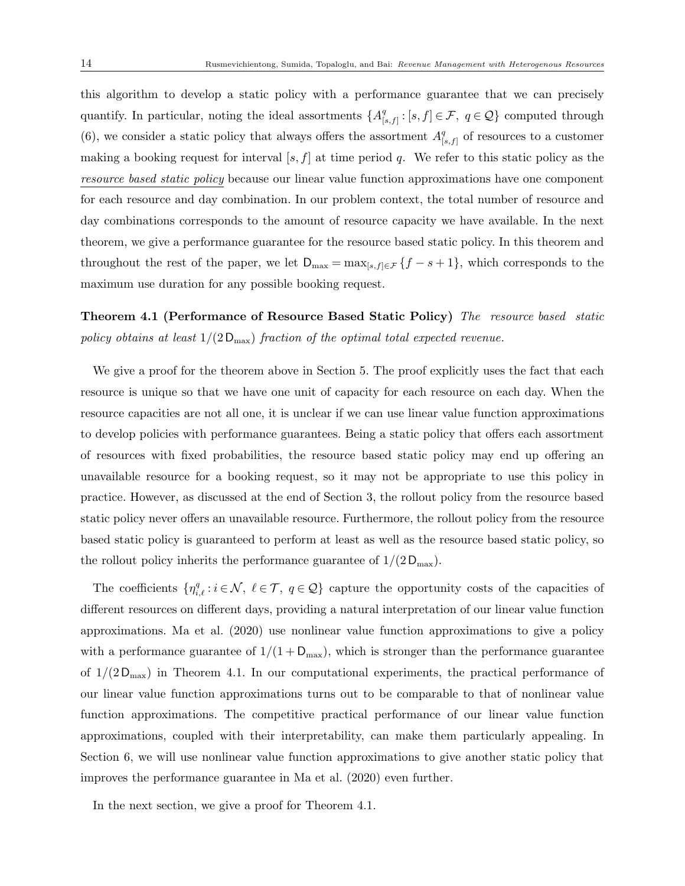this algorithm to develop a static policy with a performance guarantee that we can precisely quantify. In particular, noting the ideal assortments  $\{A^q_k\}$  $[e_{[s,f]}^q : [s,f] \in \mathcal{F}, q \in \mathcal{Q} \}$  computed through (6), we consider a static policy that always offers the assortment  $A_1^q$  $\binom{q}{[s,f]}$  of resources to a customer making a booking request for interval  $[s, f]$  at time period q. We refer to this static policy as the resource based static policy because our linear value function approximations have one component for each resource and day combination. In our problem context, the total number of resource and day combinations corresponds to the amount of resource capacity we have available. In the next theorem, we give a performance guarantee for the resource based static policy. In this theorem and throughout the rest of the paper, we let  $D_{\max} = \max_{[s,f] \in \mathcal{F}} \{f - s + 1\}$ , which corresponds to the maximum use duration for any possible booking request.

Theorem 4.1 (Performance of Resource Based Static Policy) The resource based static policy obtains at least  $1/(2D_{\text{max}})$  fraction of the optimal total expected revenue.

We give a proof for the theorem above in Section 5. The proof explicitly uses the fact that each resource is unique so that we have one unit of capacity for each resource on each day. When the resource capacities are not all one, it is unclear if we can use linear value function approximations to develop policies with performance guarantees. Being a static policy that offers each assortment of resources with fixed probabilities, the resource based static policy may end up offering an unavailable resource for a booking request, so it may not be appropriate to use this policy in practice. However, as discussed at the end of Section 3, the rollout policy from the resource based static policy never offers an unavailable resource. Furthermore, the rollout policy from the resource based static policy is guaranteed to perform at least as well as the resource based static policy, so the rollout policy inherits the performance guarantee of  $1/(2D_{\text{max}})$ .

The coefficients  $\{\eta_{i,\ell}^q : i \in \mathcal{N}, \ell \in \mathcal{T}, q \in \mathcal{Q}\}\)$  capture the opportunity costs of the capacities of different resources on different days, providing a natural interpretation of our linear value function approximations. Ma et al. (2020) use nonlinear value function approximations to give a policy with a performance guarantee of  $1/(1 + D_{\text{max}})$ , which is stronger than the performance guarantee of  $1/(2D_{\text{max}})$  in Theorem 4.1. In our computational experiments, the practical performance of our linear value function approximations turns out to be comparable to that of nonlinear value function approximations. The competitive practical performance of our linear value function approximations, coupled with their interpretability, can make them particularly appealing. In Section 6, we will use nonlinear value function approximations to give another static policy that improves the performance guarantee in Ma et al. (2020) even further.

In the next section, we give a proof for Theorem 4.1.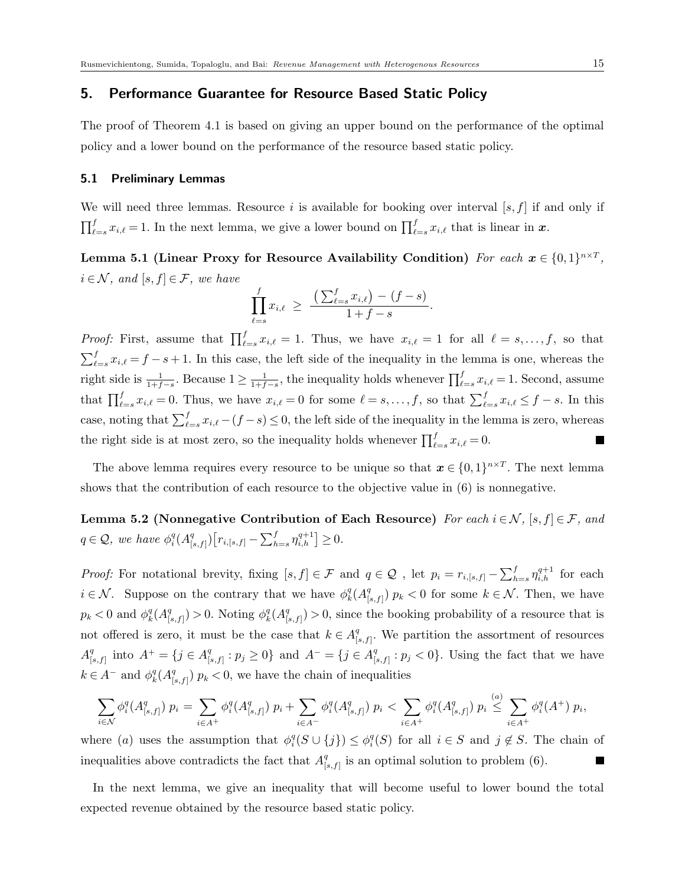### 5. Performance Guarantee for Resource Based Static Policy

The proof of Theorem 4.1 is based on giving an upper bound on the performance of the optimal policy and a lower bound on the performance of the resource based static policy.

## 5.1 Preliminary Lemmas

We will need three lemmas. Resource i is available for booking over interval  $[s, f]$  if and only if  $\prod_{\ell=s}^f x_{i,\ell} = 1$ . In the next lemma, we give a lower bound on  $\prod_{\ell=s}^f x_{i,\ell}$  that is linear in  $\boldsymbol{x}$ .

Lemma 5.1 (Linear Proxy for Resource Availability Condition) For each  $x \in \{0,1\}^{n \times T}$ ,  $i \in \mathcal{N}$ , and  $[s, f] \in \mathcal{F}$ , we have

$$
\prod_{\ell=s}^{f} x_{i,\ell} \ \geq \ \frac{\left(\sum_{\ell=s}^{f} x_{i,\ell}\right) - (f-s)}{1 + f - s}.
$$

*Proof:* First, assume that  $\prod_{\ell=s}^{f} x_{i,\ell} = 1$ . Thus, we have  $x_{i,\ell} = 1$  for all  $\ell = s, \ldots, f$ , so that  $\sum_{\ell=s}^{f} x_{i,\ell} = f - s + 1$ . In this case, the left side of the inequality in the lemma is one, whereas the  $\frac{1}{1+f-s}$ , the inequality holds whenever  $\prod_{\ell=s}^{f} x_{i,\ell} = 1$ . Second, assume right side is  $\frac{1}{1+f-s}$ . Because  $1 \geq \frac{1}{1+f}$ that  $\prod_{\ell=s}^f x_{i,\ell} = 0$ . Thus, we have  $x_{i,\ell} = 0$  for some  $\ell = s, \ldots, f$ , so that  $\sum_{\ell=s}^f x_{i,\ell} \leq f - s$ . In this case, noting that  $\sum_{\ell=s}^{f} x_{i,\ell} - (f - s) \leq 0$ , the left side of the inequality in the lemma is zero, whereas the right side is at most zero, so the inequality holds whenever  $\prod_{\ell=s}^{f} x_{i,\ell} = 0$ .  $\overline{\phantom{a}}$ 

The above lemma requires every resource to be unique so that  $\mathbf{x} \in \{0,1\}^{n \times T}$ . The next lemma shows that the contribution of each resource to the objective value in (6) is nonnegative.

Lemma 5.2 (Nonnegative Contribution of Each Resource) For each  $i \in \mathcal{N}$ ,  $[s, f] \in \mathcal{F}$ , and  $q \in \mathcal{Q}$ , we have  $\phi_i^q(A_{[.}^q)$  $\binom{q}{[s,f]} [r_{i,[s,f]} - \sum_{h=s}^{f} \eta_{i,h}^{q+1}] \geq 0.$ 

*Proof:* For notational brevity, fixing  $[s, f] \in \mathcal{F}$  and  $q \in \mathcal{Q}$ , let  $p_i = r_{i,[s,f]} - \sum_{h=s}^f \eta_{i,h}^{q+1}$  for each  $i \in \mathcal{N}$ . Suppose on the contrary that we have  $\phi_k^q(A_{\parallel}^q)$  $\binom{q}{[s,f]}$   $p_k < 0$  for some  $k \in \mathcal{N}$ . Then, we have  $p_k < 0$  and  $\phi_k^q(A_{[k]}^q)$  $\binom{q}{[s,f]} > 0$ . Noting  $\phi_k^q(A_{[s]}^q)$  $\binom{q}{[s,f]} > 0$ , since the booking probability of a resource that is not offered is zero, it must be the case that  $k \in A<sup>q</sup><sub>0</sub>$  $S_{[s,f]}^q$ . We partition the assortment of resources  $A^q_{\mathbb{R}}$  $_{[s,f]}^q$  into  $A^+ = \{j \in A_{[s]}^q$  ${q \choose [s,f]}: p_j \ge 0$ } and  $A^- = \{j \in A^q_{[s]} \}$  $S_{[s,f]}^q: p_j < 0$ . Using the fact that we have  $k \in A^-$  and  $\phi_k^q(A_{[.}^q)$  $\binom{q}{[s,f]}$   $p_k < 0$ , we have the chain of inequalities

$$
\sum_{i \in \mathcal{N}} \phi_i^q(A^q_{[s,f]}) p_i = \sum_{i \in A^+} \phi_i^q(A^q_{[s,f]}) p_i + \sum_{i \in A^-} \phi_i^q(A^q_{[s,f]}) p_i < \sum_{i \in A^+} \phi_i^q(A^q_{[s,f]}) p_i \stackrel{(a)}{\leq} \sum_{i \in A^+} \phi_i^q(A^+) p_i,
$$

where (a) uses the assumption that  $\phi_i^q(S \cup \{j\}) \leq \phi_i^q(S)$  for all  $i \in S$  and  $j \notin S$ . The chain of inequalities above contradicts the fact that  $A^q_{\perp}$  $\binom{q}{[s,f]}$  is an optimal solution to problem (6).  $\overline{\phantom{a}}$ 

In the next lemma, we give an inequality that will become useful to lower bound the total expected revenue obtained by the resource based static policy.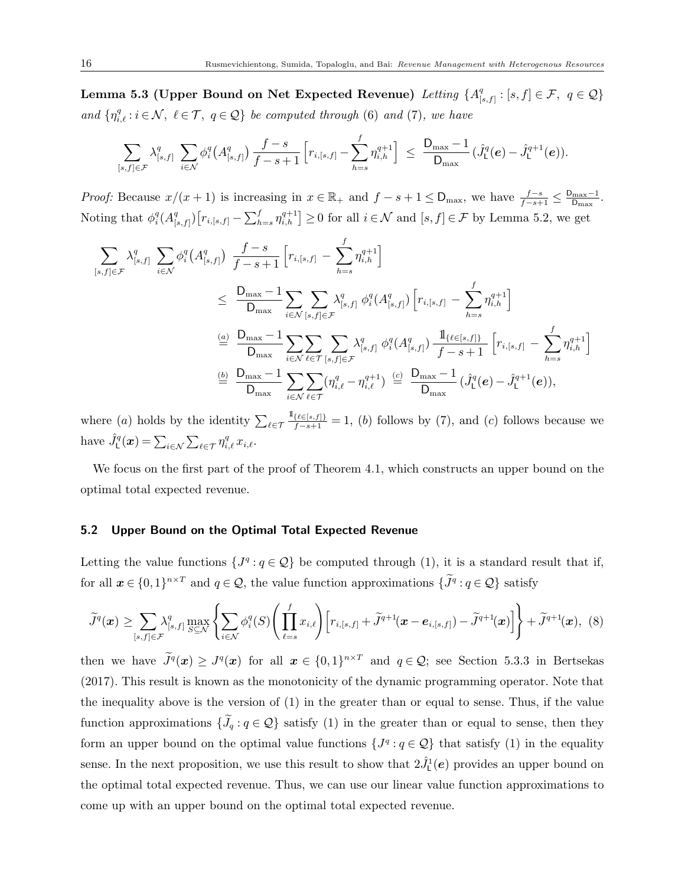Lemma 5.3 (Upper Bound on Net Expected Revenue) Letting  $\{A^q_{\textrm{L}}\}$  $\mathcal{F}_{[s,f]}:[s,f]\in\mathcal{F},\;\;q\in\mathcal{Q}\}$ and  $\{\eta_{i,\ell}^q : i \in \mathcal{N}, \ell \in \mathcal{T}, q \in \mathcal{Q}\}\$  be computed through (6) and (7), we have

$$
\sum_{[s,f]\in\mathcal{F}}\lambda_{[s,f]}^q\ \sum_{i\in\mathcal{N}}\phi_i^q\big(A_{[s,f]}^q\big)\,\frac{f-s}{f-s+1}\,\Big[r_{i,[s,f]}-\sum_{h=s}^f\eta_{i,h}^{q+1}\Big]\ \leq\ \frac{\mathsf{D}_{\max}-1}{\mathsf{D}_{\max}}\,\big(\hat{J}_{\mathsf{L}}^q(\boldsymbol{e})-\hat{J}_{\mathsf{L}}^{q+1}(\boldsymbol{e})\big).
$$

*Proof:* Because  $x/(x+1)$  is increasing in  $x \in \mathbb{R}_+$  and  $f - s + 1 \leq D_{\max}$ , we have  $\frac{f-s}{f-s+1} \leq \frac{D_{\max}-1}{D_{\max}}$  $\frac{\text{max}-1}{\text{D}_{\text{max}}}$ . Noting that  $\phi_i^q(A_{\parallel}^q)$  $\{S_{[s,f]}\}\big[r_{i,[s,f]} - \sum_{h=s}^f \eta_{i,h}^{q+1}\big] \geq 0$  for all  $i \in \mathcal{N}$  and  $[s,f] \in \mathcal{F}$  by Lemma 5.2, we get

$$
\sum_{[s,f]\in\mathcal{F}} \lambda_{[s,f]}^q \sum_{i\in\mathcal{N}} \phi_i^q(A_{[s,f]}^q) \frac{f-s}{f-s+1} \left[ r_{i,[s,f]} - \sum_{h=s}^f \eta_{i,h}^{q+1} \right]
$$
\n
$$
\leq \frac{D_{\max}-1}{D_{\max}} \sum_{i\in\mathcal{N}} \sum_{[s,f]\in\mathcal{F}} \lambda_{[s,f]}^q \phi_i^q(A_{[s,f]}^q) \left[ r_{i,[s,f]} - \sum_{h=s}^f \eta_{i,h}^{q+1} \right]
$$
\n
$$
\stackrel{(a)}{=} \frac{D_{\max}-1}{D_{\max}} \sum_{i\in\mathcal{N}} \sum_{\ell\in\mathcal{T}} \sum_{[s,f]\in\mathcal{F}} \lambda_{[s,f]}^q \phi_i^q(A_{[s,f]}^q) \frac{1_{\{\ell\in[s,f]\}}}{f-s+1} \left[ r_{i,[s,f]} - \sum_{h=s}^f \eta_{i,h}^{q+1} \right]
$$
\n
$$
\stackrel{(b)}{=} \frac{D_{\max}-1}{D_{\max}} \sum_{i\in\mathcal{N}} \sum_{\ell\in\mathcal{T}} (\eta_{i,\ell}^q - \eta_{i,\ell}^{q+1}) \stackrel{(c)}{=} \frac{D_{\max}-1}{D_{\max}} (\hat{J}_L^q(e) - \hat{J}_L^{q+1}(e)),
$$

where (*a*) holds by the identity  $\sum_{\ell \in \mathcal{T}}$  $\frac{\mathbb{1}_{\{\ell \in [s,f]\}}}{f-s+1} = 1$ , (b) follows by (7), and (c) follows because we have  $\hat{J}_{\mathsf{L}}^q(\boldsymbol{x}) = \sum_{i \in \mathcal{N}} \sum_{\ell \in \mathcal{T}} \eta_{i,\ell}^q x_{i,\ell}$ .

We focus on the first part of the proof of Theorem 4.1, which constructs an upper bound on the optimal total expected revenue.

## 5.2 Upper Bound on the Optimal Total Expected Revenue

Letting the value functions  $\{J^q : q \in \mathcal{Q}\}$  be computed through (1), it is a standard result that if, for all  $x \in \{0,1\}^{n \times T}$  and  $q \in \mathcal{Q}$ , the value function approximations  $\{\tilde{J}^q : q \in \mathcal{Q}\}\)$  satisfy

$$
\widetilde{J}^q(\boldsymbol{x}) \geq \sum_{[s,f]\in\mathcal{F}} \lambda_{[s,f]}^q \max_{S\subseteq\mathcal{N}} \left\{ \sum_{i\in\mathcal{N}} \phi_i^q(S) \left( \prod_{\ell=s}^f x_{i,\ell} \right) \left[ r_{i,[s,f]} + \widetilde{J}^{q+1}(\boldsymbol{x}-\boldsymbol{e}_{i,[s,f]}) - \widetilde{J}^{q+1}(\boldsymbol{x}) \right] \right\} + \widetilde{J}^{q+1}(\boldsymbol{x}), \tag{8}
$$

then we have  $J^q(x) \geq J^q(x)$  for all  $x \in \{0,1\}^{n \times T}$  and  $q \in \mathcal{Q}$ ; see Section 5.3.3 in Bertsekas (2017). This result is known as the monotonicity of the dynamic programming operator. Note that the inequality above is the version of  $(1)$  in the greater than or equal to sense. Thus, if the value function approximations  $\{\widetilde{J}_q : q \in \mathcal{Q}\}$  satisfy (1) in the greater than or equal to sense, then they form an upper bound on the optimal value functions  $\{J^q: q \in \mathcal{Q}\}\$  that satisfy (1) in the equality sense. In the next proposition, we use this result to show that  $2\hat{J}^1_1(e)$  provides an upper bound on the optimal total expected revenue. Thus, we can use our linear value function approximations to come up with an upper bound on the optimal total expected revenue.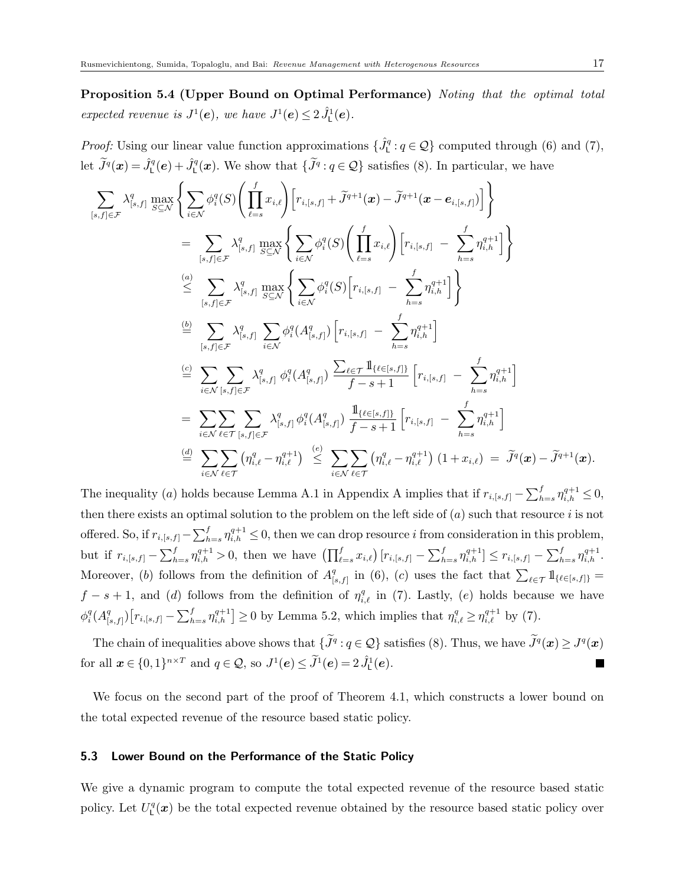Proposition 5.4 (Upper Bound on Optimal Performance) Noting that the optimal total expected revenue is  $J^1(\mathbf{e})$ , we have  $J^1(\mathbf{e}) \leq 2 \hat{J}^1(\mathbf{e})$ .

*Proof:* Using our linear value function approximations  $\{\hat{J}_{\mathsf{L}}^q:q\in\mathcal{Q}\}\)$  computed through (6) and (7), let  $\tilde{J}^q(\boldsymbol{x}) = \hat{J}^q_{\mathsf{L}}(\boldsymbol{e}) + \hat{J}^q_{\mathsf{L}}(\boldsymbol{x})$ . We show that  $\{\tilde{J}^q : q \in \mathcal{Q}\}$  satisfies (8). In particular, we have

$$
\sum_{[s,f]\in\mathcal{F}} \lambda_{[s,f]}^q \max_{S\subseteq\mathcal{N}} \left\{ \sum_{i\in\mathcal{N}} \phi_i^q(S) \left( \prod_{\ell=s}^f x_{i,\ell} \right) \left[ r_{i,[s,f]} + \tilde{J}^{q+1}(x) - \tilde{J}^{q+1}(x - e_{i,[s,f]}) \right] \right\} \n= \sum_{[s,f]\in\mathcal{F}} \lambda_{[s,f]}^q \max_{S\subseteq\mathcal{N}} \left\{ \sum_{i\in\mathcal{N}} \phi_i^q(S) \left( \prod_{\ell=s}^f x_{i,\ell} \right) \left[ r_{i,[s,f]} - \sum_{h=s}^f \eta_{i,h}^{q+1} \right] \right\} \n\stackrel{(a)}{\leq} \sum_{[s,f]\in\mathcal{F}} \lambda_{[s,f]}^q \max_{S\subseteq\mathcal{N}} \left\{ \sum_{i\in\mathcal{N}} \phi_i^q(S) \left[ r_{i,[s,f]} - \sum_{h=s}^f \eta_{i,h}^{q+1} \right] \right\} \n\stackrel{(b)}{=} \sum_{[s,f]\in\mathcal{F}} \lambda_{[s,f]}^q \sum_{i\in\mathcal{N}} \phi_i^q(A_{[s,f]}^q) \left[ r_{i,[s,f]} - \sum_{h=s}^f \eta_{i,h}^{q+1} \right] \n\stackrel{(c)}{=} \sum_{i\in\mathcal{N}} \sum_{[s,f]\in\mathcal{F}} \lambda_{[s,f]}^q \phi_i^q(A_{[s,f]}^q) \frac{\sum_{\ell\in\mathcal{T}} \mathbb{1}_{\{\ell\in[s,f]\}}}{f-s+1} \left[ r_{i,[s,f]} - \sum_{h=s}^f \eta_{i,h}^{q+1} \right] \n= \sum_{i\in\mathcal{N}} \sum_{\ell\in\mathcal{T}} \sum_{[s,f]\in\mathcal{F}} \lambda_{[s,f]}^q \phi_i^q(A_{[s,f]}^q) \frac{\mathbb{1}_{\{\ell\in[s,f]\}}}{f-s+1} \left[ r_{i,[s,f]} - \sum_{h=s}^f \eta_{i,h}^{q+1} \right] \n\stackrel{(d)}{=} \sum_{i\in\mathcal{N}} \sum_{\ell\in\mathcal{T}} \left( \eta_{i,\ell}^q - \eta_{i
$$

The inequality (a) holds because Lemma A.1 in Appendix A implies that if  $r_{i,[s,f]} - \sum_{h=s}^{f} \eta_{i,h}^{q+1} \leq 0$ , then there exists an optimal solution to the problem on the left side of  $(a)$  such that resource i is not offered. So, if  $r_{i,[s,f]} - \sum_{h=s}^f \eta_{i,h}^{q+1} \leq 0$ , then we can drop resource i from consideration in this problem, but if  $r_{i,[s,f]} - \sum_{h=s}^{f} \eta_{i,h}^{q+1} > 0$ , then we have  $\left( \prod_{\ell=s}^{f} x_{i,\ell} \right) [r_{i,[s,f]} - \sum_{h=s}^{f} \eta_{i,h}^{q+1}] \leq r_{i,[s,f]} - \sum_{h=s}^{f} \eta_{i,h}^{q+1}$ . Moreover, (b) follows from the definition of  $A<sup>q</sup><sub>1</sub>$  $\sum_{s}^{q}$  in (6), (c) uses the fact that  $\sum_{\ell \in \mathcal{T}} 1_{\{\ell \in [s,f]\}} =$  $f - s + 1$ , and (d) follows from the definition of  $\eta_{i,\ell}^q$  in (7). Lastly, (e) holds because we have  $\phi_i^q(A^q_{\scriptscriptstyle [a]}$  $\sum_{i=1}^q \int [r_{i,[s,f]} - \sum_{h=s}^f \eta_{i,h}^{q+1}] \ge 0$  by Lemma 5.2, which implies that  $\eta_{i,\ell}^q \ge \eta_{i,\ell}^{q+1}$  by (7).

The chain of inequalities above shows that  $\{\tilde{J}^q : q \in \mathcal{Q}\}$  satisfies (8). Thus, we have  $\tilde{J}^q(x) \geq J^q(x)$ for all  $\mathbf{x} \in \{0,1\}^{n \times T}$  and  $q \in \mathcal{Q}$ , so  $J^1(\mathbf{e}) \leq \tilde{J}^1(\mathbf{e}) = 2 \hat{J}^1(\mathbf{e})$ .  $\overline{\phantom{a}}$ 

We focus on the second part of the proof of Theorem 4.1, which constructs a lower bound on the total expected revenue of the resource based static policy.

## 5.3 Lower Bound on the Performance of the Static Policy

We give a dynamic program to compute the total expected revenue of the resource based static policy. Let  $U^q_{\mathsf{L}}(\bm{x})$  be the total expected revenue obtained by the resource based static policy over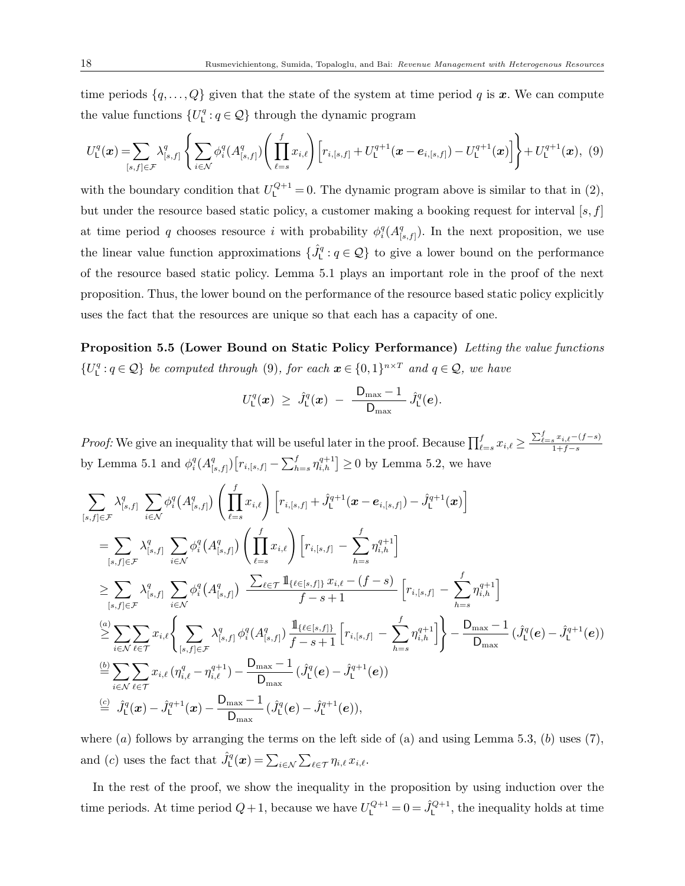time periods  $\{q, \ldots, Q\}$  given that the state of the system at time period q is x. We can compute the value functions  $\{U^q_\text{L} : q \in \mathcal{Q}\}\)$  through the dynamic program

$$
U_{\mathsf{L}}^{q}(\boldsymbol{x}) = \sum_{[s,f] \in \mathcal{F}} \lambda_{[s,f]}^{q} \left\{ \sum_{i \in \mathcal{N}} \phi_{i}^{q}(A_{[s,f]}^{q}) \left( \prod_{\ell=s}^{f} x_{i,\ell} \right) \left[ r_{i,[s,f]} + U_{\mathsf{L}}^{q+1}(\boldsymbol{x} - \boldsymbol{e}_{i,[s,f]}) - U_{\mathsf{L}}^{q+1}(\boldsymbol{x}) \right] \right\} + U_{\mathsf{L}}^{q+1}(\boldsymbol{x}), \tag{9}
$$

with the boundary condition that  $U_{L}^{Q+1} = 0$ . The dynamic program above is similar to that in (2), but under the resource based static policy, a customer making a booking request for interval  $[s, f]$ at time period q chooses resource i with probability  $\phi_i^q(A_{\parallel}^q)$  $S_{[s,f]}^{q}$ . In the next proposition, we use the linear value function approximations  $\{\hat{J}_{\mathsf{L}}^q:q\in\mathcal{Q}\}$  to give a lower bound on the performance of the resource based static policy. Lemma 5.1 plays an important role in the proof of the next proposition. Thus, the lower bound on the performance of the resource based static policy explicitly uses the fact that the resources are unique so that each has a capacity of one.

Proposition 5.5 (Lower Bound on Static Policy Performance) Letting the value functions  $\{U^q_\text{L}: q \in \mathcal{Q}\}\$ be computed through (9), for each  $\boldsymbol{x} \in \{0,1\}^{n \times T}$  and  $q \in \mathcal{Q}$ , we have

$$
U_{\rm L}^q(\boldsymbol{x}) \ \geq \ \hat{J}_{\rm L}^q(\boldsymbol{x}) \ - \ \frac{{\rm D}_{\rm max}-1}{{\rm D}_{\rm max}} \, \hat{J}_{\rm L}^q(\boldsymbol{e}).
$$

Proof: We give an inequality that will be useful later in the proof. Because  $\prod_{\ell=s}^f x_{i,\ell} \ge \frac{\sum_{\ell=s}^f x_{i,\ell}-(f-s)}{1+f-s}$  $1+f-s$ by Lemma 5.1 and  $\phi_i^q(A_{[.}^q)$  $\sum_{[s,f]}^{q} \left[ r_{i,[s,f]} - \sum_{h=s}^{f} \eta_{i,h}^{q+1} \right] \ge 0$  by Lemma 5.2, we have

$$
\sum_{[s,f]\in\mathcal{F}} \lambda_{[s,f]}^q \sum_{i\in\mathcal{N}} \phi_i^q (A_{[s,f]}^q) \left( \prod_{\ell=s}^f x_{i,\ell} \right) \left[ r_{i,[s,f]} + \hat{J}_{\mathsf{L}}^{q+1} (\boldsymbol{x} - \boldsymbol{e}_{i,[s,f]}) - \hat{J}_{\mathsf{L}}^{q+1} (\boldsymbol{x}) \right]
$$
\n
$$
= \sum_{[s,f]\in\mathcal{F}} \lambda_{[s,f]}^q \sum_{i\in\mathcal{N}} \phi_i^q (A_{[s,f]}^q) \left( \prod_{\ell=s}^f x_{i,\ell} \right) \left[ r_{i,[s,f]} - \sum_{h=s}^f \eta_{i,h}^{q+1} \right]
$$
\n
$$
\geq \sum_{[s,f]\in\mathcal{F}} \lambda_{[s,f]}^q \sum_{i\in\mathcal{N}} \phi_i^q (A_{[s,f]}^q) \frac{\sum_{\ell\in\mathcal{T}} \mathbb{1}_{\{\ell\in[s,f]\}} x_{i,\ell} - (f-s)}{f-s+1} \left[ r_{i,[s,f]} - \sum_{h=s}^f \eta_{i,h}^{q+1} \right]
$$
\n
$$
\geq \sum_{i\in\mathcal{N}} \sum_{\ell\in\mathcal{T}} x_{i,\ell} \left\{ \sum_{[s,f]\in\mathcal{F}} \lambda_{[s,f]}^q \phi_i^q (A_{[s,f]}^q) \frac{\mathbb{1}_{\{\ell\in[s,f]\}}}{f-s+1} \left[ r_{i,[s,f]} - \sum_{h=s}^f \eta_{i,h}^{q+1} \right] \right\} - \frac{D_{\max}-1}{D_{\max}} \left( \hat{J}_{\mathsf{L}}^q (\boldsymbol{e}) - \hat{J}_{\mathsf{L}}^{q+1} (\boldsymbol{e}) \right)
$$
\n
$$
\stackrel{(b)}{=} \sum_{i\in\mathcal{N}} \sum_{\ell\in\mathcal{T}} x_{i,\ell} \left( \eta_{i,\ell}^q - \eta_{i,\ell}^{q+1} \right) - \frac{D_{\max}-1}{D_{\max}} \left( \hat{J}_{\mathsf{L}}^q (\boldsymbol{e}) - \hat{J}_{\mathsf{L}}^{q+1} (\boldsymbol{e}) \right)
$$
\n
$$
\stackrel{(c)}{=} \hat{J
$$

where (a) follows by arranging the terms on the left side of (a) and using Lemma 5.3, (b) uses  $(7)$ , and (c) uses the fact that  $\hat{J}_{\mathsf{L}}^q(\boldsymbol{x}) = \sum_{i \in \mathcal{N}} \sum_{\ell \in \mathcal{T}} \eta_{i,\ell} x_{i,\ell}$ .

In the rest of the proof, we show the inequality in the proposition by using induction over the time periods. At time period  $Q+1$ , because we have  $U_L^{Q+1}=0=\hat{J}_L^{Q+1}$ , the inequality holds at time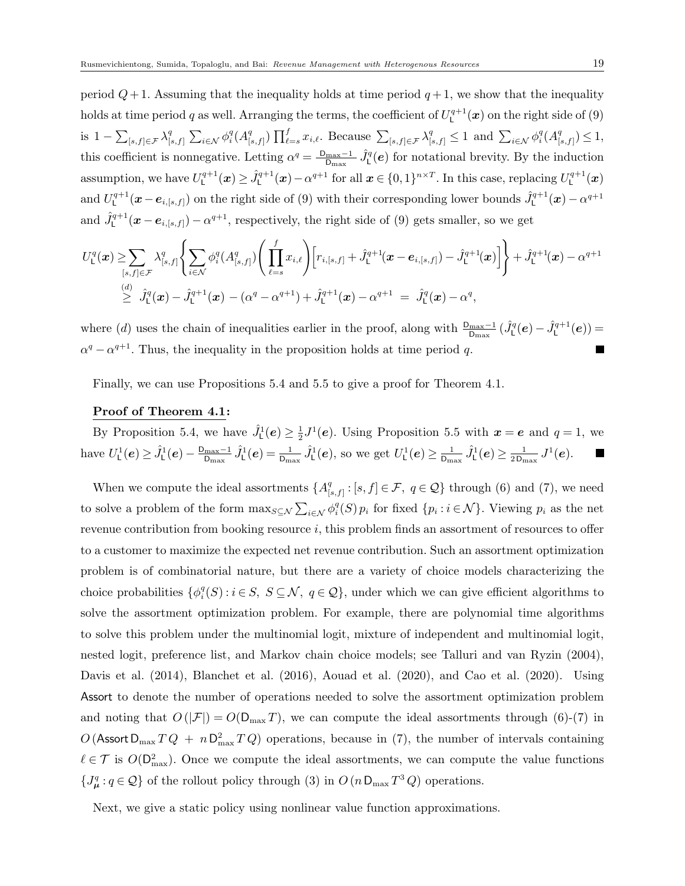period  $Q+1$ . Assuming that the inequality holds at time period  $q+1$ , we show that the inequality holds at time period q as well. Arranging the terms, the coefficient of  $U_1^{q+1}(\bm{x})$  on the right side of (9) is  $1 - \sum_{[s,f] \in \mathcal{F}} \lambda_{[s,f]}^q$  $\sum_{i\in\mathcal{N}}\phi_i^q(A_{[i]}^q)$  $\sum_{[s,f]} \prod_{\ell=s}^f x_{i,\ell}$ . Because  $\sum_{[s,f]\in\mathcal{F}} \lambda_{[s,f]}^q \leq 1$  and  $\sum_{i\in\mathcal{N}} \phi_i^q(A_{[s,f]}^q)$  $\binom{q}{[s,f]}\leq 1,$ this coefficient is nonnegative. Letting  $\alpha^q = \frac{\mathsf{D}_{\max}-1}{\mathsf{D}_{\max}}$  $\frac{\text{max}-1}{\text{D}_{\text{max}}} \hat{J}_{\text{L}}^{q}(\boldsymbol{e})$  for notational brevity. By the induction assumption, we have  $U^{q+1}_L(\boldsymbol{x}) \geq \hat{J}^{q+1}_L(\boldsymbol{x}) - \alpha^{q+1}$  for all  $\boldsymbol{x} \in \{0,1\}^{n \times T}$ . In this case, replacing  $U^{q+1}_L(\boldsymbol{x})$ and  $U^{q+1}_\text{L}(\bm{x}-\bm{e}_{i,[s,f]})$  on the right side of (9) with their corresponding lower bounds  $\hat{J}^{q+1}_\text{L}(\bm{x}) - \alpha^{q+1}$ and  $\hat{J}_{\mathsf{L}}^{q+1}(\bm{x}-\bm{e}_{i,[s,f]})-\alpha^{q+1}$ , respectively, the right side of (9) gets smaller, so we get

$$
U_{\mathsf{L}}^{q}(\boldsymbol{x}) \geq \sum_{[s,f] \in \mathcal{F}} \lambda_{[s,f]}^{q} \left\{ \sum_{i \in \mathcal{N}} \phi_{i}^{q} (A_{[s,f]}^{q}) \left( \prod_{\ell=s}^{f} x_{i,\ell} \right) \left[ r_{i,[s,f]} + \hat{J}_{\mathsf{L}}^{q+1}(\boldsymbol{x} - \boldsymbol{e}_{i,[s,f]}) - \hat{J}_{\mathsf{L}}^{q+1}(\boldsymbol{x}) \right] \right\} + \hat{J}_{\mathsf{L}}^{q+1}(\boldsymbol{x}) - \alpha^{q+1} \geq \hat{J}_{\mathsf{L}}^{q}(\boldsymbol{x}) - \hat{J}_{\mathsf{L}}^{q+1}(\boldsymbol{x}) - (\alpha^{q} - \alpha^{q+1}) + \hat{J}_{\mathsf{L}}^{q+1}(\boldsymbol{x}) - \alpha^{q+1} = \hat{J}_{\mathsf{L}}^{q}(\boldsymbol{x}) - \alpha^{q},
$$

where (d) uses the chain of inequalities earlier in the proof, along with  $\frac{D_{\max}-1}{D_{\max}}(\hat{J}_{\mathsf{L}}^q(\mathbf{e}) - \hat{J}_{\mathsf{L}}^{q+1}(\mathbf{e})) =$  $\alpha^{q} - \alpha^{q+1}$ . Thus, the inequality in the proposition holds at time period q.

Finally, we can use Propositions 5.4 and 5.5 to give a proof for Theorem 4.1.

## Proof of Theorem 4.1:

By Proposition 5.4, we have  $\hat{J}_{\text{L}}^1(e) \geq \frac{1}{2}$  $\frac{1}{2}J^1(e)$ . Using Proposition 5.5 with  $x = e$  and  $q = 1$ , we have  $U^1_{\mathsf{L}}(e) \geq \hat{J}^1_{\mathsf{L}}(e) - \frac{\mathsf{D}_{\max} - 1}{\mathsf{D}_{\max}}$  $\frac{\text{max}-1}{\text{D}_{\text{max}}}\hat{J}_{\text{L}}^{1}(\boldsymbol{e})=\frac{1}{\text{D}_{\text{max}}}\hat{J}_{\text{L}}^{1}(\boldsymbol{e}),$  so we get  $U_{\text{L}}^{1}(\boldsymbol{e})\geq\frac{1}{\text{D}_{\text{max}}}$  $\frac{1}{\mathtt{D}_{\max}}\hat{J}^1_{\mathsf{L}}(\bm{e})\geq \frac{1}{2\mathtt{D}_{\max}}$  $\frac{1}{2\,\mathsf{D}_{\max}}\,J^1(\boldsymbol{e}).$ 

When we compute the ideal assortments  $\{A^q_{\mathbb{C}}\}$  $[s,f]: [s,f] \in \mathcal{F}, q \in \mathcal{Q}$  through (6) and (7), we need to solve a problem of the form  $\max_{S \subseteq \mathcal{N}} \sum_{i \in \mathcal{N}} \phi_i^q(S) p_i$  for fixed  $\{p_i : i \in \mathcal{N}\}\)$ . Viewing  $p_i$  as the net revenue contribution from booking resource  $i$ , this problem finds an assortment of resources to offer to a customer to maximize the expected net revenue contribution. Such an assortment optimization problem is of combinatorial nature, but there are a variety of choice models characterizing the choice probabilities  $\{\phi_i^q(S) : i \in S, S \subseteq \mathcal{N}, q \in \mathcal{Q}\}\$ , under which we can give efficient algorithms to solve the assortment optimization problem. For example, there are polynomial time algorithms to solve this problem under the multinomial logit, mixture of independent and multinomial logit, nested logit, preference list, and Markov chain choice models; see Talluri and van Ryzin (2004), Davis et al. (2014), Blanchet et al. (2016), Aouad et al. (2020), and Cao et al. (2020). Using Assort to denote the number of operations needed to solve the assortment optimization problem and noting that  $O(|\mathcal{F}|) = O(\mathsf{D}_{\max} T)$ , we can compute the ideal assortments through (6)-(7) in  $O(\text{Assort D}_{\text{max}} T Q + n D_{\text{max}}^2 T Q)$  operations, because in (7), the number of intervals containing  $\ell \in \mathcal{T}$  is  $O(D_{\text{max}}^2)$ . Once we compute the ideal assortments, we can compute the value functions  $\{J^q_\mu: q \in \mathcal{Q}\}\$  of the rollout policy through (3) in  $O(n D_{\max} T^3 Q)$  operations.

Next, we give a static policy using nonlinear value function approximations.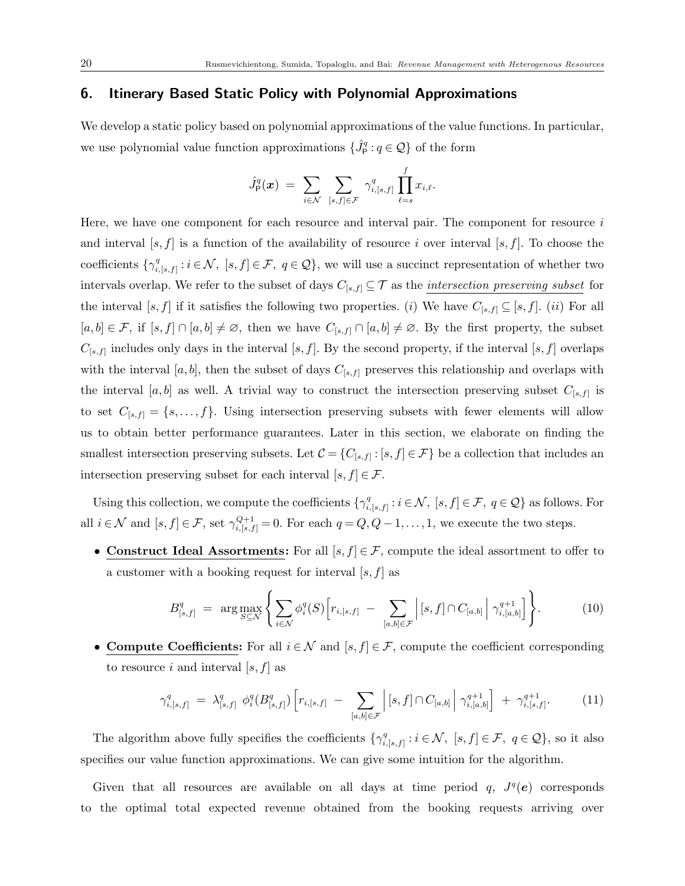## 6. Itinerary Based Static Policy with Polynomial Approximations

We develop a static policy based on polynomial approximations of the value functions. In particular, we use polynomial value function approximations  $\{\hat{J}_{\mathsf{P}}^{q} : q \in \mathcal{Q}\}$  of the form

$$
\hat{J}_{\mathsf{P}}^q(\boldsymbol{x}) = \sum_{i \in \mathcal{N}} \sum_{[s,f] \in \mathcal{F}} \gamma_{i,[s,f]}^q \prod_{\ell=s}^f x_{i,\ell}.
$$

Here, we have one component for each resource and interval pair. The component for resource i and interval  $[s, f]$  is a function of the availability of resource i over interval  $[s, f]$ . To choose the coefficients  $\{\gamma_i^q\}$  $i_{i,s,f]}^q : i \in \mathcal{N}, [s,f] \in \mathcal{F}, q \in \mathcal{Q},$  we will use a succinct representation of whether two intervals overlap. We refer to the subset of days  $C_{[s,f]} \subseteq \mathcal{T}$  as the *intersection preserving subset* for the interval [s, f] if it satisfies the following two properties. (i) We have  $C_{[s,f]} \subseteq [s,f]$ . (ii) For all  $[a, b] \in \mathcal{F}$ , if  $[s, f] \cap [a, b] \neq \emptyset$ , then we have  $C_{[s, f]} \cap [a, b] \neq \emptyset$ . By the first property, the subset  $C_{[s,f]}$  includes only days in the interval  $[s,f]$ . By the second property, if the interval  $[s,f]$  overlaps with the interval [a, b], then the subset of days  $C_{[s,f]}$  preserves this relationship and overlaps with the interval [a, b] as well. A trivial way to construct the intersection preserving subset  $C_{[s,f]}$  is to set  $C_{[s,f]} = \{s, \ldots, f\}$ . Using intersection preserving subsets with fewer elements will allow us to obtain better performance guarantees. Later in this section, we elaborate on finding the smallest intersection preserving subsets. Let  $\mathcal{C} = \{C_{[s,f]} : [s,f] \in \mathcal{F}\}$  be a collection that includes an intersection preserving subset for each interval  $[s, f] \in \mathcal{F}$ .

Using this collection, we compute the coefficients  $\{\gamma_i^q\}$  $i_{i,[s,f]}^q : i \in \mathcal{N}, \ [s,f] \in \mathcal{F}, \ q \in \mathcal{Q} \}$  as follows. For all  $i \in \mathcal{N}$  and  $[s, f] \in \mathcal{F}$ , set  $\gamma_{i,[s,f]}^{Q+1} = 0$ . For each  $q = Q, Q-1, \ldots, 1$ , we execute the two steps.

• Construct Ideal Assortments: For all  $[s, f] \in \mathcal{F}$ , compute the ideal assortment to offer to a customer with a booking request for interval  $[s, f]$  as

$$
B_{[s,f]}^q = \arg \max_{S \subseteq \mathcal{N}} \left\{ \sum_{i \in \mathcal{N}} \phi_i^q(S) \left[ r_{i,[s,f]} - \sum_{[a,b] \in \mathcal{F}} \left| [s,f] \cap C_{[a,b]} \right| \gamma_{i,[a,b]}^{q+1} \right] \right\}.
$$
 (10)

• Compute Coefficients: For all  $i \in \mathcal{N}$  and  $[s, f] \in \mathcal{F}$ , compute the coefficient corresponding to resource i and interval  $[s, f]$  as

$$
\gamma_{i,[s,f]}^q = \lambda_{[s,f]}^q \phi_i^q(B_{[s,f]}^q) \left[ r_{i,[s,f]} - \sum_{[a,b] \in \mathcal{F}} \left| [s,f] \cap C_{[a,b]} \right| \gamma_{i,[a,b]}^{q+1} \right] + \gamma_{i,[s,f]}^{q+1}.
$$
 (11)

The algorithm above fully specifies the coefficients  $\{\gamma_i^q\}$  $i_{i,[s,f]}^q : i \in \mathcal{N}, [s,f] \in \mathcal{F}, q \in \mathcal{Q},$  so it also specifies our value function approximations. We can give some intuition for the algorithm.

Given that all resources are available on all days at time period q,  $J<sup>q</sup>(e)$  corresponds to the optimal total expected revenue obtained from the booking requests arriving over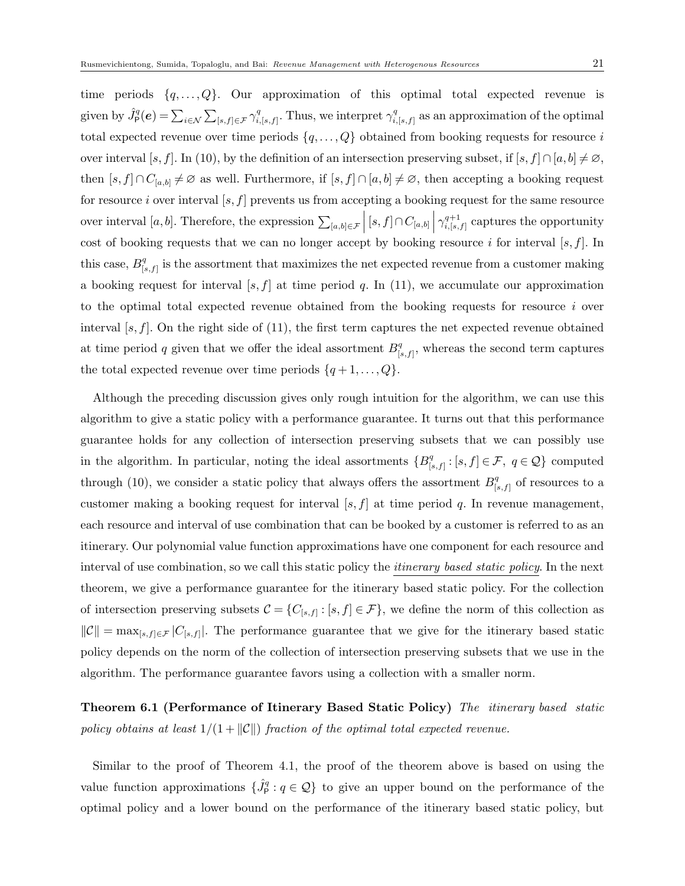time periods  $\{q, \ldots, Q\}$ . Our approximation of this optimal total expected revenue is given by  $\hat{J}_{\mathsf{P}}^q(\boldsymbol{e}) = \sum_{i \in \mathcal{N}} \sum_{[s,f] \in \mathcal{F}} \gamma_i^q$  $\gamma_{i,[s,f]}^q$ . Thus, we interpret  $\gamma_{i,[s,f]}^q$ .  $\prod_{i,[s,f]}^{q}$  as an approximation of the optimal total expected revenue over time periods  $\{q, \ldots, Q\}$  obtained from booking requests for resource i over interval [s, f]. In (10), by the definition of an intersection preserving subset, if  $[s, f] \cap [a, b] \neq \emptyset$ , then  $[s, f] \cap C_{[a,b]} \neq \emptyset$  as well. Furthermore, if  $[s, f] \cap [a,b] \neq \emptyset$ , then accepting a booking request for resource i over interval  $[s, f]$  prevents us from accepting a booking request for the same resource over interval [a, b]. Therefore, the expression  $\sum_{[a,b]\in\mathcal{F}} |[s,f]\cap C_{[a,b]}$   $\Big|\gamma_{i,[s,a]}^{q+1}$  $\prod_{i,[s,f]}^{q+1}$  captures the opportunity cost of booking requests that we can no longer accept by booking resource i for interval  $[s, f]$ . In this case,  $B_1^q$  $\mathbb{F}_{[s,f]}^q$  is the assortment that maximizes the net expected revenue from a customer making a booking request for interval [s, f] at time period q. In (11), we accumulate our approximation to the optimal total expected revenue obtained from the booking requests for resource i over interval  $[s, f]$ . On the right side of (11), the first term captures the net expected revenue obtained at time period q given that we offer the ideal assortment  $B^q_{\alpha}$  $S_{[s,f]}^q$ , whereas the second term captures the total expected revenue over time periods  $\{q+1,\ldots,Q\}.$ 

Although the preceding discussion gives only rough intuition for the algorithm, we can use this algorithm to give a static policy with a performance guarantee. It turns out that this performance guarantee holds for any collection of intersection preserving subsets that we can possibly use in the algorithm. In particular, noting the ideal assortments  ${B}^q_{\alpha}$  $[s,f]: [s,f] \in \mathcal{F}, q \in \mathcal{Q}$  computed through (10), we consider a static policy that always offers the assortment  $B_1^q$ .  $\binom{q}{[s,f]}$  of resources to a customer making a booking request for interval  $[s, f]$  at time period q. In revenue management, each resource and interval of use combination that can be booked by a customer is referred to as an itinerary. Our polynomial value function approximations have one component for each resource and interval of use combination, so we call this static policy the *itinerary based static policy*. In the next theorem, we give a performance guarantee for the itinerary based static policy. For the collection of intersection preserving subsets  $\mathcal{C} = \{C_{[s,f]} : [s,f] \in \mathcal{F}\}\,$ , we define the norm of this collection as  $||\mathcal{C}|| = \max_{[s,f] \in \mathcal{F}} |C_{[s,f]}|$ . The performance guarantee that we give for the itinerary based static policy depends on the norm of the collection of intersection preserving subsets that we use in the algorithm. The performance guarantee favors using a collection with a smaller norm.

Theorem 6.1 (Performance of Itinerary Based Static Policy) The itinerary based static policy obtains at least  $1/(1 + ||\mathcal{C}||)$  fraction of the optimal total expected revenue.

Similar to the proof of Theorem 4.1, the proof of the theorem above is based on using the value function approximations  $\{\hat{J}_{\mathsf{P}}^q : q \in \mathcal{Q}\}\$  to give an upper bound on the performance of the optimal policy and a lower bound on the performance of the itinerary based static policy, but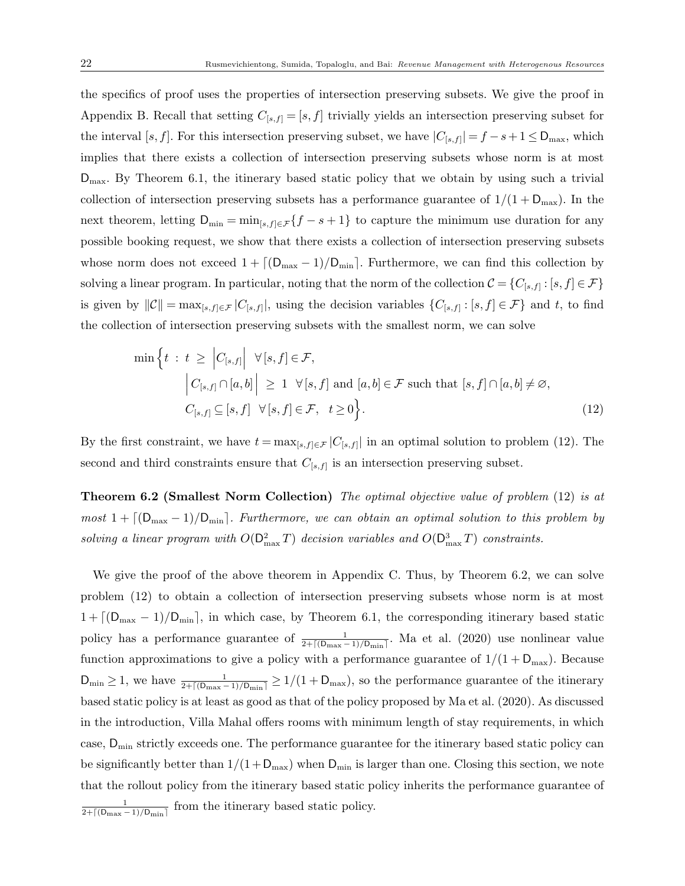the specifics of proof uses the properties of intersection preserving subsets. We give the proof in Appendix B. Recall that setting  $C_{[s,f]} = [s,f]$  trivially yields an intersection preserving subset for the interval [s, f]. For this intersection preserving subset, we have  $|C_{[s,f]}| = f - s + 1 \leq D_{\text{max}}$ , which implies that there exists a collection of intersection preserving subsets whose norm is at most  $D_{\text{max}}$ . By Theorem 6.1, the itinerary based static policy that we obtain by using such a trivial collection of intersection preserving subsets has a performance guarantee of  $1/(1 + D_{\text{max}})$ . In the next theorem, letting  $D_{\min} = \min_{[s,f] \in \mathcal{F}} \{f - s + 1\}$  to capture the minimum use duration for any possible booking request, we show that there exists a collection of intersection preserving subsets whose norm does not exceed  $1 + \lfloor (D_{\max} - 1)/D_{\min} \rfloor$ . Furthermore, we can find this collection by solving a linear program. In particular, noting that the norm of the collection  $C = \{C_{[s,f]} : [s,f] \in \mathcal{F}\}\$ is given by  $||\mathcal{C}|| = \max_{[s,f]\in\mathcal{F}} |C_{[s,f]}|$ , using the decision variables  $\{C_{[s,f]} : [s,f] \in \mathcal{F}\}\$  and t, to find the collection of intersection preserving subsets with the smallest norm, we can solve

$$
\min \left\{ t \; : \; t \; \geq \; \left| C_{[s,f]} \right| \; \forall [s,f] \in \mathcal{F},
$$
\n
$$
\left| C_{[s,f]} \cap [a,b] \right| \; \geq \; 1 \; \forall [s,f] \text{ and } [a,b] \in \mathcal{F} \text{ such that } [s,f] \cap [a,b] \neq \varnothing,
$$
\n
$$
C_{[s,f]} \subseteq [s,f] \; \forall [s,f] \in \mathcal{F}, \; t \geq 0 \right\}.
$$
\n
$$
(12)
$$

By the first constraint, we have  $t = \max_{[s,f] \in \mathcal{F}} |C_{[s,f]}|$  in an optimal solution to problem (12). The second and third constraints ensure that  $C_{[s,f]}$  is an intersection preserving subset.

**Theorem 6.2 (Smallest Norm Collection)** The optimal objective value of problem (12) is at  $most 1 + \lfloor(D_{\text{max}}-1)/D_{\text{min}}\rfloor$ . Furthermore, we can obtain an optimal solution to this problem by solving a linear program with  $O(D_{\text{max}}^2T)$  decision variables and  $O(D_{\text{max}}^3T)$  constraints.

We give the proof of the above theorem in Appendix C. Thus, by Theorem 6.2, we can solve problem (12) to obtain a collection of intersection preserving subsets whose norm is at most  $1 + \left[ \left( D_{\text{max}} - 1 \right) / D_{\text{min}} \right]$ , in which case, by Theorem 6.1, the corresponding itinerary based static policy has a performance guarantee of  $\frac{1}{2+\lceil(\mathsf{D}_{\max}-1)/\mathsf{D}_{\min}\rceil}$ . Ma et al. (2020) use nonlinear value function approximations to give a policy with a performance guarantee of  $1/(1 + D_{\text{max}})$ . Because  $D_{\min} \ge 1$ , we have  $\frac{1}{2 + \lceil (D_{\max} - 1)/D_{\min} \rceil} \ge 1/(1 + D_{\max})$ , so the performance guarantee of the itinerary based static policy is at least as good as that of the policy proposed by Ma et al. (2020). As discussed in the introduction, Villa Mahal offers rooms with minimum length of stay requirements, in which case,  $D_{\min}$  strictly exceeds one. The performance guarantee for the itinerary based static policy can be significantly better than  $1/(1+D_{\text{max}})$  when  $D_{\text{min}}$  is larger than one. Closing this section, we note that the rollout policy from the itinerary based static policy inherits the performance guarantee of 1  $\frac{1}{2 + \lceil(\text{Dmax} - 1)/\text{Dmin}\rceil}$  from the itinerary based static policy.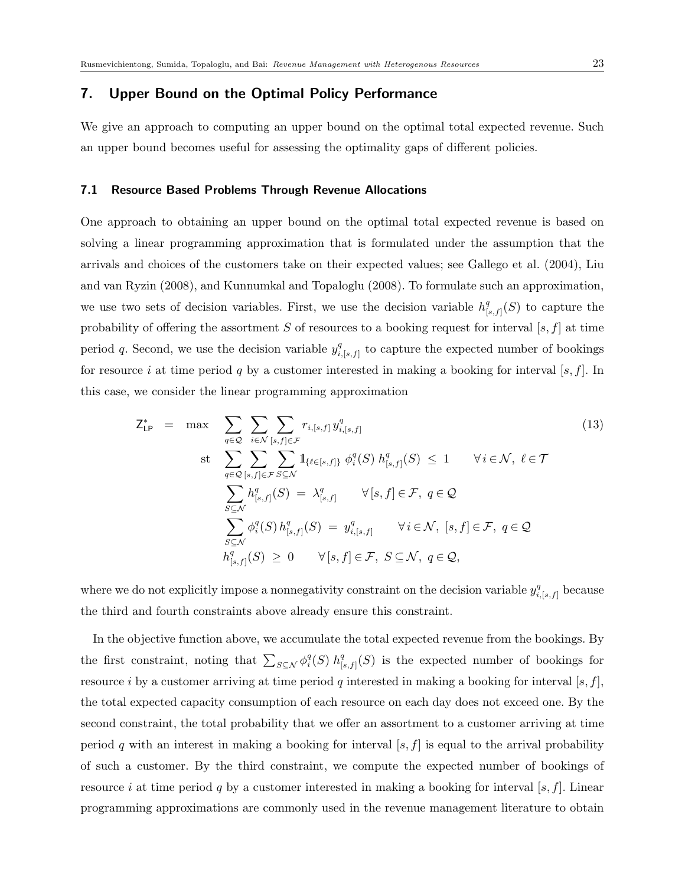## 7. Upper Bound on the Optimal Policy Performance

We give an approach to computing an upper bound on the optimal total expected revenue. Such an upper bound becomes useful for assessing the optimality gaps of different policies.

## 7.1 Resource Based Problems Through Revenue Allocations

One approach to obtaining an upper bound on the optimal total expected revenue is based on solving a linear programming approximation that is formulated under the assumption that the arrivals and choices of the customers take on their expected values; see Gallego et al. (2004), Liu and van Ryzin (2008), and Kunnumkal and Topaloglu (2008). To formulate such an approximation, we use two sets of decision variables. First, we use the decision variable  $h_{\text{L}}^{q}$  $\binom{q}{[s,f]}(S)$  to capture the probability of offering the assortment S of resources to a booking request for interval  $[s, f]$  at time period q. Second, we use the decision variable  $y_i^q$  $\frac{q}{i,[s,f]}$  to capture the expected number of bookings for resource i at time period q by a customer interested in making a booking for interval  $[s, f]$ . In this case, we consider the linear programming approximation

$$
Z_{\mathsf{LP}}^* = \max \sum_{q \in \mathcal{Q}} \sum_{i \in \mathcal{N}} \sum_{[s,f] \in \mathcal{F}} r_{i,[s,f]} y_{i,[s,f]}^q
$$
\n
$$
\text{st} \sum_{q \in \mathcal{Q}} \sum_{[s,f] \in \mathcal{F}} \sum_{S \subseteq \mathcal{N}} \mathbf{1}_{\{\ell \in [s,f]\}} \phi_i^q(S) h_{[s,f]}^q(S) \le 1 \quad \forall i \in \mathcal{N}, \ell \in \mathcal{T}
$$
\n
$$
\sum_{S \subseteq \mathcal{N}} h_{[s,f]}^q(S) = \lambda_{[s,f]}^q \quad \forall [s,f] \in \mathcal{F}, \ q \in \mathcal{Q}
$$
\n
$$
\sum_{S \subseteq \mathcal{N}} \phi_i^q(S) h_{[s,f]}^q(S) = y_{i,[s,f]}^q \quad \forall i \in \mathcal{N}, \ [s,f] \in \mathcal{F}, \ q \in \mathcal{Q}
$$
\n
$$
h_{[s,f]}^q(S) \ge 0 \quad \forall [s,f] \in \mathcal{F}, \ S \subseteq \mathcal{N}, \ q \in \mathcal{Q},
$$
\n
$$
(13)
$$

where we do not explicitly impose a nonnegativity constraint on the decision variable  $y_i^q$  $_{i,[s,f]}^q$  because the third and fourth constraints above already ensure this constraint.

In the objective function above, we accumulate the total expected revenue from the bookings. By the first constraint, noting that  $\sum_{S \subseteq \mathcal{N}} \phi_i^q(S) h_{\parallel}^q$  $\mathcal{L}_{[s,f]}(S)$  is the expected number of bookings for resource i by a customer arriving at time period q interested in making a booking for interval  $[s, f]$ , the total expected capacity consumption of each resource on each day does not exceed one. By the second constraint, the total probability that we offer an assortment to a customer arriving at time period q with an interest in making a booking for interval  $[s, f]$  is equal to the arrival probability of such a customer. By the third constraint, we compute the expected number of bookings of resource i at time period q by a customer interested in making a booking for interval  $[s, f]$ . Linear programming approximations are commonly used in the revenue management literature to obtain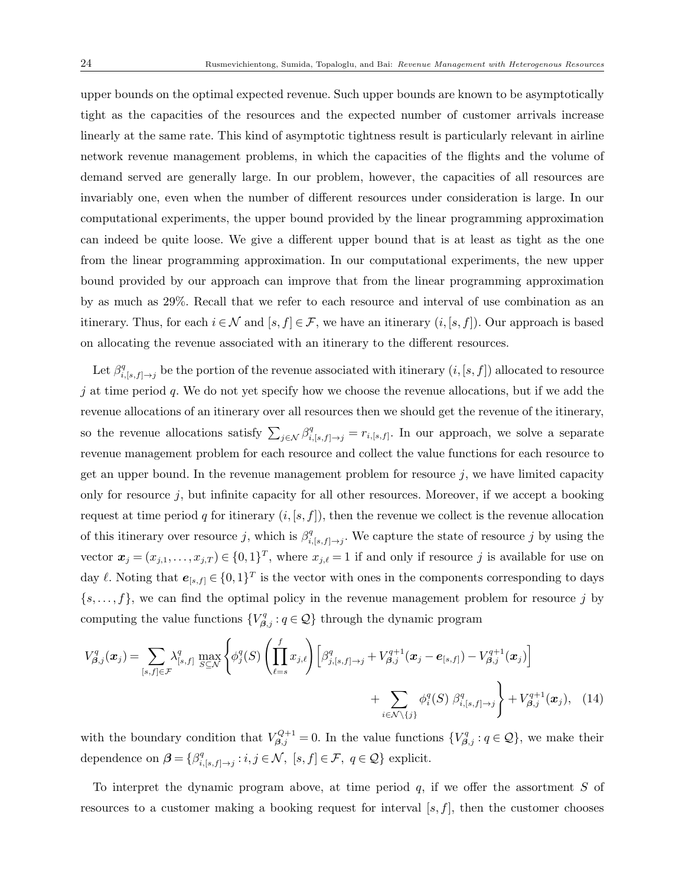upper bounds on the optimal expected revenue. Such upper bounds are known to be asymptotically tight as the capacities of the resources and the expected number of customer arrivals increase linearly at the same rate. This kind of asymptotic tightness result is particularly relevant in airline network revenue management problems, in which the capacities of the flights and the volume of demand served are generally large. In our problem, however, the capacities of all resources are invariably one, even when the number of different resources under consideration is large. In our computational experiments, the upper bound provided by the linear programming approximation can indeed be quite loose. We give a different upper bound that is at least as tight as the one from the linear programming approximation. In our computational experiments, the new upper bound provided by our approach can improve that from the linear programming approximation by as much as 29%. Recall that we refer to each resource and interval of use combination as an itinerary. Thus, for each  $i \in \mathcal{N}$  and  $[s, f] \in \mathcal{F}$ , we have an itinerary  $(i, [s, f])$ . Our approach is based on allocating the revenue associated with an itinerary to the different resources.

Let  $\beta_i^q$  $i_{i,s,f|\to j}^{q}$  be the portion of the revenue associated with itinerary  $(i,[s,f])$  allocated to resource  $j$  at time period  $q$ . We do not yet specify how we choose the revenue allocations, but if we add the revenue allocations of an itinerary over all resources then we should get the revenue of the itinerary, so the revenue allocations satisfy  $\sum_{j \in \mathcal{N}} \beta_{i,[s,f]\to j}^q = r_{i,[s,f]}$ . In our approach, we solve a separate revenue management problem for each resource and collect the value functions for each resource to get an upper bound. In the revenue management problem for resource  $j$ , we have limited capacity only for resource  $j$ , but infinite capacity for all other resources. Moreover, if we accept a booking request at time period q for itinerary  $(i, [s, f])$ , then the revenue we collect is the revenue allocation of this itinerary over resource j, which is  $\beta_i^q$  $i_{i,s,f|\rightarrow j}$ . We capture the state of resource j by using the vector  $\boldsymbol{x}_j = (x_{j,1}, \ldots, x_{j,T}) \in \{0,1\}^T$ , where  $x_{j,\ell} = 1$  if and only if resource j is available for use on day  $\ell$ . Noting that  $e_{[s,f]} \in \{0,1\}^T$  is the vector with ones in the components corresponding to days  $\{s, \ldots, f\}$ , we can find the optimal policy in the revenue management problem for resource j by computing the value functions  $\{V_{\beta,j}^q : q \in \mathcal{Q}\}\)$  through the dynamic program

$$
V_{\beta,j}^q(\boldsymbol{x}_j) = \sum_{[s,f] \in \mathcal{F}} \lambda_{[s,f]}^q \max_{S \subseteq \mathcal{N}} \left\{ \phi_j^q(S) \left( \prod_{\ell=s}^f x_{j,\ell} \right) \left[ \beta_{j,[s,f] \to j}^q + V_{\beta,j}^{q+1}(\boldsymbol{x}_j - \boldsymbol{e}_{[s,f]}) - V_{\beta,j}^{q+1}(\boldsymbol{x}_j) \right] \right\} + \sum_{i \in \mathcal{N} \setminus \{j\}} \phi_i^q(S) \beta_{i,[s,f] \to j}^q \right\} + V_{\beta,j}^{q+1}(\boldsymbol{x}_j), \quad (14)
$$

with the boundary condition that  $V_{\beta,j}^{Q+1} = 0$ . In the value functions  $\{V_{\beta,j}^q : q \in \mathcal{Q}\}\,$ , we make their dependence on  $\beta = \{\beta_i^q\}$  $i_{i,[s,f]\rightarrow j}: i,j \in \mathcal{N}, [s,f] \in \mathcal{F}, q \in \mathcal{Q}$  explicit.

To interpret the dynamic program above, at time period  $q$ , if we offer the assortment  $S$  of resources to a customer making a booking request for interval  $[s, f]$ , then the customer chooses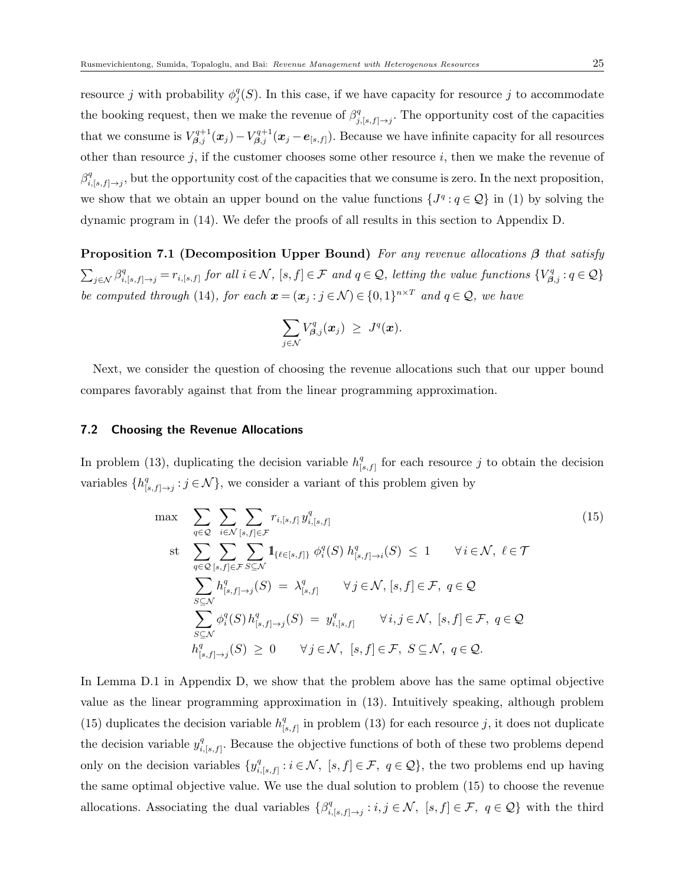resource j with probability  $\phi_j^q(S)$ . In this case, if we have capacity for resource j to accommodate the booking request, then we make the revenue of  $\beta_i^q$  $j_{j,s,f]\rightarrow j}^q$ . The opportunity cost of the capacities that we consume is  $V_{\beta,j}^{q+1}(\bm{x}_j)-V_{\beta,j}^{q+1}(\bm{x}_j-\bm{e}_{[s,f]})$ . Because we have infinite capacity for all resources other than resource  $j$ , if the customer chooses some other resource  $i$ , then we make the revenue of  $\beta_i^q$  $\prod_{i,[s,f]\to j}^q$ , but the opportunity cost of the capacities that we consume is zero. In the next proposition, we show that we obtain an upper bound on the value functions  $\{J^q : q \in \mathcal{Q}\}\$ in (1) by solving the dynamic program in (14). We defer the proofs of all results in this section to Appendix D.

**Proposition 7.1 (Decomposition Upper Bound)** For any revenue allocations  $\beta$  that satisfy  $\sum_{j \in \mathcal{N}} \beta_{i,[s,f]\to j}^q = r_{i,[s,f]}$  for all  $i \in \mathcal{N}$ ,  $[s,f] \in \mathcal{F}$  and  $q \in \mathcal{Q}$ , letting the value functions  $\{V_{\beta,j}^q : q \in \mathcal{Q}\}\$ be computed through (14), for each  $\mathbf{x} = (\mathbf{x}_j : j \in \mathcal{N}) \in \{0,1\}^{n \times T}$  and  $q \in \mathcal{Q}$ , we have

$$
\sum_{j\in\mathcal{N}}V_{\boldsymbol{\beta},j}^{q}(\boldsymbol{x}_{j})\ \geq\ J^{q}(\boldsymbol{x}).
$$

Next, we consider the question of choosing the revenue allocations such that our upper bound compares favorably against that from the linear programming approximation.

#### 7.2 Choosing the Revenue Allocations

In problem (13), duplicating the decision variable  $h_{\text{L}}^{q}$  $\frac{q}{[s,f]}$  for each resource j to obtain the decision variables  $\{h_q^q\}$  $S_{[s,f]\rightarrow j}^q : j \in \mathcal{N}$ , we consider a variant of this problem given by

$$
\max \sum_{q \in \mathcal{Q}} \sum_{i \in \mathcal{N}} \sum_{[s,f] \in \mathcal{F}} r_{i,[s,f]} y_{i,[s,f]}^q
$$
\n
$$
\text{st} \sum_{q \in \mathcal{Q}} \sum_{[s,f] \in \mathcal{F}} \sum_{S \subseteq \mathcal{N}} \mathbf{1}_{\{\ell \in [s,f]\}} \phi_i^q(S) h_{[s,f] \to i}^q(S) \le 1 \quad \forall i \in \mathcal{N}, \ell \in \mathcal{T}
$$
\n
$$
\sum_{S \subseteq \mathcal{N}} h_{[s,f] \to j}^q(S) = \lambda_{[s,f]}^q \quad \forall j \in \mathcal{N}, [s,f] \in \mathcal{F}, q \in \mathcal{Q}
$$
\n
$$
\sum_{S \subseteq \mathcal{N}} \phi_i^q(S) h_{[s,f] \to j}^q(S) = y_{i,[s,f]}^q \quad \forall i,j \in \mathcal{N}, [s,f] \in \mathcal{F}, q \in \mathcal{Q}
$$
\n
$$
h_{[s,f] \to j}^q(S) \ge 0 \quad \forall j \in \mathcal{N}, [s,f] \in \mathcal{F}, S \subseteq \mathcal{N}, q \in \mathcal{Q}.
$$
\n
$$
(15)
$$

In Lemma D.1 in Appendix D, we show that the problem above has the same optimal objective value as the linear programming approximation in (13). Intuitively speaking, although problem (15) duplicates the decision variable  $h_{\perp}^{q}$  $\binom{q}{[s,f]}$  in problem (13) for each resource j, it does not duplicate the decision variable  $y_i^q$  $_{i,[s,f]}^q$ . Because the objective functions of both of these two problems depend only on the decision variables  $\{y_i^q\}$  $i_{i,[s,f]}^q : i \in \mathcal{N}, [s,f] \in \mathcal{F}, q \in \mathcal{Q},$  the two problems end up having the same optimal objective value. We use the dual solution to problem (15) to choose the revenue allocations. Associating the dual variables  $\{\beta_i^q\}$  $i_{i,[s,f]\rightarrow j}: i,j \in \mathcal{N}, [s,f] \in \mathcal{F}, q \in \mathcal{Q}$  with the third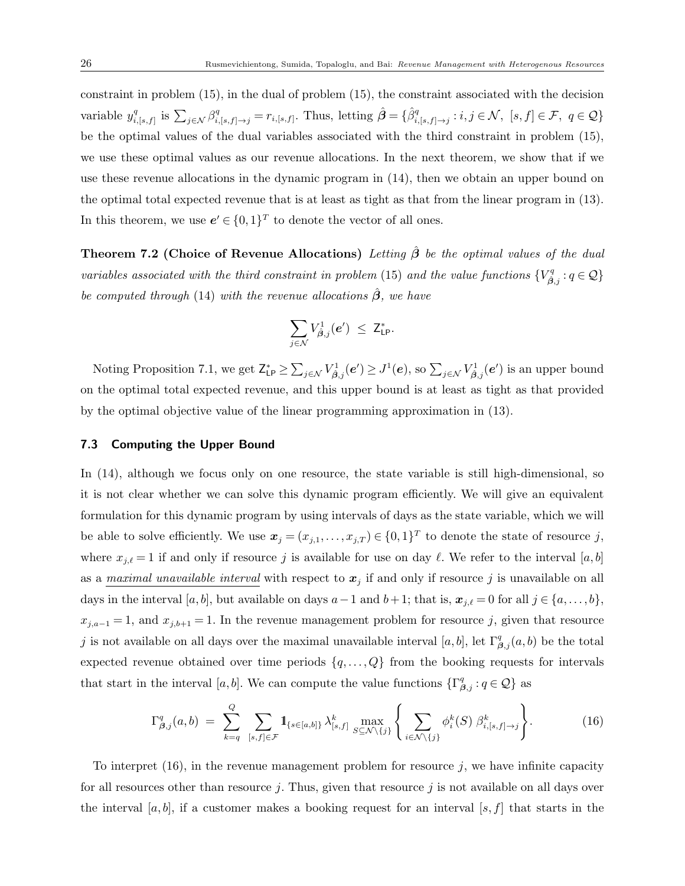constraint in problem (15), in the dual of problem (15), the constraint associated with the decision variable  $y_i^q$  $\sum_{i,[s,f]}$  is  $\sum_{j\in\mathcal{N}} \beta_{i,[s,f]\to j}^q = r_{i,[s,f]}$ . Thus, letting  $\hat{\boldsymbol{\beta}} = \{\hat{\beta}_{i,[s,f]\to j}^q : i,j\in\mathcal{N},\ [s,f]\in\mathcal{F},\ q\in\mathcal{Q}\}\$ be the optimal values of the dual variables associated with the third constraint in problem (15), we use these optimal values as our revenue allocations. In the next theorem, we show that if we use these revenue allocations in the dynamic program in (14), then we obtain an upper bound on the optimal total expected revenue that is at least as tight as that from the linear program in (13). In this theorem, we use  $e' \in \{0,1\}^T$  to denote the vector of all ones.

**Theorem 7.2 (Choice of Revenue Allocations)** Letting  $\hat{\beta}$  be the optimal values of the dual variables associated with the third constraint in problem (15) and the value functions  ${V^q_{\hat{\beta},j}}: q \in \mathcal{Q}$ be computed through (14) with the revenue allocations  $\hat{\beta}$ , we have

$$
\sum_{j\in\mathcal{N}}V_{\hat{\beta},j}^1(e')\ \leq\ \mathsf{Z}_{\mathrm{LP}}^*.
$$

Noting Proposition 7.1, we get  $Z_{\mathsf{LP}}^* \geq \sum_{j \in \mathcal{N}} V_{\hat{\boldsymbol{\beta}},j}^1(\boldsymbol{e}') \geq J^1(\boldsymbol{e}),$  so  $\sum_{j \in \mathcal{N}} V_{\hat{\boldsymbol{\beta}},j}^1(\boldsymbol{e}')$  is an upper bound on the optimal total expected revenue, and this upper bound is at least as tight as that provided by the optimal objective value of the linear programming approximation in (13).

#### 7.3 Computing the Upper Bound

In  $(14)$ , although we focus only on one resource, the state variable is still high-dimensional, so it is not clear whether we can solve this dynamic program efficiently. We will give an equivalent formulation for this dynamic program by using intervals of days as the state variable, which we will be able to solve efficiently. We use  $\mathbf{x}_j = (x_{j,1}, \ldots, x_{j,T}) \in \{0,1\}^T$  to denote the state of resource j, where  $x_{j,\ell} = 1$  if and only if resource j is available for use on day  $\ell$ . We refer to the interval [a, b] as a maximal unavailable interval with respect to  $x_j$  if and only if resource j is unavailable on all days in the interval  $[a, b]$ , but available on days  $a-1$  and  $b+1$ ; that is,  $\mathbf{x}_{j,\ell} = 0$  for all  $j \in \{a, \ldots, b\}$ ,  $x_{j,a-1} = 1$ , and  $x_{j,b+1} = 1$ . In the revenue management problem for resource j, given that resource j is not available on all days over the maximal unavailable interval [a, b], let  $\Gamma_{\beta,j}^q(a,b)$  be the total expected revenue obtained over time periods  $\{q, \ldots, Q\}$  from the booking requests for intervals that start in the interval [a, b]. We can compute the value functions  $\{\Gamma_{\beta,j}^q : q \in \mathcal{Q}\}\)$  as

$$
\Gamma_{\beta,j}^q(a,b) = \sum_{k=q}^Q \sum_{[s,f]\in\mathcal{F}} 1\!\!1_{\{s\in[a,b]\}} \lambda_{[s,f]}^k \max_{S\subseteq\mathcal{N}\setminus\{j\}} \left\{ \sum_{i\in\mathcal{N}\setminus\{j\}} \phi_i^k(S) \beta_{i,[s,f]\to j}^k \right\}.
$$
 (16)

To interpret  $(16)$ , in the revenue management problem for resource j, we have infinite capacity for all resources other than resource j. Thus, given that resource j is not available on all days over the interval [a, b], if a customer makes a booking request for an interval [s, f] that starts in the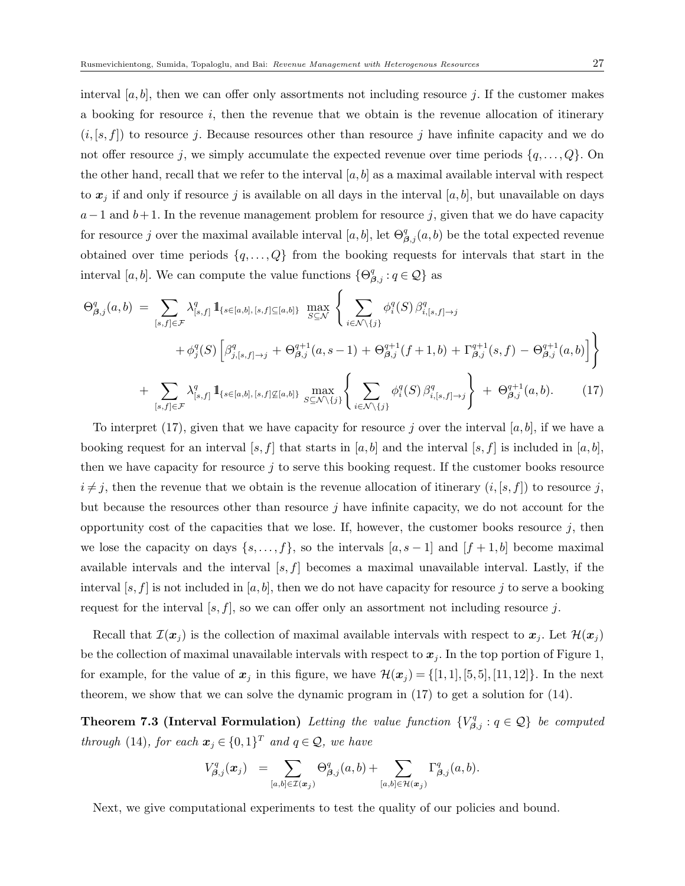interval [a, b], then we can offer only assortments not including resource j. If the customer makes a booking for resource  $i$ , then the revenue that we obtain is the revenue allocation of itinerary  $(i,[s,f])$  to resource j. Because resources other than resource j have infinite capacity and we do not offer resource j, we simply accumulate the expected revenue over time periods  $\{q, \ldots, Q\}$ . On the other hand, recall that we refer to the interval  $[a, b]$  as a maximal available interval with respect to  $x_j$  if and only if resource j is available on all days in the interval [a, b], but unavailable on days  $a-1$  and  $b+1$ . In the revenue management problem for resource j, given that we do have capacity for resource j over the maximal available interval  $[a, b]$ , let  $\Theta_{\beta, j}^q(a, b)$  be the total expected revenue obtained over time periods  $\{q, \ldots, Q\}$  from the booking requests for intervals that start in the interval [a, b]. We can compute the value functions  $\{\Theta_{\beta,j}^q : q \in \mathcal{Q}\}\)$  as

$$
\Theta_{\beta,j}^{q}(a,b) = \sum_{[s,f]\in\mathcal{F}} \lambda_{[s,f]}^{q} \mathbb{1}_{\{s \in [a,b], [s,f]\subseteq [a,b]\}} \max_{S \subseteq \mathcal{N}} \left\{ \sum_{i \in \mathcal{N} \setminus \{j\}} \phi_{i}^{q}(S) \beta_{i,[s,f]\to j}^{q} + \phi_{\beta,j}^{q}(S) \left[ \beta_{j,[s,f]\to j}^{q} + \Theta_{\beta,j}^{q+1}(a,s-1) + \Theta_{\beta,j}^{q+1}(f+1,b) + \Gamma_{\beta,j}^{q+1}(s,f) - \Theta_{\beta,j}^{q+1}(a,b) \right] \right\}
$$
  
+ 
$$
\sum_{[s,f]\in\mathcal{F}} \lambda_{[s,f]}^{q} \mathbb{1}_{\{s \in [a,b], [s,f]\not\subseteq [a,b]\}} \max_{S \subseteq \mathcal{N} \setminus \{j\}} \left\{ \sum_{i \in \mathcal{N} \setminus \{j\}} \phi_{i}^{q}(S) \beta_{i,[s,f]\to j}^{q} + \Theta_{\beta,j}^{q+1}(a,b). \tag{17}
$$

To interpret (17), given that we have capacity for resource j over the interval [a, b], if we have a booking request for an interval [s, f] that starts in [a, b] and the interval [s, f] is included in [a, b], then we have capacity for resource  $j$  to serve this booking request. If the customer books resource  $i \neq j$ , then the revenue that we obtain is the revenue allocation of itinerary  $(i, [s, f])$  to resource j, but because the resources other than resource j have infinite capacity, we do not account for the opportunity cost of the capacities that we lose. If, however, the customer books resource  $j$ , then we lose the capacity on days  $\{s, \ldots, f\}$ , so the intervals  $[a, s-1]$  and  $[f + 1, b]$  become maximal available intervals and the interval  $[s, f]$  becomes a maximal unavailable interval. Lastly, if the interval [s, f] is not included in [a, b], then we do not have capacity for resource j to serve a booking request for the interval  $[s, f]$ , so we can offer only an assortment not including resource j.

Recall that  $\mathcal{I}(x_i)$  is the collection of maximal available intervals with respect to  $x_j$ . Let  $\mathcal{H}(x_j)$ be the collection of maximal unavailable intervals with respect to  $x_j$ . In the top portion of Figure 1, for example, for the value of  $x_j$  in this figure, we have  $\mathcal{H}(x_j) = \{ [1, 1], [5, 5], [11, 12] \}$ . In the next theorem, we show that we can solve the dynamic program in (17) to get a solution for (14).

**Theorem 7.3 (Interval Formulation)** Letting the value function  ${V}_{\beta,j}^q : q \in \mathcal{Q}$  be computed through (14), for each  $\boldsymbol{x}_j \in \{0,1\}^T$  and  $q \in \mathcal{Q}$ , we have

$$
V_{\beta,j}^q(x_j) = \sum_{[a,b]\in \mathcal{I}(x_j)} \Theta_{\beta,j}^q(a,b) + \sum_{[a,b]\in \mathcal{H}(x_j)} \Gamma_{\beta,j}^q(a,b).
$$

Next, we give computational experiments to test the quality of our policies and bound.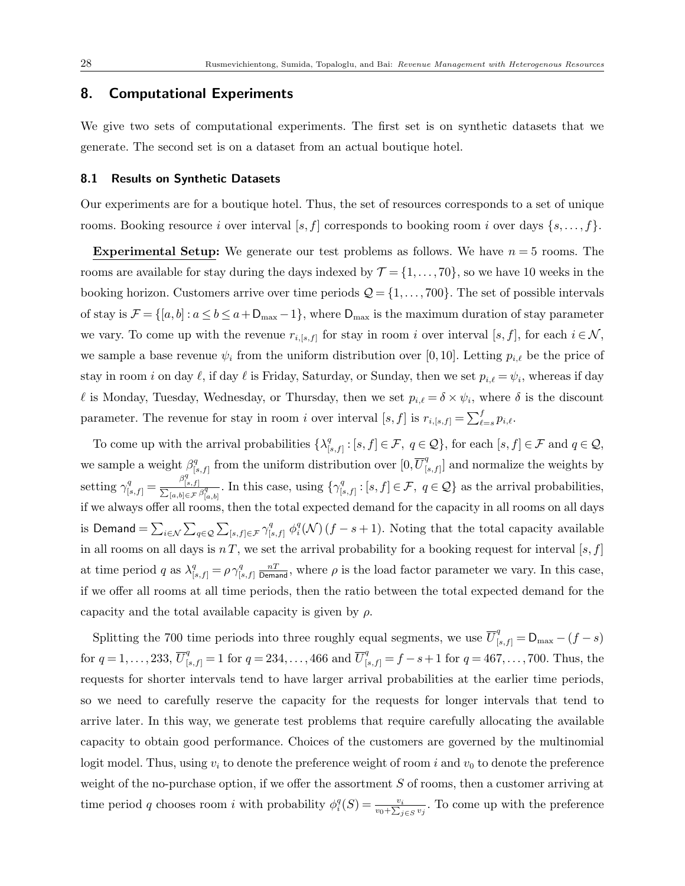## 8. Computational Experiments

We give two sets of computational experiments. The first set is on synthetic datasets that we generate. The second set is on a dataset from an actual boutique hotel.

#### 8.1 Results on Synthetic Datasets

Our experiments are for a boutique hotel. Thus, the set of resources corresponds to a set of unique rooms. Booking resource i over interval [s, f] corresponds to booking room i over days  $\{s, \ldots, f\}$ .

**Experimental Setup:** We generate our test problems as follows. We have  $n = 5$  rooms. The rooms are available for stay during the days indexed by  $\mathcal{T} = \{1, \ldots, 70\}$ , so we have 10 weeks in the booking horizon. Customers arrive over time periods  $\mathcal{Q} = \{1, \ldots, 700\}$ . The set of possible intervals of stay is  $\mathcal{F} = \{[a, b] : a \le b \le a + D_{\text{max}} - 1\}$ , where  $D_{\text{max}}$  is the maximum duration of stay parameter we vary. To come up with the revenue  $r_{i,[s,f]}$  for stay in room i over interval [s, f], for each  $i \in \mathcal{N}$ , we sample a base revenue  $\psi_i$  from the uniform distribution over [0, 10]. Letting  $p_{i,\ell}$  be the price of stay in room i on day  $\ell$ , if day  $\ell$  is Friday, Saturday, or Sunday, then we set  $p_{i,\ell} = \psi_i$ , whereas if day l is Monday, Tuesday, Wednesday, or Thursday, then we set  $p_{i,\ell} = \delta \times \psi_i$ , where  $\delta$  is the discount parameter. The revenue for stay in room i over interval  $[s, f]$  is  $r_{i,[s,f]} = \sum_{\ell=s}^{f} p_{i,\ell}$ .

To come up with the arrival probabilities  $\{\lambda_1^q\}$  $[e_{[s,f]}^q : [s,f] \in \mathcal{F}, q \in \mathcal{Q}$ , for each  $[s,f] \in \mathcal{F}$  and  $q \in \mathcal{Q}$ , we sample a weight  $\beta_{1}^{q}$  $\mathbb{F}_{[s,f]}^q$  from the uniform distribution over  $[0,\overline{U}_0^q]$  $\begin{bmatrix} q \\ s, f \end{bmatrix}$  and normalize the weights by setting  $\gamma_{[s,f]}^q = \frac{\beta_{[s]}^q}{\sum_{[s,b]\in S}$  $\frac{P[s,f]}{\sum_{[a,b]\in\mathcal{F}}$  $\frac{\rho_{[s,f]}}{[a,b]\in\mathcal{F}}\frac{\beta_{[a,b]}^q}{\beta_{[a,b]}^q}$ . In this case, using  $\{\gamma_{[s]}^q\}$  $[s,f]: [s,f] \in \mathcal{F}, q \in \mathcal{Q}$  as the arrival probabilities, if we always offer all rooms, then the total expected demand for the capacity in all rooms on all days is Demand =  $\sum_{i\in\mathcal{N}}\sum_{q\in\mathcal{Q}}\sum_{[s,f]\in\mathcal{F}}\gamma_{[s,f]}^q \phi_i^q(\mathcal{N})(f-s+1)$ . Noting that the total capacity available in all rooms on all days is  $nT$ , we set the arrival probability for a booking request for interval  $[s, f]$ at time period q as  $\lambda_{[s,f]}^q = \rho \gamma_{[s,f]}^q$  $\frac{n}{[s,f]}$   $\frac{n}{\text{Demand}}$ , where  $\rho$  is the load factor parameter we vary. In this case, if we offer all rooms at all time periods, then the ratio between the total expected demand for the capacity and the total available capacity is given by  $\rho$ .

Splitting the 700 time periods into three roughly equal segments, we use  $\overline{U}_{[s,f]}^q = D_{\text{max}} - (f - s)$ for  $q = 1, \ldots, 233, \overline{U}_{[s,f]}^q = 1$  for  $q = 234, \ldots, 466$  and  $\overline{U}_{[s,f]}^q = f - s + 1$  for  $q = 467, \ldots, 700$ . Thus, the requests for shorter intervals tend to have larger arrival probabilities at the earlier time periods, so we need to carefully reserve the capacity for the requests for longer intervals that tend to arrive later. In this way, we generate test problems that require carefully allocating the available capacity to obtain good performance. Choices of the customers are governed by the multinomial logit model. Thus, using  $v_i$  to denote the preference weight of room i and  $v_0$  to denote the preference weight of the no-purchase option, if we offer the assortment  $S$  of rooms, then a customer arriving at time period q chooses room *i* with probability  $\phi_i^q(S) = \frac{v_i}{v_0 + \sum_{j \in S} v_j}$ . To come up with the preference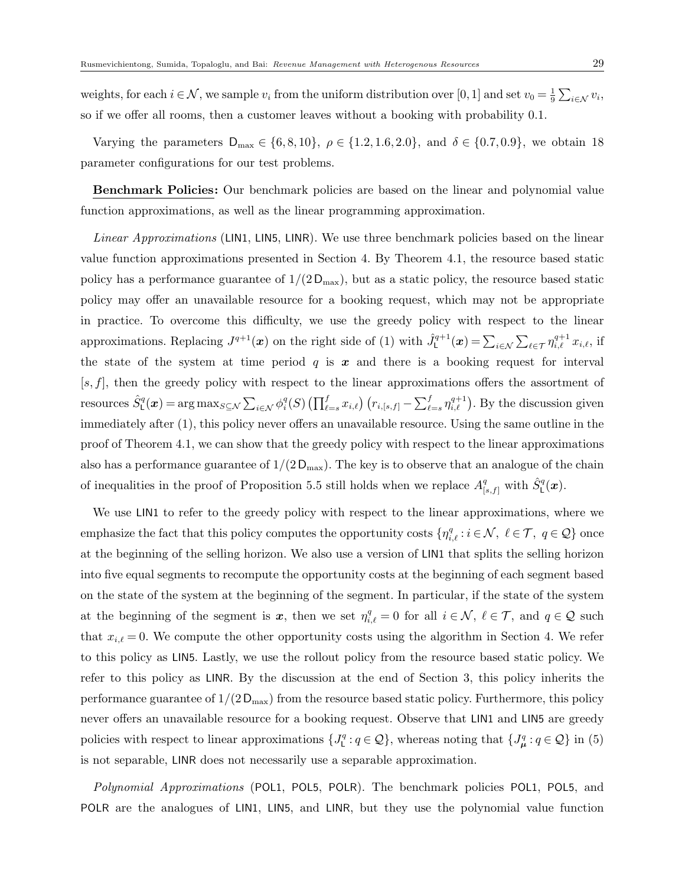weights, for each  $i \in \mathcal{N}$ , we sample  $v_i$  from the uniform distribution over [0, 1] and set  $v_0 = \frac{1}{9}$  $\frac{1}{9}\sum_{i\in\mathcal{N}}v_i,$ so if we offer all rooms, then a customer leaves without a booking with probability 0.1.

Varying the parameters  $D_{\text{max}} \in \{6, 8, 10\}$ ,  $\rho \in \{1.2, 1.6, 2.0\}$ , and  $\delta \in \{0.7, 0.9\}$ , we obtain 18 parameter configurations for our test problems.

Benchmark Policies: Our benchmark policies are based on the linear and polynomial value function approximations, as well as the linear programming approximation.

Linear Approximations (LIN1, LIN5, LINR). We use three benchmark policies based on the linear value function approximations presented in Section 4. By Theorem 4.1, the resource based static policy has a performance guarantee of  $1/(2D_{\text{max}})$ , but as a static policy, the resource based static policy may offer an unavailable resource for a booking request, which may not be appropriate in practice. To overcome this difficulty, we use the greedy policy with respect to the linear approximations. Replacing  $J^{q+1}(\boldsymbol{x})$  on the right side of (1) with  $\hat{J}^{q+1}_{\mathsf{L}}(\boldsymbol{x}) = \sum_{i \in \mathcal{N}} \sum_{\ell \in \mathcal{T}} \eta_{i,\ell}^{q+1} x_{i,\ell}$ , if the state of the system at time period  $q$  is  $x$  and there is a booking request for interval  $[s, f]$ , then the greedy policy with respect to the linear approximations offers the assortment of resources  $\hat{S}^q_{\textsf{L}}(\bm{x}) = \arg\max_{S \subseteq \mathcal{N}} \sum_{i \in \mathcal{N}} \phi^q_i(S) \left( \prod_{\ell=s}^f x_{i,\ell} \right) \left( r_{i,[s,f]} - \sum_{\ell=s}^f \eta^{q+1}_{i,\ell} \right)$ . By the discussion given immediately after (1), this policy never offers an unavailable resource. Using the same outline in the proof of Theorem 4.1, we can show that the greedy policy with respect to the linear approximations also has a performance guarantee of  $1/(2D_{\text{max}})$ . The key is to observe that an analogue of the chain of inequalities in the proof of Proposition 5.5 still holds when we replace  $A_{[s,f]}^q$  with  $\hat{S}_{\text{L}}^q(x)$ .

We use LIN1 to refer to the greedy policy with respect to the linear approximations, where we emphasize the fact that this policy computes the opportunity costs  $\{\eta_{i,\ell}^q : i \in \mathcal{N}, \ell \in \mathcal{T}, q \in \mathcal{Q}\}\$  once at the beginning of the selling horizon. We also use a version of LIN1 that splits the selling horizon into five equal segments to recompute the opportunity costs at the beginning of each segment based on the state of the system at the beginning of the segment. In particular, if the state of the system at the beginning of the segment is  $x$ , then we set  $\eta_{i,\ell}^q = 0$  for all  $i \in \mathcal{N}, \ell \in \mathcal{T}$ , and  $q \in \mathcal{Q}$  such that  $x_{i,\ell} = 0$ . We compute the other opportunity costs using the algorithm in Section 4. We refer to this policy as LIN5. Lastly, we use the rollout policy from the resource based static policy. We refer to this policy as LINR. By the discussion at the end of Section 3, this policy inherits the performance guarantee of  $1/(2D_{\text{max}})$  from the resource based static policy. Furthermore, this policy never offers an unavailable resource for a booking request. Observe that LIN1 and LIN5 are greedy policies with respect to linear approximations  $\{J_{\mathsf{L}}^q:q\in\mathcal{Q}\}$ , whereas noting that  $\{J_{\mathsf{L}}^q:q\in\mathcal{Q}\}$  in (5) is not separable, LINR does not necessarily use a separable approximation.

Polynomial Approximations (POL1, POL5, POLR). The benchmark policies POL1, POL5, and POLR are the analogues of LIN1, LIN5, and LINR, but they use the polynomial value function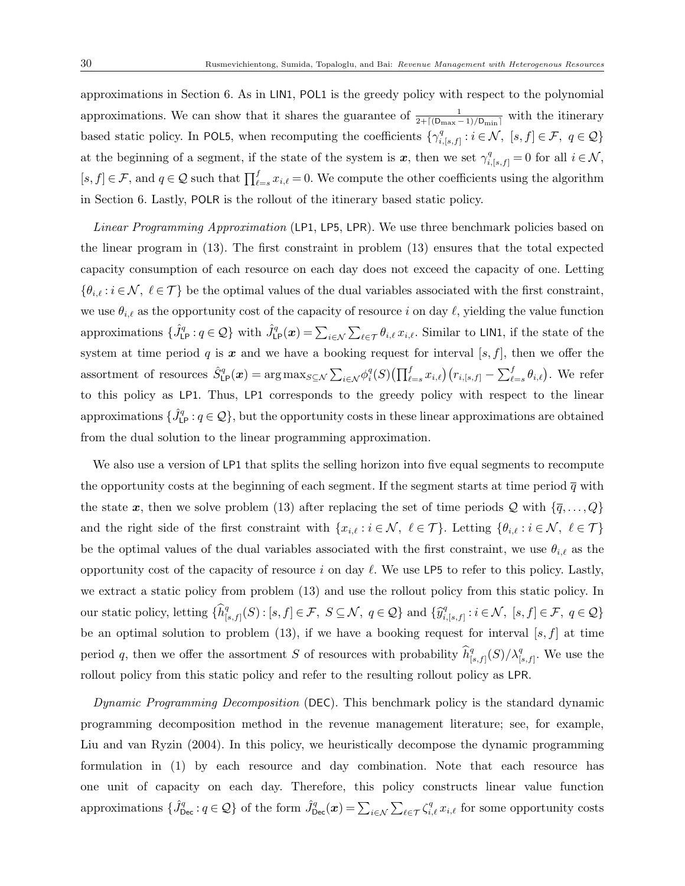approximations in Section 6. As in LIN1, POL1 is the greedy policy with respect to the polynomial approximations. We can show that it shares the guarantee of  $\frac{1}{2+\lceil(D_{\max}-1)/D_{\min}\rceil}$  with the itinerary based static policy. In POL5, when recomputing the coefficients  $\{\gamma_i^q\}$  $i_{i,[s,f]}^q : i \in \mathcal{N}, \ [s,f] \in \mathcal{F}, \ q \in \mathcal{Q} \}$ at the beginning of a segment, if the state of the system is  $x$ , then we set  $\gamma_{i,[s,f]}^q = 0$  for all  $i \in \mathcal{N}$ ,  $[s, f] \in \mathcal{F}$ , and  $q \in \mathcal{Q}$  such that  $\prod_{\ell=s}^{f} x_{i,\ell} = 0$ . We compute the other coefficients using the algorithm in Section 6. Lastly, POLR is the rollout of the itinerary based static policy.

Linear Programming Approximation (LP1, LP5, LPR). We use three benchmark policies based on the linear program in (13). The first constraint in problem (13) ensures that the total expected capacity consumption of each resource on each day does not exceed the capacity of one. Letting  ${\theta}_{i,\ell} : i \in \mathcal{N}, \ell \in \mathcal{T}$  be the optimal values of the dual variables associated with the first constraint, we use  $\theta_{i,\ell}$  as the opportunity cost of the capacity of resource i on day  $\ell$ , yielding the value function approximations  $\{\hat{J}_{\text{LP}}^q : q \in \mathcal{Q}\}\$  with  $\hat{J}_{\text{LP}}^q(\boldsymbol{x}) = \sum_{i \in \mathcal{N}} \sum_{\ell \in \mathcal{T}} \theta_{i,\ell} x_{i,\ell}$ . Similar to LIN1, if the state of the system at time period q is  $x$  and we have a booking request for interval [s, f], then we offer the assortment of resources  $\hat{S}_{\text{LP}}^q(\boldsymbol{x}) = \arg \max_{S \subseteq \mathcal{N}} \sum_{i \in \mathcal{N}} \phi_i^q(S) \left( \prod_{\ell=s}^f x_{i,\ell} \right) \left( r_{i,[s,f]} - \sum_{\ell=s}^f \theta_{i,\ell} \right)$ . We refer to this policy as LP1. Thus, LP1 corresponds to the greedy policy with respect to the linear approximations  $\{\hat{J}_{\text{LP}}^q : q \in \mathcal{Q}\}$ , but the opportunity costs in these linear approximations are obtained from the dual solution to the linear programming approximation.

We also use a version of LP1 that splits the selling horizon into five equal segments to recompute the opportunity costs at the beginning of each segment. If the segment starts at time period  $\bar{q}$  with the state x, then we solve problem (13) after replacing the set of time periods Q with  $\{\overline{q}, \ldots, Q\}$ and the right side of the first constraint with  $\{x_{i,\ell} : i \in \mathcal{N}, \ell \in \mathcal{T} \}$ . Letting  $\{\theta_{i,\ell} : i \in \mathcal{N}, \ell \in \mathcal{T} \}$ be the optimal values of the dual variables associated with the first constraint, we use  $\theta_{i,\ell}$  as the opportunity cost of the capacity of resource i on day  $\ell$ . We use LP5 to refer to this policy. Lastly, we extract a static policy from problem (13) and use the rollout policy from this static policy. In our static policy, letting  $\{\widehat{h}_{\parallel}^q\}$  $\mathcal{G}_{[s,f]}^q(S)$ :  $[s,f] \in \mathcal{F}, S \subseteq \mathcal{N}, q \in \mathcal{Q}$  and  $\{\widehat{y}_{i,j}^q\}$  $i_{i,[s,f]}^q : i \in \mathcal{N}, \ [s,f] \in \mathcal{F}, \ q \in \mathcal{Q} \}$ be an optimal solution to problem (13), if we have a booking request for interval  $[s, f]$  at time period q, then we offer the assortment S of resources with probability  $\widehat{h}_{\parallel}^q$  $\frac{q}{[s,f]}(S)/\lambda_{[s,f]}^q$ . We use the rollout policy from this static policy and refer to the resulting rollout policy as LPR.

Dynamic Programming Decomposition (DEC). This benchmark policy is the standard dynamic programming decomposition method in the revenue management literature; see, for example, Liu and van Ryzin (2004). In this policy, we heuristically decompose the dynamic programming formulation in (1) by each resource and day combination. Note that each resource has one unit of capacity on each day. Therefore, this policy constructs linear value function approximations  $\{\hat{J}^q_{\text{Dec}} : q \in \mathcal{Q}\}$  of the form  $\hat{J}^q_{\text{Dec}}(\boldsymbol{x}) = \sum_{i \in \mathcal{N}} \sum_{\ell \in \mathcal{T}} \zeta_{i,\ell}^q x_{i,\ell}$  for some opportunity costs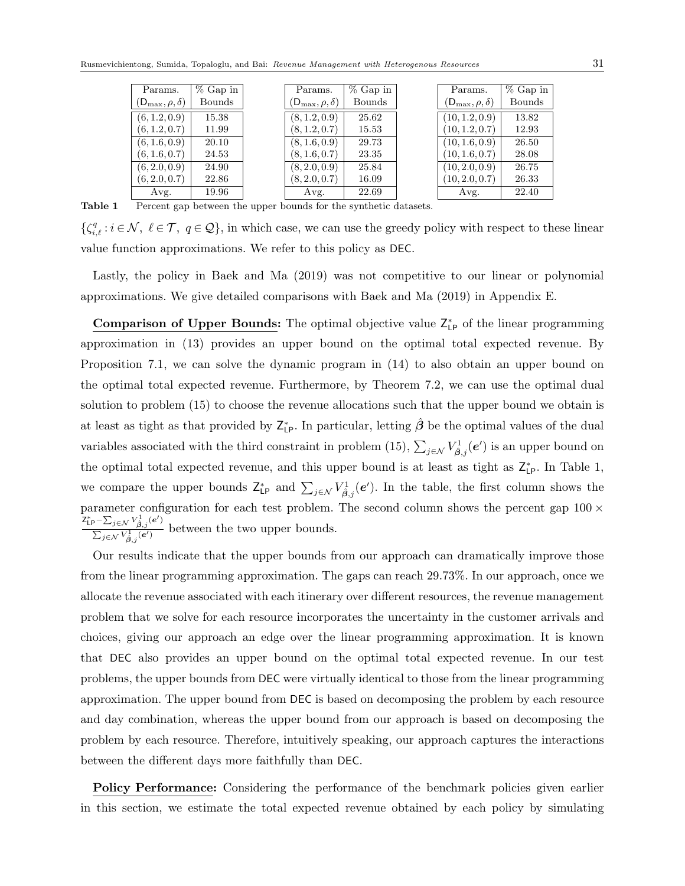| Bounds<br><b>Bounds</b><br>$(D_{\max}, \rho, \delta)$<br>$(D_{\max}, \rho, \delta)$<br>$(D_{\max}, \rho, \delta)$<br>(6, 1.2, 0.9)<br>(10, 1.2, 0.9)<br>(8, 1.2, 0.9)<br>25.62<br>13.82<br>15.38<br>(10, 1.2, 0.7)<br>(6, 1.2, 0.7)<br>12.93<br>(8, 1.2, 0.7)<br>11.99<br>15.53<br>(6, 1.6, 0.9)<br>(8, 1.6, 0.9)<br>(10, 1.6, 0.9)<br>20.10<br>26.50<br>29.73<br>(10, 1.6, 0.7)<br>(6, 1.6, 0.7)<br>(8, 1.6, 0.7)<br>28.08<br>24.53<br>23.35<br>(6, 2.0, 0.9)<br>(8, 2.0, 0.9)<br>(10, 2.0, 0.9)<br>26.75<br>24.90<br>25.84<br>(6, 2.0, 0.7)<br>(8, 2.0, 0.7)<br>26.33<br>22.86<br>16.09 | Params. | % Gap in | Params. | $%$ Gap in | Params.        | $%$ Gap in |
|-------------------------------------------------------------------------------------------------------------------------------------------------------------------------------------------------------------------------------------------------------------------------------------------------------------------------------------------------------------------------------------------------------------------------------------------------------------------------------------------------------------------------------------------------------------------------------------------|---------|----------|---------|------------|----------------|------------|
|                                                                                                                                                                                                                                                                                                                                                                                                                                                                                                                                                                                           |         |          |         |            |                | Bounds     |
|                                                                                                                                                                                                                                                                                                                                                                                                                                                                                                                                                                                           |         |          |         |            |                |            |
|                                                                                                                                                                                                                                                                                                                                                                                                                                                                                                                                                                                           |         |          |         |            |                |            |
|                                                                                                                                                                                                                                                                                                                                                                                                                                                                                                                                                                                           |         |          |         |            |                |            |
|                                                                                                                                                                                                                                                                                                                                                                                                                                                                                                                                                                                           |         |          |         |            |                |            |
|                                                                                                                                                                                                                                                                                                                                                                                                                                                                                                                                                                                           |         |          |         |            |                |            |
|                                                                                                                                                                                                                                                                                                                                                                                                                                                                                                                                                                                           |         |          |         |            | (10, 2.0, 0.7) |            |
| 22.40<br>19.96<br>22.69<br>Avg.<br>Avg.<br>Avg.                                                                                                                                                                                                                                                                                                                                                                                                                                                                                                                                           |         |          |         |            |                |            |

Table 1 Percent gap between the upper bounds for the synthetic datasets.

 $\{\zeta_{i,\ell}^q : i \in \mathcal{N}, \ \ell \in \mathcal{T}, \ q \in \mathcal{Q}\}\$ , in which case, we can use the greedy policy with respect to these linear value function approximations. We refer to this policy as DEC.

Lastly, the policy in Baek and Ma (2019) was not competitive to our linear or polynomial approximations. We give detailed comparisons with Baek and Ma (2019) in Appendix E.

**Comparison of Upper Bounds:** The optimal objective value  $Z_{\text{LP}}^*$  of the linear programming approximation in (13) provides an upper bound on the optimal total expected revenue. By Proposition 7.1, we can solve the dynamic program in (14) to also obtain an upper bound on the optimal total expected revenue. Furthermore, by Theorem 7.2, we can use the optimal dual solution to problem (15) to choose the revenue allocations such that the upper bound we obtain is at least as tight as that provided by  $Z_{\text{LP}}^*$ . In particular, letting  $\hat{\beta}$  be the optimal values of the dual variables associated with the third constraint in problem (15),  $\sum_{j \in \mathcal{N}} V_{\hat{\beta},j}^1(e')$  is an upper bound on the optimal total expected revenue, and this upper bound is at least as tight as  $Z_{LP}^*$ . In Table 1, we compare the upper bounds  $Z_{\text{LP}}^*$  and  $\sum_{j\in\mathcal{N}} V_{\hat{\beta},j}^1(e')$ . In the table, the first column shows the parameter configuration for each test problem. The second column shows the percent gap  $100 \times$  $\mathsf{Z}_{\mathsf{LP}}^*$ – $\sum_{j\in\mathcal{N}}V_{\hat{\boldsymbol{\beta}},j}^1(\boldsymbol{e}')$  $\frac{\sum_{j\in\mathcal{N}}\sum_{j,j}(\mathcal{C})}{\sum_{j\in\mathcal{N}}V_{\beta,j}^{\dagger}(\mathcal{C}')}$  between the two upper bounds.

Our results indicate that the upper bounds from our approach can dramatically improve those from the linear programming approximation. The gaps can reach 29.73%. In our approach, once we allocate the revenue associated with each itinerary over different resources, the revenue management problem that we solve for each resource incorporates the uncertainty in the customer arrivals and choices, giving our approach an edge over the linear programming approximation. It is known that DEC also provides an upper bound on the optimal total expected revenue. In our test problems, the upper bounds from DEC were virtually identical to those from the linear programming approximation. The upper bound from DEC is based on decomposing the problem by each resource and day combination, whereas the upper bound from our approach is based on decomposing the problem by each resource. Therefore, intuitively speaking, our approach captures the interactions between the different days more faithfully than DEC.

Policy Performance: Considering the performance of the benchmark policies given earlier in this section, we estimate the total expected revenue obtained by each policy by simulating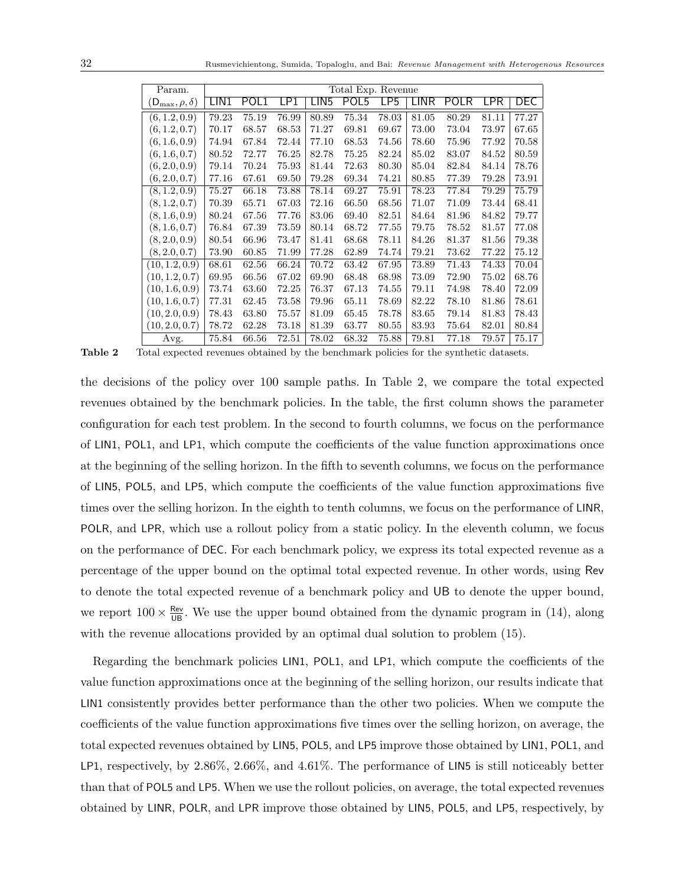| Param.                     | Total Exp. Revenue |       |       |                  |       |       |       |       |            |            |
|----------------------------|--------------------|-------|-------|------------------|-------|-------|-------|-------|------------|------------|
| $(D_{\max}, \rho, \delta)$ | LIN <sub>1</sub>   | POL1  | LP1   | LIN <sub>5</sub> | POL5  | LP5   | LINR  | POLR  | <b>LPR</b> | <b>DEC</b> |
| (6, 1.2, 0.9)              | 79.23              | 75.19 | 76.99 | 80.89            | 75.34 | 78.03 | 81.05 | 80.29 | 81.11      | 77.27      |
| (6, 1.2, 0.7)              | 70.17              | 68.57 | 68.53 | 71.27            | 69.81 | 69.67 | 73.00 | 73.04 | 73.97      | 67.65      |
| (6, 1.6, 0.9)              | 74.94              | 67.84 | 72.44 | 77.10            | 68.53 | 74.56 | 78.60 | 75.96 | 77.92      | 70.58      |
| (6, 1.6, 0.7)              | 80.52              | 72.77 | 76.25 | 82.78            | 75.25 | 82.24 | 85.02 | 83.07 | 84.52      | 80.59      |
| (6, 2.0, 0.9)              | 79.14              | 70.24 | 75.93 | 81.44            | 72.63 | 80.30 | 85.04 | 82.84 | 84.14      | 78.76      |
| (6, 2.0, 0.7)              | 77.16              | 67.61 | 69.50 | 79.28            | 69.34 | 74.21 | 80.85 | 77.39 | 79.28      | 73.91      |
| (8, 1.2, 0.9)              | 75.27              | 66.18 | 73.88 | 78.14            | 69.27 | 75.91 | 78.23 | 77.84 | 79.29      | 75.79      |
| (8, 1.2, 0.7)              | 70.39              | 65.71 | 67.03 | 72.16            | 66.50 | 68.56 | 71.07 | 71.09 | 73.44      | 68.41      |
| (8, 1.6, 0.9)              | 80.24              | 67.56 | 77.76 | 83.06            | 69.40 | 82.51 | 84.64 | 81.96 | 84.82      | 79.77      |
| (8, 1.6, 0.7)              | 76.84              | 67.39 | 73.59 | 80.14            | 68.72 | 77.55 | 79.75 | 78.52 | 81.57      | 77.08      |
| (8, 2.0, 0.9)              | 80.54              | 66.96 | 73.47 | 81.41            | 68.68 | 78.11 | 84.26 | 81.37 | 81.56      | 79.38      |
| (8, 2.0, 0.7)              | 73.90              | 60.85 | 71.99 | 77.28            | 62.89 | 74.74 | 79.21 | 73.62 | 77.22      | 75.12      |
| (10, 1.2, 0.9)             | 68.61              | 62.56 | 66.24 | 70.72            | 63.42 | 67.95 | 73.89 | 71.43 | 74.33      | 70.04      |
| (10, 1.2, 0.7)             | 69.95              | 66.56 | 67.02 | 69.90            | 68.48 | 68.98 | 73.09 | 72.90 | 75.02      | 68.76      |
| (10, 1.6, 0.9)             | 73.74              | 63.60 | 72.25 | 76.37            | 67.13 | 74.55 | 79.11 | 74.98 | 78.40      | 72.09      |
| (10, 1.6, 0.7)             | 77.31              | 62.45 | 73.58 | 79.96            | 65.11 | 78.69 | 82.22 | 78.10 | 81.86      | 78.61      |
| (10, 2.0, 0.9)             | 78.43              | 63.80 | 75.57 | 81.09            | 65.45 | 78.78 | 83.65 | 79.14 | 81.83      | 78.43      |
| (10, 2.0, 0.7)             | 78.72              | 62.28 | 73.18 | 81.39            | 63.77 | 80.55 | 83.93 | 75.64 | 82.01      | 80.84      |
| Avg.                       | 75.84              | 66.56 | 72.51 | 78.02            | 68.32 | 75.88 | 79.81 | 77.18 | 79.57      | 75.17      |

Table 2 Total expected revenues obtained by the benchmark policies for the synthetic datasets.

the decisions of the policy over 100 sample paths. In Table 2, we compare the total expected revenues obtained by the benchmark policies. In the table, the first column shows the parameter configuration for each test problem. In the second to fourth columns, we focus on the performance of LIN1, POL1, and LP1, which compute the coefficients of the value function approximations once at the beginning of the selling horizon. In the fifth to seventh columns, we focus on the performance of LIN5, POL5, and LP5, which compute the coefficients of the value function approximations five times over the selling horizon. In the eighth to tenth columns, we focus on the performance of LINR, POLR, and LPR, which use a rollout policy from a static policy. In the eleventh column, we focus on the performance of DEC. For each benchmark policy, we express its total expected revenue as a percentage of the upper bound on the optimal total expected revenue. In other words, using Rev to denote the total expected revenue of a benchmark policy and UB to denote the upper bound, we report  $100 \times \frac{\text{Rev}}{\text{UB}}$ . We use the upper bound obtained from the dynamic program in (14), along with the revenue allocations provided by an optimal dual solution to problem (15).

Regarding the benchmark policies LIN1, POL1, and LP1, which compute the coefficients of the value function approximations once at the beginning of the selling horizon, our results indicate that LIN1 consistently provides better performance than the other two policies. When we compute the coefficients of the value function approximations five times over the selling horizon, on average, the total expected revenues obtained by LIN5, POL5, and LP5 improve those obtained by LIN1, POL1, and LP1, respectively, by 2.86%, 2.66%, and 4.61%. The performance of LIN5 is still noticeably better than that of POL5 and LP5. When we use the rollout policies, on average, the total expected revenues obtained by LINR, POLR, and LPR improve those obtained by LIN5, POL5, and LP5, respectively, by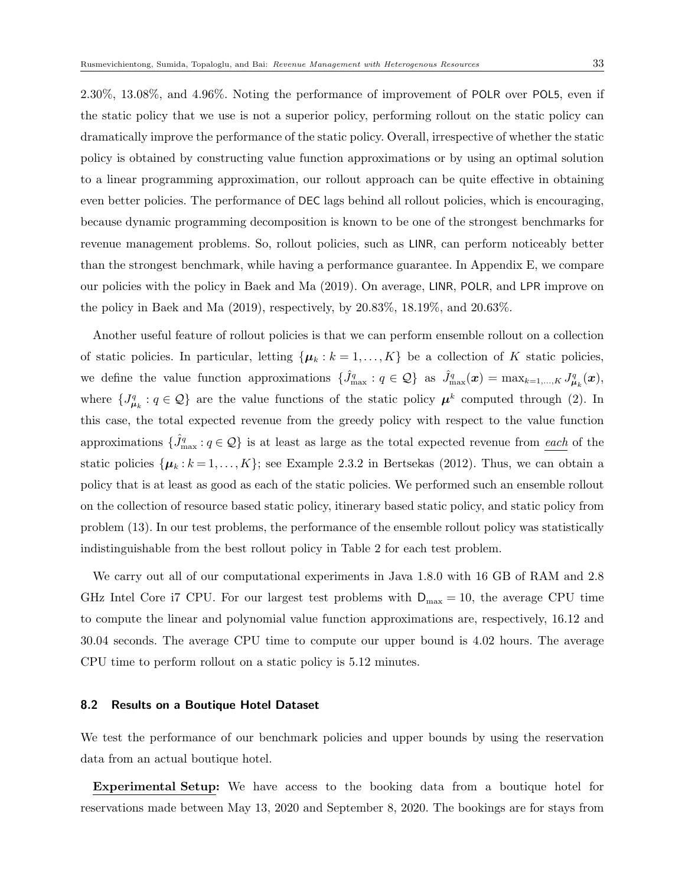2.30%, 13.08%, and 4.96%. Noting the performance of improvement of POLR over POL5, even if the static policy that we use is not a superior policy, performing rollout on the static policy can dramatically improve the performance of the static policy. Overall, irrespective of whether the static policy is obtained by constructing value function approximations or by using an optimal solution to a linear programming approximation, our rollout approach can be quite effective in obtaining even better policies. The performance of DEC lags behind all rollout policies, which is encouraging, because dynamic programming decomposition is known to be one of the strongest benchmarks for revenue management problems. So, rollout policies, such as LINR, can perform noticeably better than the strongest benchmark, while having a performance guarantee. In Appendix E, we compare our policies with the policy in Baek and Ma (2019). On average, LINR, POLR, and LPR improve on the policy in Baek and Ma (2019), respectively, by 20.83%, 18.19%, and 20.63%.

Another useful feature of rollout policies is that we can perform ensemble rollout on a collection of static policies. In particular, letting  $\{\mu_k : k = 1, ..., K\}$  be a collection of K static policies, we define the value function approximations  $\{\hat{J}_{\max}^q : q \in \mathcal{Q}\}\$ as  $\hat{J}_{\max}^q(\boldsymbol{x}) = \max_{k=1,\dots,K} J_{\mu_k}^q(\boldsymbol{x}),$ where  $\{J_{\mu_k}^q : q \in \mathcal{Q}\}\$  are the value functions of the static policy  $\mu^k$  computed through (2). In this case, the total expected revenue from the greedy policy with respect to the value function approximations  $\{\hat{J}_{\max}^q : q \in \mathcal{Q}\}\$  is at least as large as the total expected revenue from each of the static policies  $\{\mu_k : k = 1, ..., K\}$ ; see Example 2.3.2 in Bertsekas (2012). Thus, we can obtain a policy that is at least as good as each of the static policies. We performed such an ensemble rollout on the collection of resource based static policy, itinerary based static policy, and static policy from problem (13). In our test problems, the performance of the ensemble rollout policy was statistically indistinguishable from the best rollout policy in Table 2 for each test problem.

We carry out all of our computational experiments in Java 1.8.0 with 16 GB of RAM and 2.8 GHz Intel Core i7 CPU. For our largest test problems with  $D_{\text{max}} = 10$ , the average CPU time to compute the linear and polynomial value function approximations are, respectively, 16.12 and 30.04 seconds. The average CPU time to compute our upper bound is 4.02 hours. The average CPU time to perform rollout on a static policy is 5.12 minutes.

#### 8.2 Results on a Boutique Hotel Dataset

We test the performance of our benchmark policies and upper bounds by using the reservation data from an actual boutique hotel.

Experimental Setup: We have access to the booking data from a boutique hotel for reservations made between May 13, 2020 and September 8, 2020. The bookings are for stays from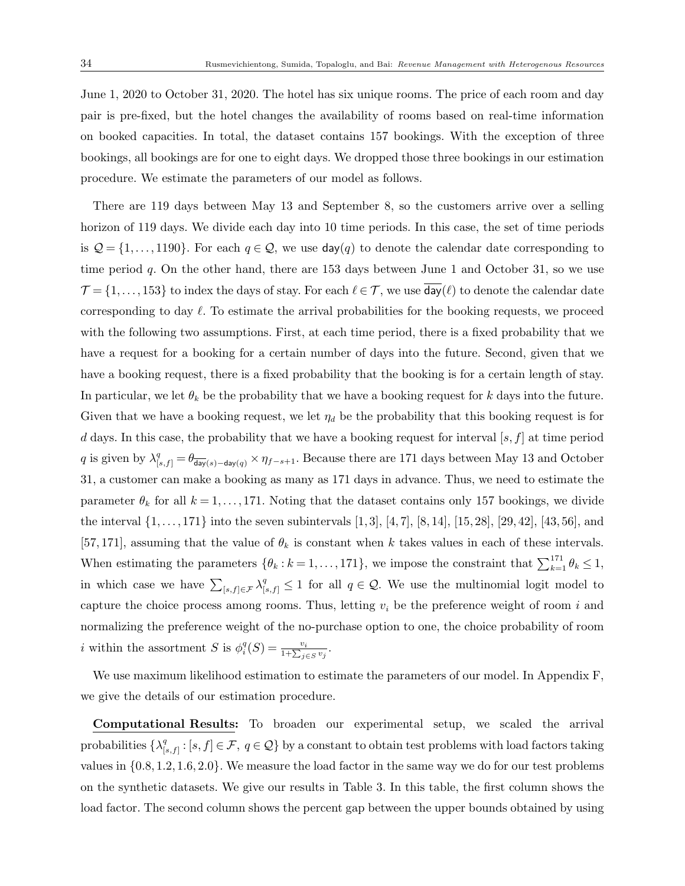June 1, 2020 to October 31, 2020. The hotel has six unique rooms. The price of each room and day pair is pre-fixed, but the hotel changes the availability of rooms based on real-time information on booked capacities. In total, the dataset contains 157 bookings. With the exception of three bookings, all bookings are for one to eight days. We dropped those three bookings in our estimation procedure. We estimate the parameters of our model as follows.

There are 119 days between May 13 and September 8, so the customers arrive over a selling horizon of 119 days. We divide each day into 10 time periods. In this case, the set of time periods is  $\mathcal{Q} = \{1, \ldots, 1190\}$ . For each  $q \in \mathcal{Q}$ , we use  $\text{day}(q)$  to denote the calendar date corresponding to time period  $q$ . On the other hand, there are 153 days between June 1 and October 31, so we use  $\mathcal{T} = \{1, \ldots, 153\}$  to index the days of stay. For each  $\ell \in \mathcal{T}$ , we use  $\text{day}(\ell)$  to denote the calendar date corresponding to day  $\ell$ . To estimate the arrival probabilities for the booking requests, we proceed with the following two assumptions. First, at each time period, there is a fixed probability that we have a request for a booking for a certain number of days into the future. Second, given that we have a booking request, there is a fixed probability that the booking is for a certain length of stay. In particular, we let  $\theta_k$  be the probability that we have a booking request for k days into the future. Given that we have a booking request, we let  $\eta_d$  be the probability that this booking request is for d days. In this case, the probability that we have a booking request for interval  $[s, f]$  at time period q is given by  $\lambda_{[s,f]}^q = \theta_{\overline{day}(s)-day(q)} \times \eta_{f-s+1}$ . Because there are 171 days between May 13 and October 31, a customer can make a booking as many as 171 days in advance. Thus, we need to estimate the parameter  $\theta_k$  for all  $k = 1, \ldots, 171$ . Noting that the dataset contains only 157 bookings, we divide the interval  $\{1, \ldots, 171\}$  into the seven subintervals  $[1, 3]$ ,  $[4, 7]$ ,  $[8, 14]$ ,  $[15, 28]$ ,  $[29, 42]$ ,  $[43, 56]$ , and [57, 171], assuming that the value of  $\theta_k$  is constant when k takes values in each of these intervals. When estimating the parameters  $\{\theta_k : k = 1, \ldots, 171\}$ , we impose the constraint that  $\sum_{k=1}^{171} \theta_k \leq 1$ , in which case we have  $\sum_{[s,f]\in\mathcal{F}}\lambda_{[s,f]}^q\leq 1$  for all  $q\in\mathcal{Q}$ . We use the multinomial logit model to capture the choice process among rooms. Thus, letting  $v_i$  be the preference weight of room i and normalizing the preference weight of the no-purchase option to one, the choice probability of room *i* within the assortment S is  $\phi_i^q(S) = \frac{v_i}{1 + \sum_{j \in S} v_j}$ .

We use maximum likelihood estimation to estimate the parameters of our model. In Appendix F, we give the details of our estimation procedure.

Computational Results: To broaden our experimental setup, we scaled the arrival probabilities  $\{\lambda_1^q\}$  $[\mathbf{s},f]: [s,f] \in \mathcal{F}, q \in \mathcal{Q}$  by a constant to obtain test problems with load factors taking values in  $\{0.8, 1.2, 1.6, 2.0\}$ . We measure the load factor in the same way we do for our test problems on the synthetic datasets. We give our results in Table 3. In this table, the first column shows the load factor. The second column shows the percent gap between the upper bounds obtained by using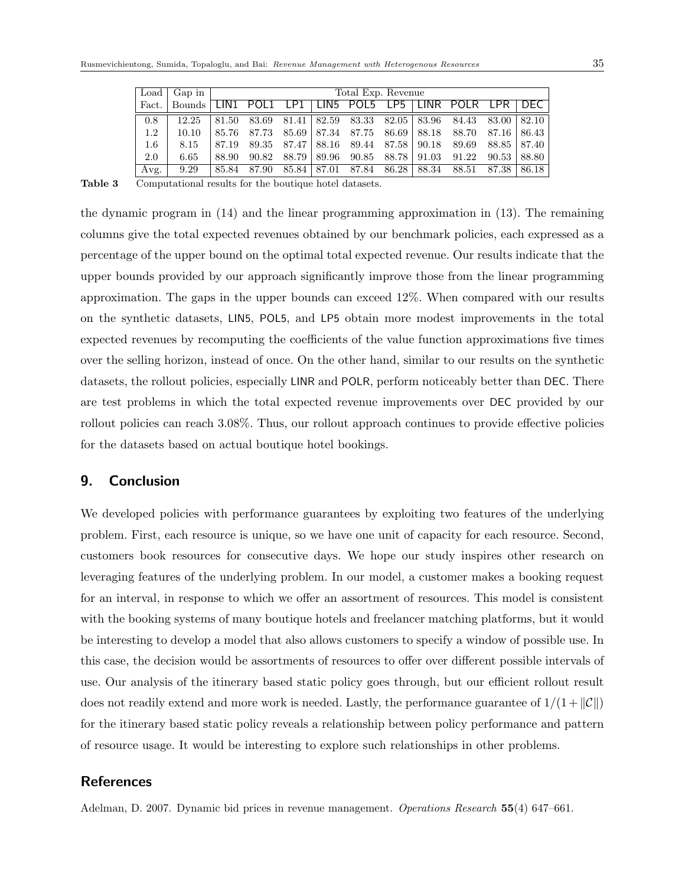| Load    | Gap in                                               |       | Total Exp. Revenue |       |  |                                     |  |  |                                                       |               |       |
|---------|------------------------------------------------------|-------|--------------------|-------|--|-------------------------------------|--|--|-------------------------------------------------------|---------------|-------|
| Fact.   | Bounds LIN1 POL1 LP1 LIN5 POL5 LP5 LINR POLR LPR DEC |       |                    |       |  |                                     |  |  |                                                       |               |       |
| 0.8     | 12.25                                                | 81.50 |                    |       |  |                                     |  |  | 83.69 81.41 82.59 83.33 82.05 83.96 84.43 83.00 82.10 |               |       |
| $1.2\,$ | 10.10                                                | 85.76 | 87.73              |       |  |                                     |  |  | 85.69   87.34 87.75 86.69   88.18 88.70 87.16   86.43 |               |       |
| $1.6\,$ | 8.15                                                 | 87.19 |                    |       |  | 89.35 87.47 88.16 89.44 87.58 90.18 |  |  | 89.69                                                 | 88.85   87.40 |       |
| 2.0     | 6.65                                                 | 88.90 | 90.82              | 88.79 |  | 89.96 90.85 88.78 91.03             |  |  | 91.22                                                 | 90.53         | 88.80 |
| Avg.    | 9.29                                                 | 85.84 | 87.90              | 85.84 |  |                                     |  |  | 87.01 87.84 86.28 88.34 88.51 87.38                   |               | 86.18 |

Table 3 Computational results for the boutique hotel datasets.

the dynamic program in (14) and the linear programming approximation in (13). The remaining columns give the total expected revenues obtained by our benchmark policies, each expressed as a percentage of the upper bound on the optimal total expected revenue. Our results indicate that the upper bounds provided by our approach significantly improve those from the linear programming approximation. The gaps in the upper bounds can exceed 12%. When compared with our results on the synthetic datasets, LIN5, POL5, and LP5 obtain more modest improvements in the total expected revenues by recomputing the coefficients of the value function approximations five times over the selling horizon, instead of once. On the other hand, similar to our results on the synthetic datasets, the rollout policies, especially LINR and POLR, perform noticeably better than DEC. There are test problems in which the total expected revenue improvements over DEC provided by our rollout policies can reach 3.08%. Thus, our rollout approach continues to provide effective policies for the datasets based on actual boutique hotel bookings.

## 9. Conclusion

We developed policies with performance guarantees by exploiting two features of the underlying problem. First, each resource is unique, so we have one unit of capacity for each resource. Second, customers book resources for consecutive days. We hope our study inspires other research on leveraging features of the underlying problem. In our model, a customer makes a booking request for an interval, in response to which we offer an assortment of resources. This model is consistent with the booking systems of many boutique hotels and freelancer matching platforms, but it would be interesting to develop a model that also allows customers to specify a window of possible use. In this case, the decision would be assortments of resources to offer over different possible intervals of use. Our analysis of the itinerary based static policy goes through, but our efficient rollout result does not readily extend and more work is needed. Lastly, the performance guarantee of  $1/(1+\mathcal{C}\mathbb{I})$ for the itinerary based static policy reveals a relationship between policy performance and pattern of resource usage. It would be interesting to explore such relationships in other problems.

## **References**

Adelman, D. 2007. Dynamic bid prices in revenue management. *Operations Research* 55(4) 647–661.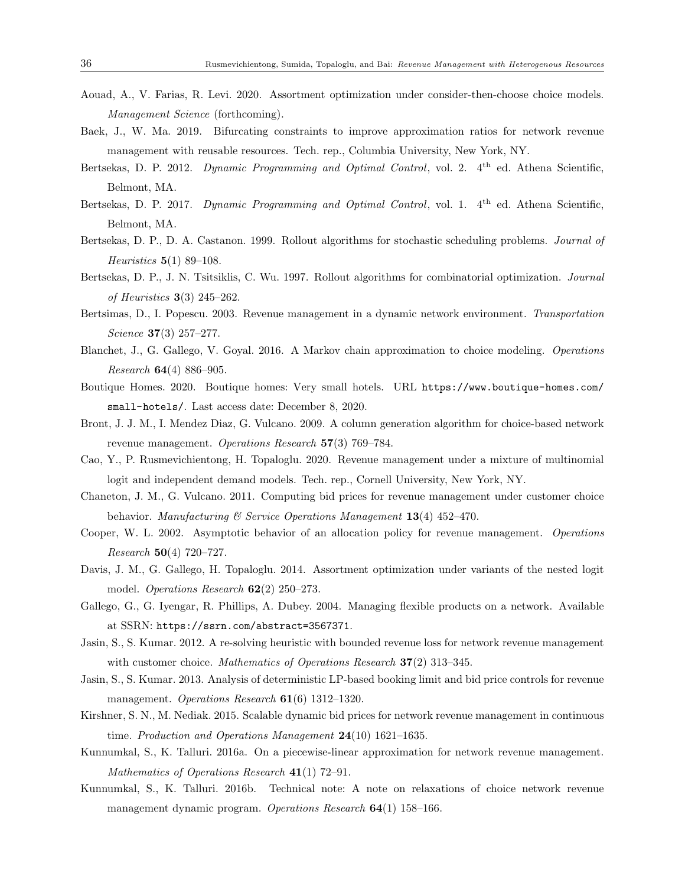- Aouad, A., V. Farias, R. Levi. 2020. Assortment optimization under consider-then-choose choice models. Management Science (forthcoming).
- Baek, J., W. Ma. 2019. Bifurcating constraints to improve approximation ratios for network revenue management with reusable resources. Tech. rep., Columbia University, New York, NY.
- Bertsekas, D. P. 2012. *Dynamic Programming and Optimal Control*, vol. 2. 4<sup>th</sup> ed. Athena Scientific, Belmont, MA.
- Bertsekas, D. P. 2017. Dynamic Programming and Optimal Control, vol. 1. 4<sup>th</sup> ed. Athena Scientific, Belmont, MA.
- Bertsekas, D. P., D. A. Castanon. 1999. Rollout algorithms for stochastic scheduling problems. Journal of Heuristics  $5(1)$  89–108.
- Bertsekas, D. P., J. N. Tsitsiklis, C. Wu. 1997. Rollout algorithms for combinatorial optimization. Journal of Heuristics 3(3) 245–262.
- Bertsimas, D., I. Popescu. 2003. Revenue management in a dynamic network environment. Transportation Science 37(3) 257–277.
- Blanchet, J., G. Gallego, V. Goyal. 2016. A Markov chain approximation to choice modeling. Operations Research 64(4) 886–905.
- Boutique Homes. 2020. Boutique homes: Very small hotels. URL https://www.boutique-homes.com/ small-hotels/. Last access date: December 8, 2020.
- Bront, J. J. M., I. Mendez Diaz, G. Vulcano. 2009. A column generation algorithm for choice-based network revenue management. Operations Research 57(3) 769-784.
- Cao, Y., P. Rusmevichientong, H. Topaloglu. 2020. Revenue management under a mixture of multinomial logit and independent demand models. Tech. rep., Cornell University, New York, NY.
- Chaneton, J. M., G. Vulcano. 2011. Computing bid prices for revenue management under customer choice behavior. Manufacturing & Service Operations Management  $13(4)$  452-470.
- Cooper, W. L. 2002. Asymptotic behavior of an allocation policy for revenue management. Operations Research 50(4) 720–727.
- Davis, J. M., G. Gallego, H. Topaloglu. 2014. Assortment optimization under variants of the nested logit model. Operations Research  $62(2)$  250–273.
- Gallego, G., G. Iyengar, R. Phillips, A. Dubey. 2004. Managing flexible products on a network. Available at SSRN: https://ssrn.com/abstract=3567371.
- Jasin, S., S. Kumar. 2012. A re-solving heuristic with bounded revenue loss for network revenue management with customer choice. Mathematics of Operations Research 37(2) 313-345.
- Jasin, S., S. Kumar. 2013. Analysis of deterministic LP-based booking limit and bid price controls for revenue management. Operations Research  $61(6)$  1312–1320.
- Kirshner, S. N., M. Nediak. 2015. Scalable dynamic bid prices for network revenue management in continuous time. Production and Operations Management  $24(10)$  1621–1635.
- Kunnumkal, S., K. Talluri. 2016a. On a piecewise-linear approximation for network revenue management. Mathematics of Operations Research 41(1) 72–91.
- Kunnumkal, S., K. Talluri. 2016b. Technical note: A note on relaxations of choice network revenue management dynamic program. Operations Research  $64(1)$  158–166.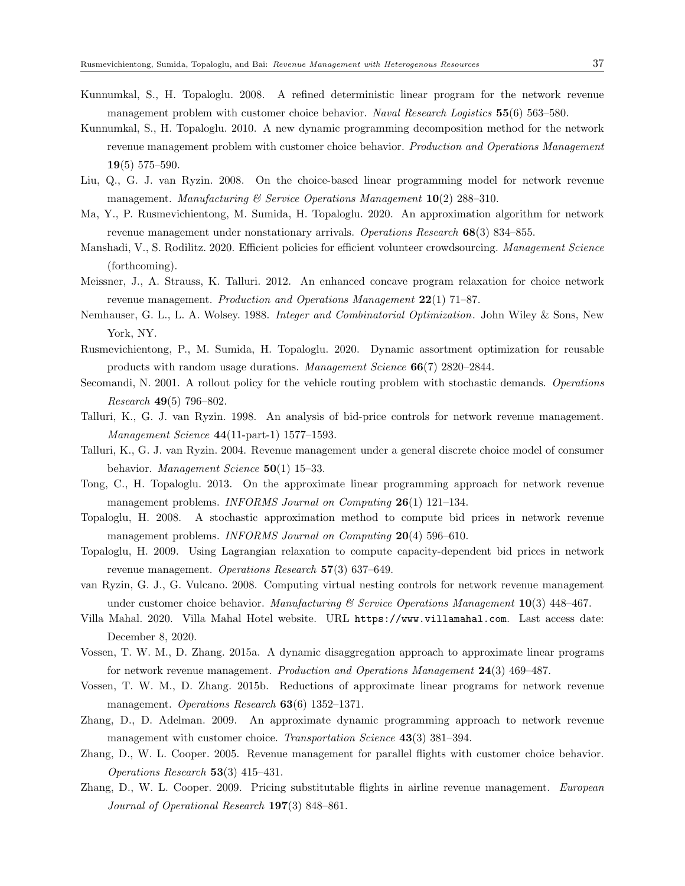- Kunnumkal, S., H. Topaloglu. 2008. A refined deterministic linear program for the network revenue management problem with customer choice behavior. Naval Research Logistics 55(6) 563–580.
- Kunnumkal, S., H. Topaloglu. 2010. A new dynamic programming decomposition method for the network revenue management problem with customer choice behavior. Production and Operations Management 19(5) 575–590.
- Liu, Q., G. J. van Ryzin. 2008. On the choice-based linear programming model for network revenue management. Manufacturing & Service Operations Management  $10(2)$  288–310.
- Ma, Y., P. Rusmevichientong, M. Sumida, H. Topaloglu. 2020. An approximation algorithm for network revenue management under nonstationary arrivals. Operations Research 68(3) 834–855.
- Manshadi, V., S. Rodilitz. 2020. Efficient policies for efficient volunteer crowdsourcing. Management Science (forthcoming).
- Meissner, J., A. Strauss, K. Talluri. 2012. An enhanced concave program relaxation for choice network revenue management. *Production and Operations Management*  $22(1)$  71–87.
- Nemhauser, G. L., L. A. Wolsey. 1988. Integer and Combinatorial Optimization. John Wiley & Sons, New York, NY.
- Rusmevichientong, P., M. Sumida, H. Topaloglu. 2020. Dynamic assortment optimization for reusable products with random usage durations. Management Science 66(7) 2820–2844.
- Secomandi, N. 2001. A rollout policy for the vehicle routing problem with stochastic demands. Operations Research 49(5) 796–802.
- Talluri, K., G. J. van Ryzin. 1998. An analysis of bid-price controls for network revenue management. Management Science 44(11-part-1) 1577–1593.
- Talluri, K., G. J. van Ryzin. 2004. Revenue management under a general discrete choice model of consumer behavior. Management Science 50(1) 15–33.
- Tong, C., H. Topaloglu. 2013. On the approximate linear programming approach for network revenue management problems. INFORMS Journal on Computing  $26(1)$  121–134.
- Topaloglu, H. 2008. A stochastic approximation method to compute bid prices in network revenue management problems. INFORMS Journal on Computing 20(4) 596-610.
- Topaloglu, H. 2009. Using Lagrangian relaxation to compute capacity-dependent bid prices in network revenue management. Operations Research  $57(3)$  637–649.
- van Ryzin, G. J., G. Vulcano. 2008. Computing virtual nesting controls for network revenue management under customer choice behavior. Manufacturing  $\mathcal C$  Service Operations Manugement 10(3) 448-467.
- Villa Mahal. 2020. Villa Mahal Hotel website. URL https://www.villamahal.com. Last access date: December 8, 2020.
- Vossen, T. W. M., D. Zhang. 2015a. A dynamic disaggregation approach to approximate linear programs for network revenue management. Production and Operations Management 24(3) 469-487.
- Vossen, T. W. M., D. Zhang. 2015b. Reductions of approximate linear programs for network revenue management. Operations Research  $63(6)$  1352–1371.
- Zhang, D., D. Adelman. 2009. An approximate dynamic programming approach to network revenue management with customer choice. Transportation Science 43(3) 381-394.
- Zhang, D., W. L. Cooper. 2005. Revenue management for parallel flights with customer choice behavior. Operations Research 53(3) 415–431.
- Zhang, D., W. L. Cooper. 2009. Pricing substitutable flights in airline revenue management. European Journal of Operational Research 197(3) 848–861.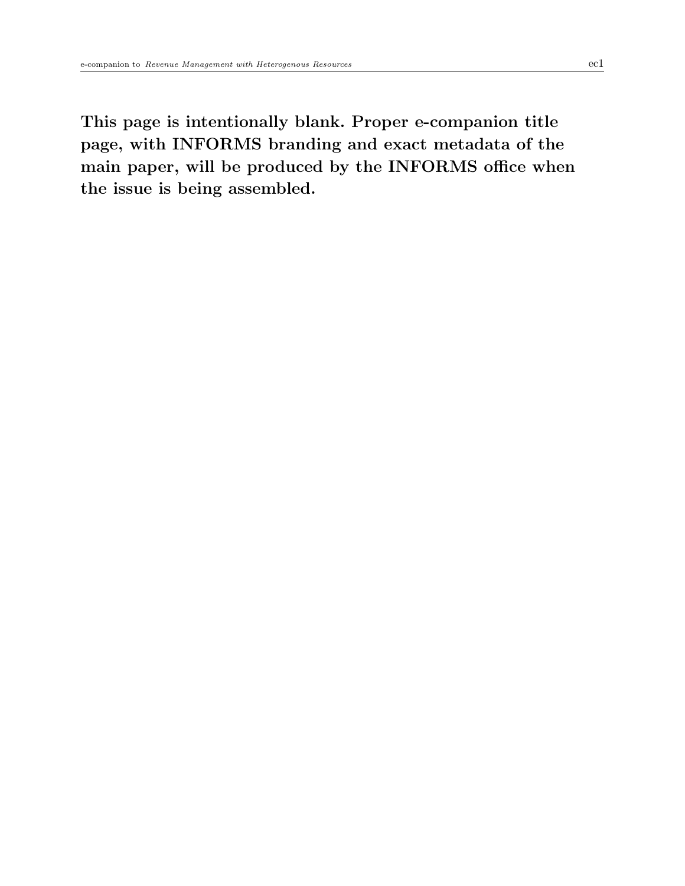This page is intentionally blank. Proper e-companion title page, with INFORMS branding and exact metadata of the main paper, will be produced by the INFORMS office when the issue is being assembled.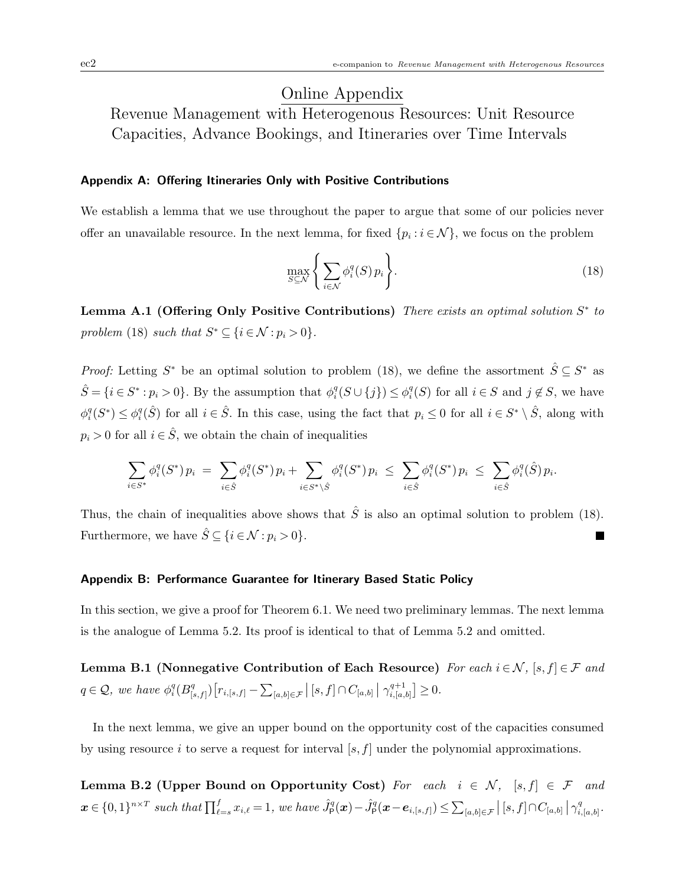## Online Appendix

Revenue Management with Heterogenous Resources: Unit Resource Capacities, Advance Bookings, and Itineraries over Time Intervals

## Appendix A: Offering Itineraries Only with Positive Contributions

We establish a lemma that we use throughout the paper to argue that some of our policies never offer an unavailable resource. In the next lemma, for fixed  $\{p_i : i \in \mathcal{N}\}\$ , we focus on the problem

$$
\max_{S \subseteq \mathcal{N}} \left\{ \sum_{i \in \mathcal{N}} \phi_i^q(S) \, p_i \right\}.
$$
\n(18)

Lemma A.1 (Offering Only Positive Contributions) There exists an optimal solution  $S^*$  to problem (18) such that  $S^* \subseteq \{i \in \mathcal{N} : p_i > 0\}.$ 

*Proof:* Letting  $S^*$  be an optimal solution to problem (18), we define the assortment  $\hat{S} \subseteq S^*$  as  $\hat{S} = \{i \in S^* : p_i > 0\}$ . By the assumption that  $\phi_i^q(S \cup \{j\}) \leq \phi_i^q(S)$  for all  $i \in S$  and  $j \notin S$ , we have  $\phi_i^q(S^*) \leq \phi_i^q(\hat{S})$  for all  $i \in \hat{S}$ . In this case, using the fact that  $p_i \leq 0$  for all  $i \in S^* \setminus \hat{S}$ , along with  $p_i > 0$  for all  $i \in \hat{S}$ , we obtain the chain of inequalities

$$
\sum_{i \in S^*} \phi_i^q(S^*) p_i \ = \ \sum_{i \in \hat{S}} \phi_i^q(S^*) p_i + \sum_{i \in S^* \setminus \hat{S}} \phi_i^q(S^*) p_i \ \leq \ \sum_{i \in \hat{S}} \phi_i^q(S^*) p_i \ \leq \ \sum_{i \in \hat{S}} \phi_i^q(\hat{S}) p_i.
$$

Thus, the chain of inequalities above shows that  $\hat{S}$  is also an optimal solution to problem (18). Furthermore, we have  $\hat{S} \subseteq \{i \in \mathcal{N} : p_i > 0\}.$ П

## Appendix B: Performance Guarantee for Itinerary Based Static Policy

In this section, we give a proof for Theorem 6.1. We need two preliminary lemmas. The next lemma is the analogue of Lemma 5.2. Its proof is identical to that of Lemma 5.2 and omitted.

Lemma B.1 (Nonnegative Contribution of Each Resource) For each  $i \in \mathcal{N}$ ,  $[s, f] \in \mathcal{F}$  and  $q \in \mathcal{Q}$ , we have  $\phi_i^q(B_{\parallel}^q)$  $\mathbb{P}_{[s,f]})\big[r_{i,[s,f]}-\sum_{[a,b]\in\mathcal{F}}\left|\left[s,f\right]\cap C_{[a,b]}\,\right|\,\gamma_{i,[a,b]}^{q+1}$  $_{i,[a,b]}^{q+1}$   $\geq 0$ .

In the next lemma, we give an upper bound on the opportunity cost of the capacities consumed by using resource i to serve a request for interval  $[s, f]$  under the polynomial approximations.

Lemma B.2 (Upper Bound on Opportunity Cost) For each  $i \in \mathcal{N}$ ,  $[s, f] \in \mathcal{F}$  and  $\boldsymbol{x} \in \{0,1\}^{n \times T}$  such that  $\prod_{\ell=s}^f x_{i,\ell} = 1$ , we have  $\hat{J}^q_{\mathsf{P}}(\boldsymbol{x}) - \hat{J}^q_{\mathsf{P}}(\boldsymbol{x} - \boldsymbol{e}_{i,[s,f]}) \leq \sum_{[a,b] \in \mathcal{F}} |[s,f] \cap C_{[a,b]} | \gamma^q_{i,[b]}$  $_{i,[a,b]}^q.$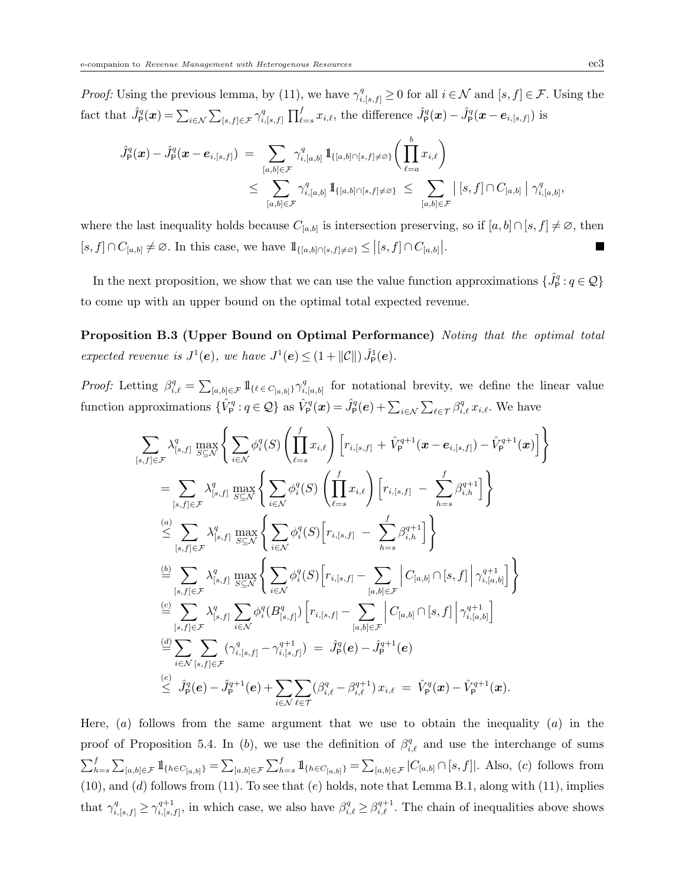*Proof:* Using the previous lemma, by (11), we have  $\gamma_{i,[s,f]}^q \geq 0$  for all  $i \in \mathcal{N}$  and  $[s,f] \in \mathcal{F}$ . Using the fact that  $\hat{J}_{\mathsf{P}}^q(\boldsymbol{x}) = \sum_{i \in \mathcal{N}} \sum_{[s,f] \in \mathcal{F}} \gamma_i^q$  $\int_{i,[s,f]}^{q} \prod_{\ell=s}^{f} x_{i,\ell}$ , the difference  $\hat{J}_{\mathsf{P}}^{q}(x) - \hat{J}_{\mathsf{P}}^{q}(x - \boldsymbol{e}_{i,[s,f]})$  is

$$
\hat{J}_{\mathsf{P}}^q(\boldsymbol{x}) - \hat{J}_{\mathsf{P}}^q(\boldsymbol{x} - \boldsymbol{e}_{i,[s,f]}) \; = \; \sum_{[a,b] \in \mathcal{F}} \gamma_{i,[a,b]}^q \, 1\!\!1_{\{[a,b] \cap [s,f] \neq \varnothing\}} \Big( \prod_{\ell=a}^b x_{i,\ell} \Big) \\ \leq \; \sum_{[a,b] \in \mathcal{F}} \gamma_{i,[a,b]}^q \, 1\!\!1_{\{[a,b] \cap [s,f] \neq \varnothing\}} \; \leq \; \sum_{[a,b] \in \mathcal{F}} \; \left| \; [s,f] \cap C_{[a,b]} \; \right| \, \gamma_{i,[a,b]}^q,
$$

where the last inequality holds because  $C_{[a,b]}$  is intersection preserving, so if  $[a,b] \cap [s,f] \neq \emptyset$ , then  $[s, f] \cap C_{[a,b]} \neq \emptyset$ . In this case, we have  $1\!\!1_{\{[a,b] \cap [s,f] \neq \emptyset\}} \leq |[s, f] \cap C_{[a,b]}|$ .

In the next proposition, we show that we can use the value function approximations  $\{\hat{J}_P^q: q \in \mathcal{Q}\}\$ to come up with an upper bound on the optimal total expected revenue.

Proposition B.3 (Upper Bound on Optimal Performance) Noting that the optimal total expected revenue is  $J^1(\mathbf{e})$ , we have  $J^1(\mathbf{e}) \leq (1 + ||\mathcal{C}||) \hat{J}_{\mathsf{P}}^1(\mathbf{e})$ .

*Proof:* Letting  $\beta_{i,\ell}^q = \sum_{[a,b]\in\mathcal{F}} 1\!\!1_{\{\ell \in C_{[a,b]}\}} \gamma_{i,\ell}^q$  $i_{i,a,b]}^{q}$  for notational brevity, we define the linear value function approximations  $\{\hat{V}_{\mathsf{P}}^q: q \in \mathcal{Q}\}$  as  $\hat{V}_{\mathsf{P}}^q(\boldsymbol{x}) = \hat{J}_{\mathsf{P}}^q(\boldsymbol{e}) + \sum_{i \in \mathcal{N}} \sum_{\ell \in \mathcal{T}} \beta_{i,\ell}^q x_{i,\ell}$ . We have

$$
\sum_{[s,f]\in\mathcal{F}} \lambda_{[s,f]}^q \max_{S\subseteq\mathcal{N}} \Bigg\{ \sum_{i\in\mathcal{N}} \phi_i^q(S) \left( \prod_{\ell=s}^f x_{i,\ell} \right) \Big[ r_{i,[s,f]} + \hat{V}_{\mathsf{P}}^{q+1}(\boldsymbol{x} - e_{i,[s,f]}) - \hat{V}_{\mathsf{P}}^{q+1}(\boldsymbol{x}) \Big] \Bigg\} \\ = \sum_{[s,f]\in\mathcal{F}} \lambda_{[s,f]}^q \max_{S\subseteq\mathcal{N}} \Bigg\{ \sum_{i\in\mathcal{N}} \phi_i^q(S) \left( \prod_{\ell=s}^f x_{i,\ell} \right) \Big[ r_{i,[s,f]} - \sum_{h=s}^f \beta_{i,h}^{q+1} \Big] \Bigg\} \\ \stackrel{(a)}{\leq} \sum_{[s,f]\in\mathcal{F}} \lambda_{[s,f]}^q \max_{S\subseteq\mathcal{N}} \Bigg\{ \sum_{i\in\mathcal{N}} \phi_i^q(S) \Big[ r_{i,[s,f]} - \sum_{h=s}^f \beta_{i,h}^{q+1} \Big] \Bigg\} \\ \stackrel{(b)}{=} \sum_{[s,f]\in\mathcal{F}} \lambda_{[s,f]}^q \max_{S\subseteq\mathcal{N}} \Bigg\{ \sum_{i\in\mathcal{N}} \phi_i^q(S) \Big[ r_{i,[s,f]} - \sum_{[a,b]\in\mathcal{F}} \Big| C_{[a,b]} \cap [s,f] \Big| \gamma_{i,[a,b]}^{q+1} \Big] \Bigg\} \\ \stackrel{(c)}{=} \sum_{[s,f]\in\mathcal{F}} \lambda_{[s,f]}^q \sum_{i\in\mathcal{N}} \phi_i^q(B_{[s,f]}^q) \Big[ r_{i,[s,f]} - \sum_{[a,b]\in\mathcal{F}} \Big| C_{[a,b]} \cap [s,f] \Big| \gamma_{i,[a,b]}^{q+1} \Big] \\ \stackrel{(d)}{=} \sum_{i\in\mathcal{N}} \sum_{[s,f]\in\mathcal{F}} (\gamma_{i,[s,f]}^q - \gamma_{i,[s,f]}^{q+1}) = \hat{J}_{\mathsf{P}}^q(e) - \hat{J}_{\mathsf{P}}^{q+1}(e) \\ \leq \hat{J}_{\mathsf{P}}^q(e) - \hat{J}_{\mathsf{P}}^{q+1}(e)
$$

Here,  $(a)$  follows from the same argument that we use to obtain the inequality  $(a)$  in the proof of Proposition 5.4. In (b), we use the definition of  $\beta_{i,\ell}^q$  and use the interchange of sums  $\sum_{h=s}^{f} \sum_{[a,b]\in\mathcal{F}} 1\!\!1_{\{h \in C_{[a,b]}\}} = \sum_{[a,b]\in\mathcal{F}} \sum_{h=s}^{f} 1\!\!1_{\{h \in C_{[a,b]}\}} = \sum_{[a,b]\in\mathcal{F}} |C_{[a,b]} \cap [s,f]|.$  Also, (c) follows from  $(10)$ , and  $(d)$  follows from  $(11)$ . To see that  $(e)$  holds, note that Lemma B.1, along with  $(11)$ , implies that  $\gamma_{i,[s,f]}^q \geq \gamma_{i,[s,j]}^{q+1}$  $\beta_{i,s,f}^{q+1}$ , in which case, we also have  $\beta_{i,\ell}^q \geq \beta_{i,\ell}^{q+1}$ . The chain of inequalities above shows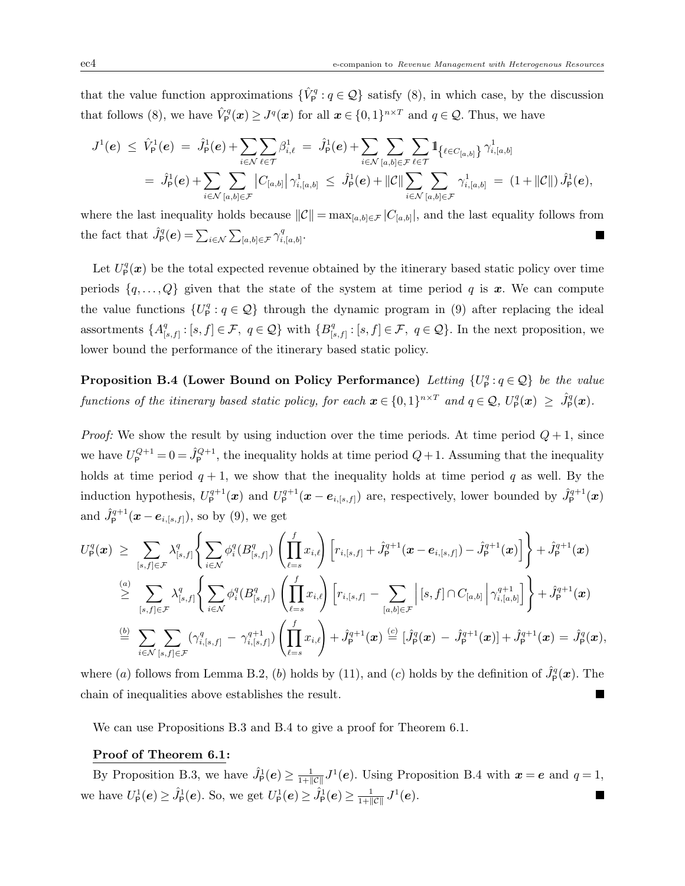that the value function approximations  $\{\hat{V}_P^q : q \in \mathcal{Q}\}\$  satisfy (8), in which case, by the discussion that follows (8), we have  $\hat{V}_{\mathsf{P}}^q(x) \geq J^q(x)$  for all  $x \in \{0,1\}^{n \times T}$  and  $q \in \mathcal{Q}$ . Thus, we have

$$
J^{1}(e) \leq \hat{V}_{P}^{1}(e) = \hat{J}_{P}^{1}(e) + \sum_{i \in \mathcal{N}} \sum_{\ell \in \mathcal{T}} \beta_{i,\ell}^{1} = \hat{J}_{P}^{1}(e) + \sum_{i \in \mathcal{N}} \sum_{[a,b] \in \mathcal{F}} \sum_{\ell \in \mathcal{T}} \mathbb{1}_{\{\ell \in C_{[a,b]}\}} \gamma_{i,[a,b]}^{1}
$$
  
=  $\hat{J}_{P}^{1}(e) + \sum_{i \in \mathcal{N}} \sum_{[a,b] \in \mathcal{F}} |C_{[a,b]}| \gamma_{i,[a,b]}^{1} \leq \hat{J}_{P}^{1}(e) + ||C|| \sum_{i \in \mathcal{N}} \sum_{[a,b] \in \mathcal{F}} \gamma_{i,[a,b]}^{1} = (1 + ||C||) \hat{J}_{P}^{1}(e),$ 

where the last inequality holds because  $||\mathcal{C}|| = \max_{[a,b]\in\mathcal{F}} |C_{[a,b]}|$ , and the last equality follows from the fact that  $\hat{J}_{\mathsf{P}}^q(\boldsymbol{e}) = \sum_{i \in \mathcal{N}} \sum_{[a,b] \in \mathcal{F}} \gamma_i^q$  $_{i,[a,b]}^q.$  $\blacksquare$ 

Let  $U_{\mathsf{P}}^{q}(\boldsymbol{x})$  be the total expected revenue obtained by the itinerary based static policy over time periods  $\{q, \ldots, Q\}$  given that the state of the system at time period q is x. We can compute the value functions  $\{U^q_\mathsf{P}: q \in \mathcal{Q}\}\$  through the dynamic program in (9) after replacing the ideal assortments  $\{A^q_{\mathfrak{l}}\}$  $[g_{[s,f]}^q : [s,f] \in \mathcal{F}, q \in \mathcal{Q} \}$  with  $\{B_{[s]}^q$  $[s,f]$  :  $[s,f] \in \mathcal{F}, q \in \mathcal{Q}$ . In the next proposition, we lower bound the performance of the itinerary based static policy.

**Proposition B.4 (Lower Bound on Policy Performance)** Letting  $\{U^q_\mathsf{P}: q \in \mathcal{Q}\}\$  be the value functions of the itinerary based static policy, for each  $\mathbf{x} \in \{0,1\}^{n \times T}$  and  $q \in \mathcal{Q}$ ,  $U_{\mathsf{P}}^q(\mathbf{x}) \geq \hat{J}_{\mathsf{P}}^q(\mathbf{x})$ .

*Proof:* We show the result by using induction over the time periods. At time period  $Q + 1$ , since we have  $U_{\rm P}^{Q+1} = 0 = \hat{J}_{\rm P}^{Q+1}$ , the inequality holds at time period  $Q+1$ . Assuming that the inequality holds at time period  $q + 1$ , we show that the inequality holds at time period q as well. By the induction hypothesis,  $U_{\mathsf{P}}^{q+1}(\boldsymbol{x})$  and  $U_{\mathsf{P}}^{q+1}(\boldsymbol{x}-\boldsymbol{e}_{i,[s,f]})$  are, respectively, lower bounded by  $\hat{J}_{\mathsf{P}}^{q+1}(\boldsymbol{x})$ and  $\hat{J}_{\mathsf{P}}^{q+1}(\boldsymbol{x}-\boldsymbol{e}_{i,[s,f]}),$  so by (9), we get

$$
U_{\mathsf{P}}^{q}(\boldsymbol{x}) \geq \sum_{[s,f]\in\mathcal{F}} \lambda_{[s,f]}^{q} \Bigg\{ \sum_{i\in\mathcal{N}} \phi_{i}^{q}(B_{[s,f]}^{q}) \left( \prod_{\ell=s}^{f} x_{i,\ell} \right) \left[ r_{i,[s,f]} + \hat{J}_{\mathsf{P}}^{q+1}(\boldsymbol{x} - \boldsymbol{e}_{i,[s,f]}) - \hat{J}_{\mathsf{P}}^{q+1}(\boldsymbol{x}) \right] \Bigg\} + \hat{J}_{\mathsf{P}}^{q+1}(\boldsymbol{x})
$$
\n
$$
\stackrel{(a)}{\geq} \sum_{[s,f]\in\mathcal{F}} \lambda_{[s,f]}^{q} \Bigg\{ \sum_{i\in\mathcal{N}} \phi_{i}^{q}(B_{[s,f]}^{q}) \left( \prod_{\ell=s}^{f} x_{i,\ell} \right) \left[ r_{i,[s,f]} - \sum_{[a,b]\in\mathcal{F}} \left| [s,f] \cap C_{[a,b]} \right| \gamma_{i,[a,b]}^{q+1} \right] \Bigg\} + \hat{J}_{\mathsf{P}}^{q+1}(\boldsymbol{x})
$$
\n
$$
\stackrel{(b)}{=} \sum_{i\in\mathcal{N}} \sum_{[s,f]\in\mathcal{F}} (\gamma_{i,[s,f]}^{q} - \gamma_{i,[s,f]}^{q+1}) \left( \prod_{\ell=s}^{f} x_{i,\ell} \right) + \hat{J}_{\mathsf{P}}^{q+1}(\boldsymbol{x}) \stackrel{(c)}{=} [\hat{J}_{\mathsf{P}}^{q}(\boldsymbol{x}) - \hat{J}_{\mathsf{P}}^{q+1}(\boldsymbol{x})] + \hat{J}_{\mathsf{P}}^{q+1}(\boldsymbol{x}) = \hat{J}_{\mathsf{P}}^{q}(\boldsymbol{x}),
$$

where (a) follows from Lemma B.2, (b) holds by (11), and (c) holds by the definition of  $\hat{J}_{\text{P}}^{q}(\boldsymbol{x})$ . The chain of inequalities above establishes the result.

We can use Propositions B.3 and B.4 to give a proof for Theorem 6.1.

#### Proof of Theorem 6.1:

By Proposition B.3, we have  $\hat{J}_{\mathsf{P}}^1(e) \geq \frac{1}{1+||\mathcal{C}||} J^1(e)$ . Using Proposition B.4 with  $x = e$  and  $q = 1$ , we have  $U_{\mathsf{P}}^1(e) \geq \hat{J}_{\mathsf{P}}^1(e)$ . So, we get  $U_{\mathsf{P}}^1(e) \geq \hat{J}_{\mathsf{P}}^1(e) \geq \frac{1}{1+||\mathcal{C}||} J^1(e)$ . I.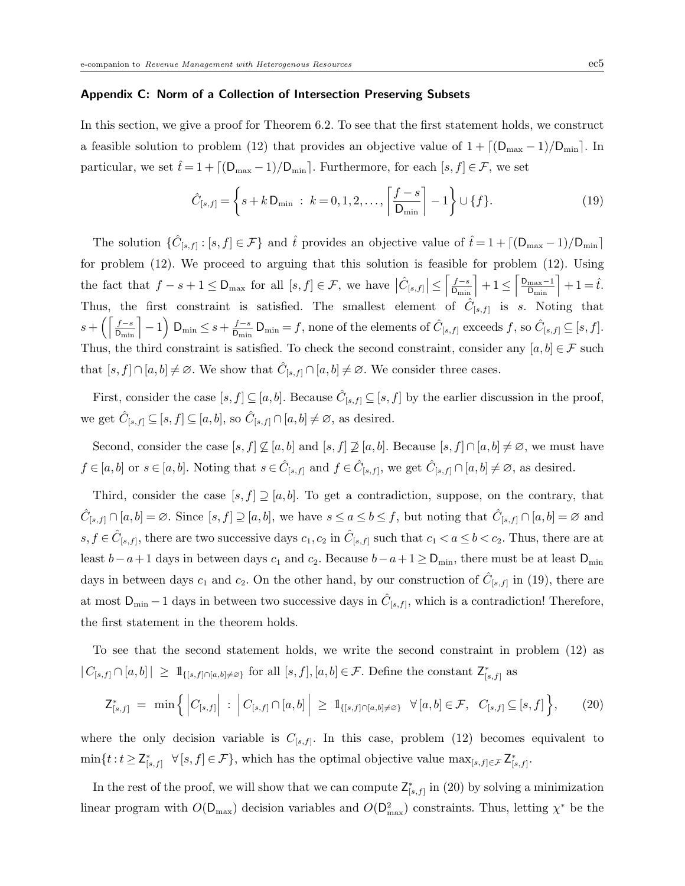#### Appendix C: Norm of a Collection of Intersection Preserving Subsets

In this section, we give a proof for Theorem 6.2. To see that the first statement holds, we construct a feasible solution to problem (12) that provides an objective value of  $1 + \lfloor (D_{\max} - 1)/D_{\min} \rfloor$ . In particular, we set  $\hat{t} = 1 + \lfloor (D_{\max} - 1)/D_{\min} \rfloor$ . Furthermore, for each  $[s, f] \in \mathcal{F}$ , we set

$$
\hat{C}_{[s,f]} = \left\{ s + k \, \mathsf{D}_{\min} \; : \; k = 0, 1, 2, \dots, \left\lceil \frac{f - s}{\mathsf{D}_{\min}} \right\rceil - 1 \right\} \cup \{f\}.
$$
\n(19)

The solution  $\{\hat{C}_{[s,f]}:[s,f]\in\mathcal{F}\}\$  and  $\hat{t}$  provides an objective value of  $\hat{t}=1+\lceil(\mathsf{D}_{\max}-1)/\mathsf{D}_{\min}\rceil$ for problem (12). We proceed to arguing that this solution is feasible for problem (12). Using the fact that  $f - s + 1 \leq D_{\max}$  for all  $[s, f] \in \mathcal{F}$ , we have  $\left| \hat{C}_{[s, f]} \right| \leq \left\lceil \frac{f - s}{D_{\min}} \right\rceil + 1 \leq \left\lceil \frac{D_{\max} - 1}{D_{\min}} \right\rceil + 1 = \hat{t}$ . Thus, the first constraint is satisfied. The smallest element of  $\hat{C}_{[s,f]}$  is s. Noting that  $s + \left(\left\lceil\frac{f-s}{\textrm{D}_{\min}}\right\rceil - 1\right)\,\textrm{D}_{\min} \leq s + \frac{f-s}{\textrm{D}_{\min}}$  $\frac{f-s}{D_{\min}} D_{\min} = f$ , none of the elements of  $\hat{C}_{[s,f]}$  exceeds  $f$ , so  $\hat{C}_{[s,f]} \subseteq [s,f]$ . Thus, the third constraint is satisfied. To check the second constraint, consider any  $[a, b] \in \mathcal{F}$  such that  $[s, f] \cap [a, b] \neq \emptyset$ . We show that  $\hat{C}_{[s, f]} \cap [a, b] \neq \emptyset$ . We consider three cases.

First, consider the case  $[s, f] \subseteq [a, b]$ . Because  $\hat{C}_{[s, f]} \subseteq [s, f]$  by the earlier discussion in the proof, we get  $\hat{C}_{[s,f]} \subseteq [s,f] \subseteq [a,b]$ , so  $\hat{C}_{[s,f]} \cap [a,b] \neq \emptyset$ , as desired.

Second, consider the case  $[s, f] \not\subseteq [a, b]$  and  $[s, f] \not\supseteq [a, b]$ . Because  $[s, f] \cap [a, b] \neq \emptyset$ , we must have  $f \in [a, b]$  or  $s \in [a, b]$ . Noting that  $s \in \hat{C}_{[s, f]}$  and  $f \in \hat{C}_{[s, f]}$ , we get  $\hat{C}_{[s, f]} \cap [a, b] \neq \emptyset$ , as desired.

Third, consider the case  $[s, f] \supseteq [a, b]$ . To get a contradiction, suppose, on the contrary, that  $\hat{C}_{[s,f]}\cap[a,b]=\varnothing$ . Since  $[s,f]\supseteq[a,b]$ , we have  $s\leq a\leq b\leq f$ , but noting that  $\hat{C}_{[s,f]}\cap[a,b]=\varnothing$  and  $s, f \in \hat{C}_{[s,f]},$  there are two successive days  $c_1, c_2$  in  $\hat{C}_{[s,f]}$  such that  $c_1 < a \leq b < c_2.$  Thus, there are at least  $b-a+1$  days in between days  $c_1$  and  $c_2$ . Because  $b-a+1 ≥ D_{min}$ , there must be at least  $D_{min}$ days in between days  $c_1$  and  $c_2$ . On the other hand, by our construction of  $\hat{C}_{[s,f]}$  in (19), there are at most  $D_{\min} - 1$  days in between two successive days in  $\hat{C}_{[s,f]}$ , which is a contradiction! Therefore, the first statement in the theorem holds.

To see that the second statement holds, we write the second constraint in problem (12) as  $|C_{[s,f]}\cap[a,b]| \geq 1\!\!1_{\{[s,f]\cap[a,b]\neq\varnothing\}}$  for all  $[s,f], [a,b]\in\mathcal{F}$ . Define the constant  $\mathsf{Z}^*_{[s,f]}$  as

$$
\mathsf{Z}_{[s,f]}^* = \min\Big\{\Big|C_{[s,f]}\Big| : \Big|C_{[s,f]}\cap[a,b]\Big| \geq \mathbb{1}_{\{[s,f]\cap[a,b]\neq\varnothing\}} \ \forall [a,b]\in\mathcal{F}, \ C_{[s,f]}\subseteq[s,f]\Big\},\tag{20}
$$

where the only decision variable is  $C_{[s,f]}$ . In this case, problem (12) becomes equivalent to  $\min\{t : t \geq \mathsf{Z}_{[s,f]}^* \quad \forall \, [s,f] \in \mathcal{F}\},\$  which has the optimal objective value  $\max_{[s,f] \in \mathcal{F}} \mathsf{Z}_{[s,f]}^*$ .

In the rest of the proof, we will show that we can compute  $\mathsf{Z}^*_{[s,f]}$  in (20) by solving a minimization linear program with  $O(D_{\text{max}})$  decision variables and  $O(D_{\text{max}}^2)$  constraints. Thus, letting  $\chi^*$  be the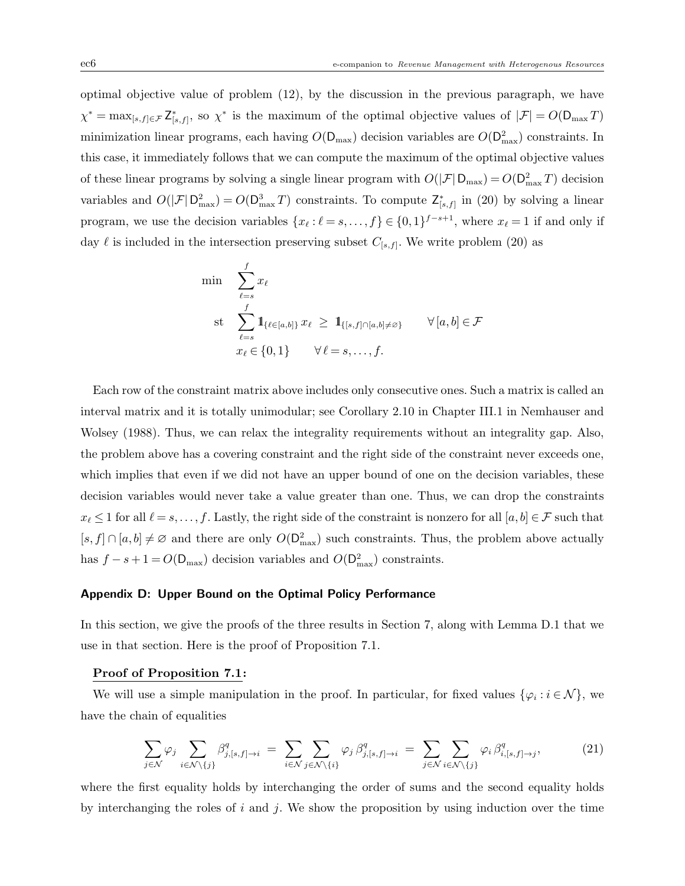optimal objective value of problem (12), by the discussion in the previous paragraph, we have  $\chi^* = \max_{[s,f]\in\mathcal{F}} \mathsf{Z}_{[s,f]}^*$ , so  $\chi^*$  is the maximum of the optimal objective values of  $|\mathcal{F}| = O(\mathsf{D}_{\max} T)$ minimization linear programs, each having  $O(D_{\text{max}})$  decision variables are  $O(D_{\text{max}}^2)$  constraints. In this case, it immediately follows that we can compute the maximum of the optimal objective values of these linear programs by solving a single linear program with  $O(|\mathcal{F}| D_{\text{max}}) = O(D_{\text{max}}^2 T)$  decision variables and  $O(|\mathcal{F}| \mathsf{D}_{\max}^2) = O(\mathsf{D}_{\max}^3 T)$  constraints. To compute  $\mathsf{Z}_{[s,f]}^*$  in (20) by solving a linear program, we use the decision variables  $\{x_\ell : \ell = s, \ldots, f\} \in \{0,1\}^{f-s+1}$ , where  $x_\ell = 1$  if and only if day  $\ell$  is included in the intersection preserving subset  $C_{[s,f]}$ . We write problem (20) as

$$
\min \quad \sum_{\ell=s}^{f} x_{\ell}
$$
\n
$$
\text{st} \quad \sum_{\ell=s}^{f} \mathbf{1}_{\{\ell \in [a,b]\}} x_{\ell} \geq \mathbf{1}_{\{[s,f] \cap [a,b] \neq \varnothing\}} \qquad \forall [a,b] \in \mathcal{F}
$$
\n
$$
x_{\ell} \in \{0,1\} \qquad \forall \ell=s,\ldots,f.
$$

Each row of the constraint matrix above includes only consecutive ones. Such a matrix is called an interval matrix and it is totally unimodular; see Corollary 2.10 in Chapter III.1 in Nemhauser and Wolsey (1988). Thus, we can relax the integrality requirements without an integrality gap. Also, the problem above has a covering constraint and the right side of the constraint never exceeds one, which implies that even if we did not have an upper bound of one on the decision variables, these decision variables would never take a value greater than one. Thus, we can drop the constraints  $x_\ell \leq 1$  for all  $\ell = s, \ldots, f$ . Lastly, the right side of the constraint is nonzero for all  $[a, b] \in \mathcal{F}$  such that  $[s, f] \cap [a, b] \neq \emptyset$  and there are only  $O(D_{\max}^2)$  such constraints. Thus, the problem above actually has  $f - s + 1 = O(D_{\text{max}})$  decision variables and  $O(D_{\text{max}}^2)$  constraints.

#### Appendix D: Upper Bound on the Optimal Policy Performance

In this section, we give the proofs of the three results in Section 7, along with Lemma D.1 that we use in that section. Here is the proof of Proposition 7.1.

## Proof of Proposition 7.1:

We will use a simple manipulation in the proof. In particular, for fixed values  $\{\varphi_i : i \in \mathcal{N}\}\,$  we have the chain of equalities

$$
\sum_{j \in \mathcal{N}} \varphi_j \sum_{i \in \mathcal{N} \setminus \{j\}} \beta_{j,[s,f] \to i}^q = \sum_{i \in \mathcal{N}} \sum_{j \in \mathcal{N} \setminus \{i\}} \varphi_j \beta_{j,[s,f] \to i}^q = \sum_{j \in \mathcal{N}} \sum_{i \in \mathcal{N} \setminus \{j\}} \varphi_i \beta_{i,[s,f] \to j}^q, \tag{21}
$$

where the first equality holds by interchanging the order of sums and the second equality holds by interchanging the roles of i and j. We show the proposition by using induction over the time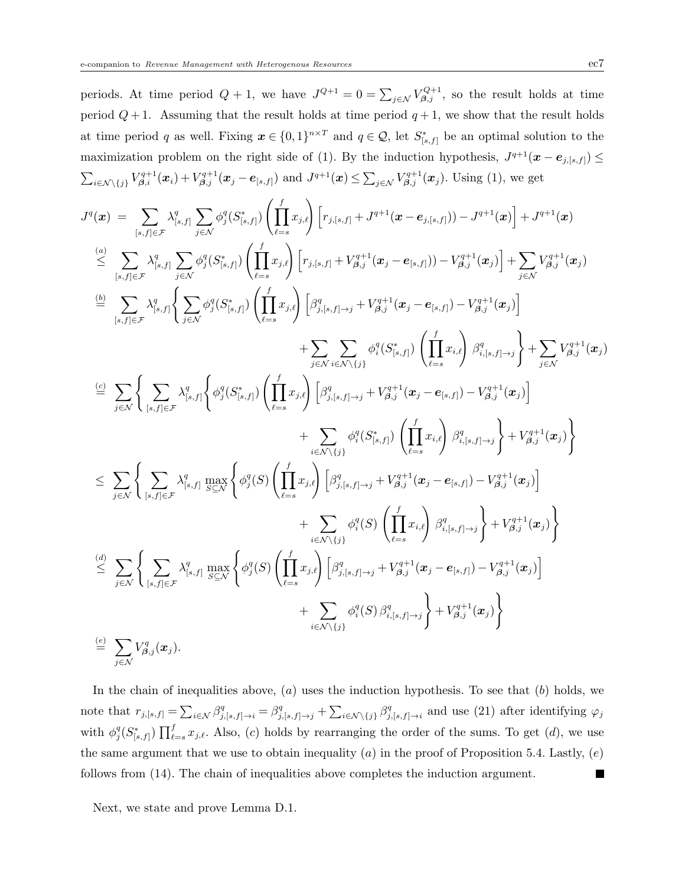periods. At time period  $Q+1$ , we have  $J^{Q+1}=0=\sum_{j\in\mathcal{N}}V_{\beta,j}^{Q+1}$ , so the result holds at time period  $Q+1$ . Assuming that the result holds at time period  $q+1$ , we show that the result holds at time period q as well. Fixing  $\boldsymbol{x} \in \{0,1\}^{n \times T}$  and  $q \in \mathcal{Q}$ , let  $S^*_{[s,f]}$  be an optimal solution to the maximization problem on the right side of (1). By the induction hypothesis,  $J^{q+1}(\mathbf{x}-\mathbf{e}_{j,[s,f]}) \leq$  $\sum_{i \in \mathcal{N} \setminus \{j\}} V_{\beta,i}^{q+1}(\bm{x}_i) + V_{\beta,j}^{q+1}(\bm{x}_j - \bm{e}_{[s,f]})$  and  $J^{q+1}(\bm{x}) \leq \sum_{j \in \mathcal{N}} V_{\beta,j}^{q+1}(\bm{x}_j)$ . Using (1), we get

$$
\begin{split} J^{q}(\boldsymbol{x})&=\sum_{[s,f]\in\mathcal{F}}\lambda_{[s,f]}^{q}\sum_{j\in\mathcal{N}}\phi_{j}^{q}(S_{[s,f]}^{+})\left(\prod_{\ell=s}^{f}x_{j,\ell}\right)\left[r_{j,[s,f]}+J^{q+1}(\boldsymbol{x}-e_{j,[s,f]}))-J^{q+1}(\boldsymbol{x})\right]+J^{q+1}(\boldsymbol{x})\\ &\stackrel{(a)}{\leq}\sum_{[s,f]\in\mathcal{F}}\lambda_{[s,f]}^{q}\sum_{j\in\mathcal{N}}\phi_{j}^{q}(S_{[s,f]}^{+})\left(\prod_{\ell=s}^{f}x_{j,\ell}\right)\left[r_{j,[s,f]}+V_{\beta,j}^{q+1}(\boldsymbol{x}_{j}-e_{[s,f]}))-V_{\beta,j}^{q+1}(\boldsymbol{x}_{j})\right]+\sum_{j\in\mathcal{N}}V_{\beta,j}^{q+1}(\boldsymbol{x}_{j})\\ &\stackrel{(b)}{=} \sum_{[s,f]\in\mathcal{F}}\lambda_{[s,f]}^{q}\left\{\sum_{j\in\mathcal{N}}\phi_{j}^{q}(S_{[s,f]}^{+})\left(\prod_{\ell=s}^{f}x_{j,\ell}\right)\left[\beta_{j,[s,f]-\rightarrow j}^{q+1}+V_{\beta,j}^{q+1}(\boldsymbol{x}_{j}-e_{[s,f]})-V_{\beta,j}^{q+1}(\boldsymbol{x}_{j})\right]\right.\\ &\left.+\sum_{j\in\mathcal{N}}\sum_{i\in\mathcal{N}\backslash\{j\}}\phi_{i}^{q}(S_{[s,f]}^{+})\left(\prod_{\ell=s}^{f}x_{i,\ell}\right)\beta_{i,[s,f]-\rightarrow j}^{q+1}(\boldsymbol{x}_{j})\right]+\sum_{j\in\mathcal{N}}V_{\beta,j}^{q+1}(\boldsymbol{x}_{j})\\ &\stackrel{(c)}{=} \sum_{j\in\mathcal{N}}\left\{\sum_{[s,f]\in\mathcal{F}}\lambda_{[s,f]}^{q}\left\{\phi_{j}^{q}(S_{[s,f]}^{+})\left(\prod_{\ell=s}^{f}x_{j,\ell}\right)\left[\beta_{j,[s,f]-\rightarrow j}^{q+1}+V_{\beta,j}^{q+1}(\boldsymbol{x}_{j}-e_{[s,f]})-V_{\beta,j}^{q+1}(\boldsymbol{x}_{j})\right]\right.\\ &\left.+\sum_{i\in\mathcal{N}\
$$

In the chain of inequalities above,  $(a)$  uses the induction hypothesis. To see that  $(b)$  holds, we note that  $r_{j,[s,f]} = \sum_{i \in \mathcal{N}} \beta_{j,[s,f] \to i}^q = \beta_{j,[s,f] \to j}^q + \sum_{i \in \mathcal{N} \setminus \{j\}} \beta_j^q$  $j$ <sub>,[s,f]→i</sub> and use (21) after identifying  $\varphi_j$ with  $\phi_j^q(S^*_{[s,f]}) \prod_{\ell=s}^f x_{j,\ell}$ . Also, (c) holds by rearranging the order of the sums. To get (d), we use the same argument that we use to obtain inequality (a) in the proof of Proposition 5.4. Lastly,  $(e)$ follows from (14). The chain of inequalities above completes the induction argument.

Next, we state and prove Lemma D.1.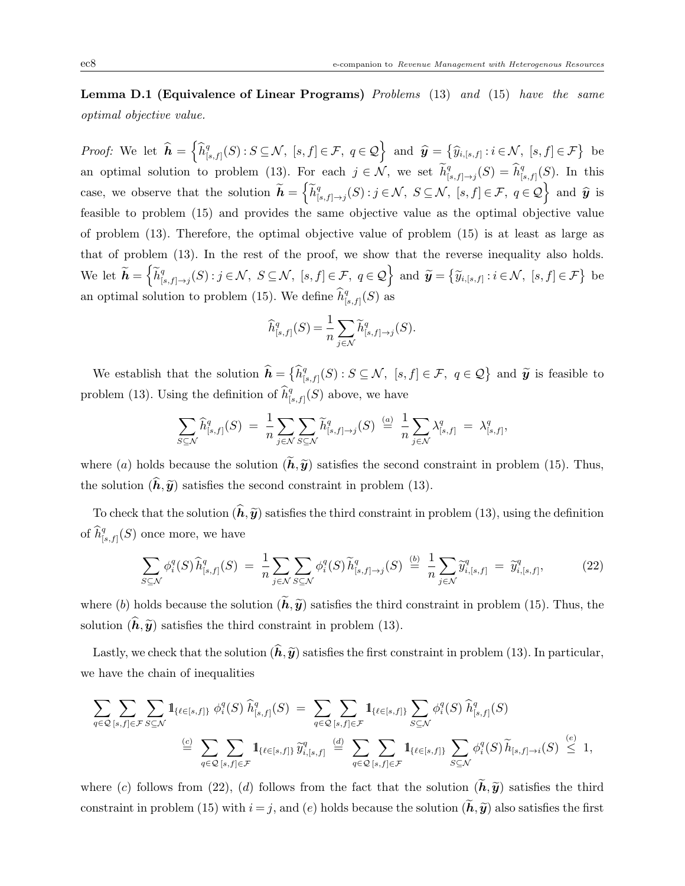Lemma D.1 (Equivalence of Linear Programs) Problems (13) and (15) have the same optimal objective value.

*Proof:* We let  $\widehat{\boldsymbol{h}} = \left\{ \widehat{h}_{\parallel}^q \right\}$  $\left\{ \mathcal{G}_{[s,f]}(S) : S \subseteq \mathcal{N}, \ [s,f] \in \mathcal{F}, \ q \in \mathcal{Q} \right\} \text{ and } \hat{\mathbf{y}} = \left\{ \widehat{y}_{i,[s,f]} : i \in \mathcal{N}, \ [s,f] \in \mathcal{F} \right\} \text{ be }$ an optimal solution to problem (13). For each  $j \in \mathcal{N}$ , we set  $\widetilde{h}_{[i]}^q$  $_{[s,f]\rightarrow j}^q(S)=\widehat{h}_{[s]}^q$  $_{[s,f]}^q(S)$ . In this case, we observe that the solution  $\widetilde{h} = \left\{ \widetilde{h}_{\parallel}^q \right\}$  $\{S_{[s,f]\to j}(S): j\in\mathcal{N}, S\subseteq\mathcal{N}, [s,f]\in\mathcal{F}, q\in\mathcal{Q}\}$  and  $\widehat{y}$  is feasible to problem (15) and provides the same objective value as the optimal objective value of problem (13). Therefore, the optimal objective value of problem (15) is at least as large as that of problem (13). In the rest of the proof, we show that the reverse inequality also holds. We let  $\widetilde{\boldsymbol{h}} = \left\{ \widetilde{h}^q_{\textrm{r}} \right\}$  $\left\{\mathfrak{F}_{[s,f]\to j}(S): j\in\mathcal{N},\ S\subseteq\mathcal{N},\ [s,f]\in\mathcal{F},\ q\in\mathcal{Q}\right\} \text{ and } \widetilde{\mathbf{y}}=\left\{\widetilde{y}_{i,[s,f]}: i\in\mathcal{N},\ [s,f]\in\mathcal{F}\right\} \text{ be }$ an optimal solution to problem (15). We define  $\widehat{h}_{[.]}^q$  $_{[s,f]}^q(S)$  as

$$
\widehat{h}_{[s,f]}^q(S) = \frac{1}{n} \sum_{j \in \mathcal{N}} \widetilde{h}_{[s,f] \to j}^q(S).
$$

We establish that the solution  $\widehat{\boldsymbol{h}} = \left\{ \widehat{h}_{\parallel}^q \right\}$  $\widetilde{g}_{[s,f]}(S)$ :  $S \subseteq \mathcal{N}$ ,  $[s,f] \in \mathcal{F}$ ,  $q \in \mathcal{Q}$  and  $\widetilde{\mathbf{y}}$  is feasible to problem (13). Using the definition of  $\widehat{h}_{[.]}^q$  $\binom{q}{[s,f]}(S)$  above, we have

$$
\sum_{S \subseteq \mathcal{N}} \widehat{h}_{[s,f]}^q(S) = \frac{1}{n} \sum_{j \in \mathcal{N}} \sum_{S \subseteq \mathcal{N}} \widetilde{h}_{[s,f] \to j}^q(S) \stackrel{(a)}{=} \frac{1}{n} \sum_{j \in \mathcal{N}} \lambda_{[s,f]}^q = \lambda_{[s,f]}^q,
$$

where (a) holds because the solution  $(\widetilde{h},\widetilde{y})$  satisfies the second constraint in problem (15). Thus, the solution  $(h,\tilde{y})$  satisfies the second constraint in problem (13).

To check that the solution  $(\hat{\boldsymbol{h}},\hat{\boldsymbol{y}})$  satisfies the third constraint in problem (13), using the definition of  $\widehat{h}^q_{[.}$  $\binom{q}{[s,f]}(S)$  once more, we have

$$
\sum_{S \subseteq \mathcal{N}} \phi_i^q(S) \widehat{h}_{[s,f]}^q(S) = \frac{1}{n} \sum_{j \in \mathcal{N}} \sum_{S \subseteq \mathcal{N}} \phi_i^q(S) \widetilde{h}_{[s,f] \to j}^q(S) \stackrel{(b)}{=} \frac{1}{n} \sum_{j \in \mathcal{N}} \widetilde{y}_{i,[s,f]}^q = \widetilde{y}_{i,[s,f]}^q,
$$
 (22)

where (b) holds because the solution  $(\tilde{h}, \tilde{y})$  satisfies the third constraint in problem (15). Thus, the solution  $(\hat{h},\tilde{y})$  satisfies the third constraint in problem (13).

Lastly, we check that the solution  $(\hat{h},\tilde{y})$  satisfies the first constraint in problem (13). In particular, we have the chain of inequalities

$$
\sum_{q\in\mathcal{Q}}\sum_{[s,f]\in\mathcal{F}}\sum_{S\subseteq\mathcal{N}}\mathbb{1}_{\{\ell\in[s,f]\}}\phi_i^q(S)\ \hat{h}_{[s,f]}^q(S) = \sum_{q\in\mathcal{Q}}\sum_{[s,f]\in\mathcal{F}}\mathbb{1}_{\{\ell\in[s,f]\}}\sum_{S\subseteq\mathcal{N}}\phi_i^q(S)\ \hat{h}_{[s,f]}^q(S)
$$
\n
$$
\stackrel{(c)}{=} \sum_{q\in\mathcal{Q}}\sum_{[s,f]\in\mathcal{F}}\mathbb{1}_{\{\ell\in[s,f]\}}\widetilde{y}_{i,[s,f]}^q \stackrel{(d)}{=} \sum_{q\in\mathcal{Q}}\sum_{[s,f]\in\mathcal{F}}\mathbb{1}_{\{\ell\in[s,f]\}}\sum_{S\subseteq\mathcal{N}}\phi_i^q(S)\ \tilde{h}_{[s,f]\to i}(S) \stackrel{(e)}{\leq} 1,
$$

where (c) follows from (22), (d) follows from the fact that the solution  $(\tilde{h}, \tilde{y})$  satisfies the third constraint in problem (15) with  $i = j$ , and (e) holds because the solution  $(\tilde{h}, \tilde{y})$  also satisfies the first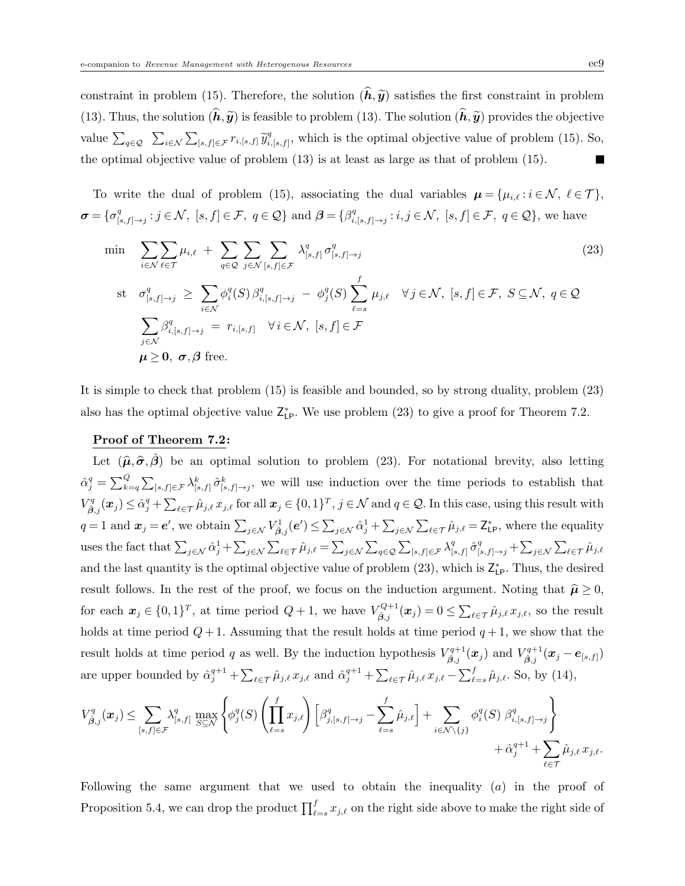constraint in problem (15). Therefore, the solution  $(\hat{h}, \hat{y})$  satisfies the first constraint in problem (13). Thus, the solution  $(\hat{h},\hat{y})$  is feasible to problem (13). The solution  $(\hat{h},\hat{y})$  provides the objective value  $\sum_{q \in \mathcal{Q}} \sum_{i \in \mathcal{N}} \sum_{[s,f] \in \mathcal{F}} r_{i,[s,f]} \widetilde{y}_{i,j}^q$  $C_{i,[s,f]}^q$ , which is the optimal objective value of problem (15). So, the optimal objective value of problem (13) is at least as large as that of problem (15). Г

To write the dual of problem (15), associating the dual variables  $\mu = {\mu_{i,\ell} : i \in \mathcal{N}, \ell \in \mathcal{T}}$ ,  $\boldsymbol{\sigma} = \{\sigma^q_{\text{L}}\}$  $[e_{[s,f]\to j}^q : j \in \mathcal{N}, [s,f] \in \mathcal{F}, q \in \mathcal{Q} \}$  and  $\boldsymbol{\beta} = \{\beta_i^q : j \in \mathcal{N}, [s,f] \in \mathcal{F}, q \in \mathcal{Q} \}$  $i_{i,[s,f]\rightarrow j}: i,j \in \mathcal{N}, [s,f] \in \mathcal{F}, q \in \mathcal{Q}$ , we have

$$
\min \sum_{i \in \mathcal{N}} \sum_{\ell \in \mathcal{T}} \mu_{i,\ell} + \sum_{q \in \mathcal{Q}} \sum_{j \in \mathcal{N}} \sum_{[s,f] \in \mathcal{F}} \lambda_{[s,f]}^q \sigma_{[s,f] \to j}^q
$$
\n
$$
\text{st } \sigma_{[s,f] \to j}^q \geq \sum_{i \in \mathcal{N}} \phi_i^q(S) \beta_{i,[s,f] \to j}^q - \phi_j^q(S) \sum_{\ell=s}^f \mu_{j,\ell} \quad \forall j \in \mathcal{N}, [s,f] \in \mathcal{F}, S \subseteq \mathcal{N}, q \in \mathcal{Q}
$$
\n
$$
\sum_{j \in \mathcal{N}} \beta_{i,[s,f] \to j}^q = r_{i,[s,f]} \quad \forall i \in \mathcal{N}, [s,f] \in \mathcal{F}
$$
\n
$$
\mu \geq 0, \sigma, \beta \text{ free.}
$$
\n
$$
(23)
$$

It is simple to check that problem (15) is feasible and bounded, so by strong duality, problem (23) also has the optimal objective value  $Z_{LP}^*$ . We use problem (23) to give a proof for Theorem 7.2.

## Proof of Theorem 7.2:

Let  $(\hat{\mu}, \hat{\sigma}, \hat{\beta})$  be an optimal solution to problem (23). For notational brevity, also letting  $\hat{\alpha}_{j}^{q} = \sum_{k=q}^{Q} \sum_{[s,f] \in \mathcal{F}} \lambda_{[s,f]}^{k} \hat{\sigma}_{[s,f] \to j}^{k}$ , we will use induction over the time periods to establish that  $V^q_{\hat{\beta},j}(\boldsymbol{x}_j) \leq \hat{\alpha}_j^q + \sum_{\ell \in \mathcal{T}} \hat{\mu}_{j,\ell} x_{j,\ell}$  for all  $\boldsymbol{x}_j \in \{0,1\}^T$ ,  $j \in \mathcal{N}$  and  $q \in \mathcal{Q}$ . In this case, using this result with  $q=1$  and  $\boldsymbol{x}_j=e'$ , we obtain  $\sum_{j\in\mathcal{N}}V_{\hat{\beta},j}^1(e') \leq \sum_{j\in\mathcal{N}}\hat{\alpha}_j^1+\sum_{j\in\mathcal{N}}\sum_{\ell\in\mathcal{T}}\hat{\mu}_{j,\ell}=\mathsf{Z}_{\mathsf{LP}}^*$ , where the equality uses the fact that  $\sum_{j \in \mathcal{N}} \hat{\alpha}_j^1 + \sum_{j \in \mathcal{N}} \sum_{\ell \in \mathcal{T}} \hat{\mu}_{j,\ell} = \sum_{j \in \mathcal{N}} \sum_{q \in \mathcal{Q}} \sum_{[s,f] \in \mathcal{F}} \lambda_{[s,f]}^q$  $\int_{[s,f]}^q \hat{\sigma}_{[s,f]\rightarrow j}^q + \sum_{j\in\mathcal{N}}\sum_{\ell\in\mathcal{T}}\hat{\mu}_{j,\ell}$ and the last quantity is the optimal objective value of problem  $(23)$ , which is  $\mathsf{Z}_{\mathsf{LP}}^*$ . Thus, the desired result follows. In the rest of the proof, we focus on the induction argument. Noting that  $\hat{\mu} \ge 0$ , for each  $x_j \in \{0,1\}^T$ , at time period  $Q+1$ , we have  $V_{\hat{\beta},j}^{Q+1}(\boldsymbol{x}_j) = 0 \le \sum_{\ell \in \mathcal{T}} \hat{\mu}_{j,\ell} x_{j,\ell}$ , so the result holds at time period  $Q+1$ . Assuming that the result holds at time period  $q+1$ , we show that the result holds at time period q as well. By the induction hypothesis  $V_{\hat{\beta},j}^{q+1}(\bm{x}_j)$  and  $V_{\hat{\beta},j}^{q+1}(\bm{x}_j - \bm{e}_{[s,f]})$ are upper bounded by  $\hat{\alpha}_j^{q+1} + \sum_{\ell \in \mathcal{T}} \hat{\mu}_{j,\ell} x_{j,\ell}$  and  $\hat{\alpha}_j^{q+1} + \sum_{\ell \in \mathcal{T}} \hat{\mu}_{j,\ell} x_{j,\ell} - \sum_{\ell=s}^f \hat{\mu}_{j,\ell}$ . So, by (14),

$$
V_{\hat{\beta},j}^q(\boldsymbol{x}_j) \leq \sum_{[s,f] \in \mathcal{F}} \lambda_{[s,f]}^q \max_{S \subseteq \mathcal{N}} \left\{ \phi_j^q(S) \left( \prod_{\ell=s}^f x_{j,\ell} \right) \left[ \beta_{j,[s,f] \to j}^q - \sum_{\ell=s}^f \hat{\mu}_{j,\ell} \right] + \sum_{i \in \mathcal{N} \setminus \{j\}} \phi_i^q(S) \beta_{i,[s,f] \to j}^q \right\} + \hat{\alpha}_j^{q+1} + \sum_{\ell \in \mathcal{T}} \hat{\mu}_{j,\ell} x_{j,\ell}.
$$

Following the same argument that we used to obtain the inequality  $(a)$  in the proof of Proposition 5.4, we can drop the product  $\prod_{\ell=s}^{f} x_{j,\ell}$  on the right side above to make the right side of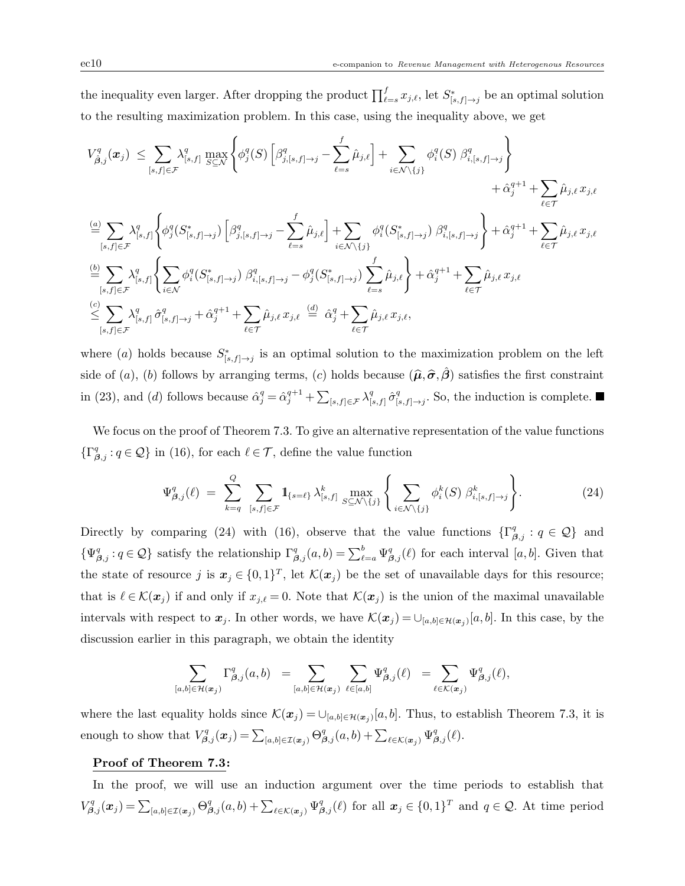the inequality even larger. After dropping the product  $\prod_{\ell=s}^{f} x_{j,\ell}$ , let  $S^*_{[s,f]\to j}$  be an optimal solution to the resulting maximization problem. In this case, using the inequality above, we get

$$
V_{\hat{\beta},j}^{q}(\boldsymbol{x}_{j}) \leq \sum_{[s,f]\in\mathcal{F}} \lambda_{[s,f]}^{q} \max_{S\subseteq\mathcal{N}} \left\{ \phi_{j}^{q}(S) \left[ \beta_{j,[s,f]\to j}^{q} - \sum_{\ell=s}^{f} \hat{\mu}_{j,\ell} \right] + \sum_{i\in\mathcal{N}\backslash\{j\}} \phi_{i}^{q}(S) \beta_{i,[s,f]\to j}^{q} + \hat{\alpha}_{j}^{q+1} + \sum_{\ell\in\mathcal{T}} \hat{\mu}_{j,\ell} x_{j,\ell} + \hat{\alpha}_{j}^{q+1} + \sum_{\ell\in\mathcal{T}} \hat{\mu}_{j,\ell} x_{j,\ell} \right\}
$$
  
\n
$$
\stackrel{(a)}{=} \sum_{[s,f]\in\mathcal{F}} \lambda_{[s,f]}^{q} \left\{ \phi_{j}^{q}(S_{[s,f]\to j}^{*}) \left[ \beta_{j,[s,f]\to j}^{q} - \sum_{\ell=s}^{f} \hat{\mu}_{j,\ell} \right] + \sum_{i\in\mathcal{N}\backslash\{j\}} \phi_{i}^{q}(S_{[s,f]\to j}^{*}) \beta_{i,[s,f]\to j}^{q} + \hat{\alpha}_{j}^{q+1} + \sum_{\ell\in\mathcal{T}} \hat{\mu}_{j,\ell} x_{j,\ell} \right\}
$$
  
\n
$$
\stackrel{(b)}{=} \sum_{[s,f]\in\mathcal{F}} \lambda_{[s,f]}^{q} \left\{ \sum_{i\in\mathcal{N}} \phi_{i}^{q}(S_{[s,f]\to j}^{*}) \beta_{i,[s,f]\to j}^{q} - \phi_{j}^{q}(S_{[s,f]\to j}^{*}) \sum_{\ell=s}^{f} \hat{\mu}_{j,\ell} \right\} + \hat{\alpha}_{j}^{q+1} + \sum_{\ell\in\mathcal{T}} \hat{\mu}_{j,\ell} x_{j,\ell}
$$
  
\n
$$
\stackrel{(c)}{\leq} \sum_{[s,f]\in\mathcal{F}} \lambda_{[s,f]}^{q} \hat{\sigma}_{[s,f]\to j}^{q} + \hat{\alpha}_{j}^{q+1} + \sum_{\ell\in\mathcal{T}} \hat{\mu}_{j,\ell} x_{j,\ell} \stackrel{(d)}{=} \hat{\alpha}_{j}^{q} + \sum_{\ell\in\mathcal{T}} \hat{\mu
$$

where (a) holds because  $S^*_{[s,f]\to j}$  is an optimal solution to the maximization problem on the left side of (a), (b) follows by arranging terms, (c) holds because  $(\hat{\mu}, \hat{\sigma}, \hat{\beta})$  satisfies the first constraint in (23), and (d) follows because  $\hat{\alpha}_j^q = \hat{\alpha}_j^{q+1} + \sum_{[s,f] \in \mathcal{F}} \lambda_{[s,f]}^q$  $\frac{q}{[s,f]}\hat{\sigma}_{[s]}^{q}$  $S_{[s,f]\to j}^q$ . So, the induction is complete.

We focus on the proof of Theorem 7.3. To give an alternative representation of the value functions  $\{\Gamma^q_{\beta,j} : q \in \mathcal{Q}\}\$ in (16), for each  $\ell \in \mathcal{T}$ , define the value function

$$
\Psi_{\beta,j}^q(\ell) = \sum_{k=q}^Q \sum_{[s,f]\in\mathcal{F}} 1\!\!1_{\{s=\ell\}} \lambda_{[s,f]}^k \max_{S\subseteq\mathcal{N}\setminus\{j\}} \left\{ \sum_{i\in\mathcal{N}\setminus\{j\}} \phi_i^k(S) \beta_{i,[s,f]\to j}^k \right\}.
$$
 (24)

Directly by comparing (24) with (16), observe that the value functions  $\{\Gamma_{\beta,j}^q : q \in \mathcal{Q}\}\$  and  $\{\Psi_{\beta,j}^q: q \in \mathcal{Q}\}\$  satisfy the relationship  $\Gamma_{\beta,j}^q(a,b) = \sum_{\ell=a}^b \Psi_{\beta,j}^q(\ell)$  for each interval  $[a,b]$ . Given that the state of resource j is  $x_j \in \{0,1\}^T$ , let  $\mathcal{K}(x_j)$  be the set of unavailable days for this resource; that is  $\ell \in \mathcal{K}(x_j)$  if and only if  $x_{j,\ell} = 0$ . Note that  $\mathcal{K}(x_j)$  is the union of the maximal unavailable intervals with respect to  $x_j$ . In other words, we have  $\mathcal{K}(x_j) = \bigcup_{[a,b]\in\mathcal{H}(x_j)} [a,b]$ . In this case, by the discussion earlier in this paragraph, we obtain the identity

$$
\sum_{[a,b]\in \mathcal{H}(x_j)}\Gamma_{\boldsymbol\beta,j}^q(a,b)\;\;=\sum_{[a,b]\in \mathcal{H}(x_j)}\,\sum_{\ell\in [a,b]}\Psi_{\boldsymbol\beta,j}^q(\ell)\;\;=\sum_{\ell\in \mathcal{K}(x_j)}\Psi_{\boldsymbol\beta,j}^q(\ell),
$$

where the last equality holds since  $\mathcal{K}(\bm{x}_j) = \bigcup_{[a,b] \in \mathcal{H}(\bm{x}_j)} [a,b]$ . Thus, to establish Theorem 7.3, it is enough to show that  $V_{\beta,j}^q(x_j) = \sum_{[a,b]\in\mathcal{I}(x_j)} \Theta_{\beta,j}^q(a,b) + \sum_{\ell \in \mathcal{K}(x_j)} \Psi_{\beta,j}^q(\ell)$ .

## Proof of Theorem 7.3:

In the proof, we will use an induction argument over the time periods to establish that  $V_{\beta,j}^q(\boldsymbol{x}_j) = \sum_{[a,b] \in \mathcal{I}(\boldsymbol{x}_j)} \Theta_{\beta,j}^q(a,b) + \sum_{\ell \in \mathcal{K}(\boldsymbol{x}_j)} \Psi_{\beta,j}^q(\ell)$  for all  $\boldsymbol{x}_j \in \{0,1\}^T$  and  $q \in \mathcal{Q}$ . At time period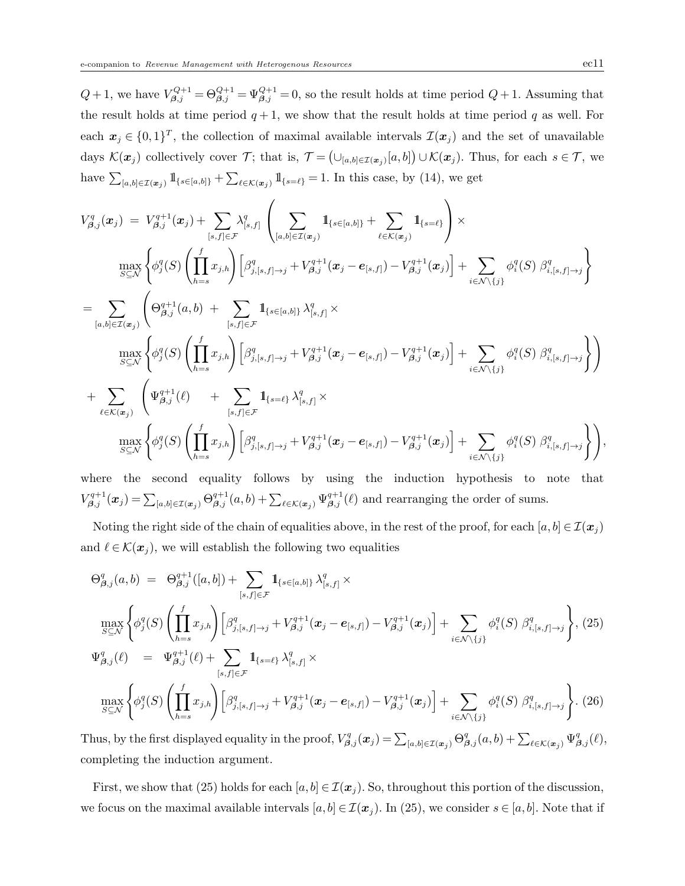$Q+1$ , we have  $V_{\beta,j}^{Q+1} = \Theta_{\beta,j}^{Q+1} = \Psi_{\beta,j}^{Q+1} = 0$ , so the result holds at time period  $Q+1$ . Assuming that the result holds at time period  $q+1$ , we show that the result holds at time period q as well. For each  $x_j \in \{0,1\}^T$ , the collection of maximal available intervals  $\mathcal{I}(x_j)$  and the set of unavailable days  $\mathcal{K}(\boldsymbol{x}_j)$  collectively cover  $\mathcal{T}$ ; that is,  $\mathcal{T} = (\cup_{[a,b]\in\mathcal{I}(\boldsymbol{x}_j)}[a,b]) \cup \mathcal{K}(\boldsymbol{x}_j)$ . Thus, for each  $s \in \mathcal{T}$ , we have  $\sum_{[a,b]\in\mathcal{I}(\boldsymbol{x}_j)} 1\!\!1_{\{s\in[a,b]\}} + \sum_{\ell\in\mathcal{K}(\boldsymbol{x}_j)} 1\!\!1_{\{s=\ell\}} = 1$ . In this case, by (14), we get

$$
V_{\beta,j}^{q}(\mathbf{x}_{j}) = V_{\beta,j}^{q+1}(\mathbf{x}_{j}) + \sum_{[s,f] \in \mathcal{F}} \lambda_{[s,f]}^{q} \left( \sum_{[a,b] \in \mathcal{I}(\mathbf{x}_{j})} \mathbf{1}_{\{s \in [a,b]\}} + \sum_{\ell \in \mathcal{K}(\mathbf{x}_{j})} \mathbf{1}_{\{s = \ell\}} \right) \times \n\max_{S \subseteq \mathcal{N}} \left\{ \phi_{j}^{q}(S) \left( \prod_{h=s}^{f} x_{j,h} \right) \left[ \beta_{j,[s,f] \to j}^{q} + V_{\beta,j}^{q+1}(\mathbf{x}_{j} - \mathbf{e}_{[s,f]}) - V_{\beta,j}^{q+1}(\mathbf{x}_{j}) \right] + \sum_{i \in \mathcal{N} \setminus \{j\}} \phi_{i}^{q}(S) \beta_{i,[s,f] \to j}^{q} \right\} \n= \sum_{[a,b] \in \mathcal{I}(\mathbf{x}_{j})} \left( \Theta_{\beta,j}^{q+1}(a,b) + \sum_{[s,f] \in \mathcal{F}} \mathbf{1}_{\{s \in [a,b]\}} \lambda_{[s,f]}^{q} \times \n\max_{S \subseteq \mathcal{N}} \left\{ \phi_{j}^{q}(S) \left( \prod_{h=s}^{f} x_{j,h} \right) \left[ \beta_{j,[s,f] \to j}^{q} + V_{\beta,j}^{q+1}(\mathbf{x}_{j} - \mathbf{e}_{[s,f]}) - V_{\beta,j}^{q+1}(\mathbf{x}_{j}) \right] + \sum_{i \in \mathcal{N} \setminus \{j\}} \phi_{i}^{q}(S) \beta_{i,[s,f] \to j}^{q} \right\} \right) \n+ \sum_{\ell \in \mathcal{K}(\mathbf{x}_{j})} \left( \Psi_{\beta,j}^{q+1}(\ell) + \sum_{[s,f] \in \mathcal{F}} \mathbf{1}_{\{s = \ell\}} \lambda_{[s,f]}^{q} \times \n\max_{S \subseteq \mathcal{N}} \left\{ \phi_{j}^{q}(S) \left( \prod_{h=s}^{f} x_{j,h} \right) \left[ \beta_{j,[s,f] \to j}^{q} + V_{\beta,j}^{q+1}(\mathbf{x}_{j} - \mathbf{e}_{
$$

where the second equality follows by using the induction hypothesis to note that  $V_{\beta,j}^{q+1}(\boldsymbol{x}_j) = \sum_{[a,b] \in \mathcal{I}(\boldsymbol{x}_j)} \Theta_{\beta,j}^{q+1}(a,b) + \sum_{\ell \in \mathcal{K}(\boldsymbol{x}_j)} \Psi_{\beta,j}^{q+1}(\ell)$  and rearranging the order of sums.

Noting the right side of the chain of equalities above, in the rest of the proof, for each  $[a, b] \in \mathcal{I}(x_i)$ and  $\ell \in \mathcal{K}(\boldsymbol{x}_i)$ , we will establish the following two equalities

$$
\Theta_{\beta,j}^{q}(a,b) = \Theta_{\beta,j}^{q+1}([a,b]) + \sum_{[s,f] \in \mathcal{F}} 1_{\{s \in [a,b]\}} \lambda_{[s,f]}^{q} \times \max_{S \subseteq \mathcal{N}} \left\{ \phi_{j}^{q}(S) \left( \prod_{h=s}^{f} x_{j,h} \right) \left[ \beta_{j,[s,f] \to j}^{q} + V_{\beta,j}^{q+1}(\boldsymbol{x}_{j} - \boldsymbol{e}_{[s,f]}) - V_{\beta,j}^{q+1}(\boldsymbol{x}_{j}) \right] + \sum_{i \in \mathcal{N} \setminus \{j\}} \phi_{i}^{q}(S) \beta_{i,[s,f] \to j}^{q} \right\}, (25)\n\Psi_{\beta,j}^{q}(\ell) = \Psi_{\beta,j}^{q+1}(\ell) + \sum_{[s,f] \in \mathcal{F}} 1_{\{s=\ell\}} \lambda_{[s,f]}^{q} \times \max_{S \subseteq \mathcal{N}} \left\{ \phi_{j}^{q}(S) \left( \prod_{h=s}^{f} x_{j,h} \right) \left[ \beta_{j,[s,f] \to j}^{q} + V_{\beta,j}^{q+1}(\boldsymbol{x}_{j} - \boldsymbol{e}_{[s,f]}) - V_{\beta,j}^{q+1}(\boldsymbol{x}_{j}) \right] + \sum_{i \in \mathcal{N} \setminus \{j\}} \phi_{i}^{q}(S) \beta_{i,[s,f] \to j}^{q} \right\}. (26)
$$

Thus, by the first displayed equality in the proof,  $V_{\beta,j}^q(x_j) = \sum_{[a,b] \in \mathcal{I}(x_j)} \Theta_{\beta,j}^q(a,b) + \sum_{\ell \in \mathcal{K}(x_j)} \Psi_{\beta,j}^q(\ell)$ , completing the induction argument.

First, we show that (25) holds for each  $[a, b] \in \mathcal{I}(\boldsymbol{x}_j)$ . So, throughout this portion of the discussion, we focus on the maximal available intervals  $[a, b] \in \mathcal{I}(\boldsymbol{x}_j)$ . In (25), we consider  $s \in [a, b]$ . Note that if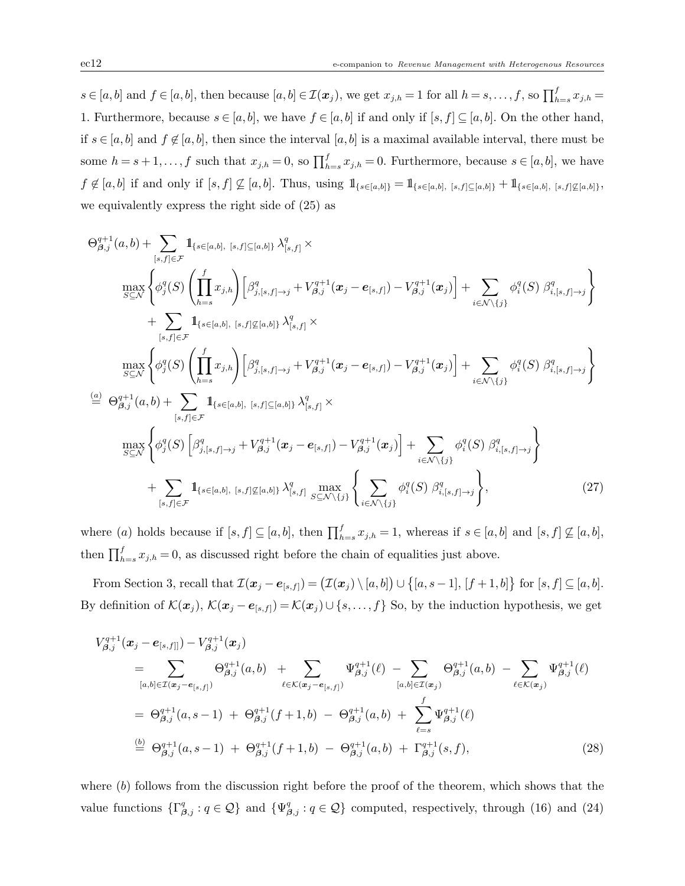$s \in [a, b]$  and  $f \in [a, b]$ , then because  $[a, b] \in \mathcal{I}(\boldsymbol{x}_j)$ , we get  $x_{j,h} = 1$  for all  $h = s, \ldots, f$ , so  $\prod_{h=s}^{f} x_{j,h} =$ 1. Furthermore, because  $s \in [a, b]$ , we have  $f \in [a, b]$  if and only if  $[s, f] \subseteq [a, b]$ . On the other hand, if  $s \in [a, b]$  and  $f \notin [a, b]$ , then since the interval  $[a, b]$  is a maximal available interval, there must be some  $h = s + 1, \ldots, f$  such that  $x_{j,h} = 0$ , so  $\prod_{h=s}^{f} x_{j,h} = 0$ . Furthermore, because  $s \in [a, b]$ , we have  $f \not\in [a, b]$  if and only if  $[s, f] \not\subseteq [a, b]$ . Thus, using  $1\!\!1_{\{s \in [a, b]\}} = 1\!\!1_{\{s \in [a, b], [s, f] \subseteq [a, b]\}} + 1\!\!1_{\{s \in [a, b], [s, f] \not\subseteq [a, b]\}}$ we equivalently express the right side of (25) as

$$
\Theta_{\beta,j}^{q+1}(a,b)+\sum_{[s,f]\in\mathcal{F}}\mathbf{1}_{\{s\in[a,b], [s,f]\subseteq[a,b]\}}\lambda_{[s,f]}^q\times \\
\max_{S\subseteq\mathcal{N}}\left\{\phi_j^q(S)\left(\prod_{h=s}^f x_{j,h}\right)\left[\beta_{j,[s,f]\to j}^q + V_{\beta,j}^{q+1}(x_j - e_{[s,f]}) - V_{\beta,j}^{q+1}(x_j)\right] + \sum_{i\in\mathcal{N}\backslash\{j\}}\phi_i^q(S)\beta_{i,[s,f]\to j}^q\right\} \\
+\sum_{[s,f]\in\mathcal{F}}\mathbf{1}_{\{s\in[a,b], [s,f]\not\subseteq[a,b]\}}\lambda_{[s,f]}^q\times \\
\max_{S\subseteq\mathcal{N}}\left\{\phi_j^q(S)\left(\prod_{h=s}^f x_{j,h}\right)\left[\beta_{j,[s,f]\to j}^q + V_{\beta,j}^{q+1}(x_j - e_{[s,f]}) - V_{\beta,j}^{q+1}(x_j)\right] + \sum_{i\in\mathcal{N}\backslash\{j\}}\phi_i^q(S)\beta_{i,[s,f]\to j}^q\right\} \\
\stackrel{(a)}{=} \Theta_{\beta,j}^{q+1}(a,b)+\sum_{[s,f]\in\mathcal{F}}\mathbf{1}_{\{s\in[a,b], [s,f]\subseteq[a,b]\}}\lambda_{[s,f]}^q\times \\
\max_{S\subseteq\mathcal{N}}\left\{\phi_j^q(S)\left[\beta_{j,[s,f]\to j}^q + V_{\beta,j}^{q+1}(x_j - e_{[s,f]}) - V_{\beta,j}^{q+1}(x_j)\right] + \sum_{i\in\mathcal{N}\backslash\{j\}}\phi_i^q(S)\beta_{i,[s,f]\to j}^q\right\} \\
+\sum_{[s,f]\in\mathcal{F}}\mathbf{1}_{\{s\in[a,b], [s,f]\not\subseteq[a,b]\}}\lambda_{[s,f]}^q\max_{S\subseteq\mathcal{N}\backslash\{j\}}\left\{\sum_{i\in\mathcal{N}\backslash\{j\}}\phi_i^q(S)\beta_{i,[s,f]\to j}^q\right\},\n\tag{27}
$$

where (a) holds because if  $[s, f] \subseteq [a, b]$ , then  $\prod_{h=s}^{f} x_{j,h} = 1$ , whereas if  $s \in [a, b]$  and  $[s, f] \not\subseteq [a, b]$ , then  $\prod_{h=s}^{f} x_{j,h} = 0$ , as discussed right before the chain of equalities just above.

From Section 3, recall that  $\mathcal{I}(\boldsymbol{x}_j - \boldsymbol{e}_{[s,f]}) = (\mathcal{I}(\boldsymbol{x}_j) \setminus [a,b]) \cup \{[a,s-1], [f+1,b]\}$  for  $[s,f] \subseteq [a,b]$ . By definition of  $\mathcal{K}(\boldsymbol{x}_j), \mathcal{K}(\boldsymbol{x}_j - \boldsymbol{e}_{[s,f]}) = \mathcal{K}(\boldsymbol{x}_j) \cup \{s, \ldots, f\}$  So, by the induction hypothesis, we get

$$
V_{\beta,j}^{q+1}(\boldsymbol{x}_{j} - \boldsymbol{e}_{[s,f]}) - V_{\beta,j}^{q+1}(\boldsymbol{x}_{j})
$$
\n
$$
= \sum_{[a,b] \in \mathcal{I}(\boldsymbol{x}_{j} - \boldsymbol{e}_{[s,f]})} \Theta_{\beta,j}^{q+1}(a,b) + \sum_{\ell \in \mathcal{K}(\boldsymbol{x}_{j} - \boldsymbol{e}_{[s,f]})} \Psi_{\beta,j}^{q+1}(\ell) - \sum_{[a,b] \in \mathcal{I}(\boldsymbol{x}_{j})} \Theta_{\beta,j}^{q+1}(a,b) - \sum_{\ell \in \mathcal{K}(\boldsymbol{x}_{j})} \Psi_{\beta,j}^{q+1}(\ell)
$$
\n
$$
= \Theta_{\beta,j}^{q+1}(a,s-1) + \Theta_{\beta,j}^{q+1}(f+1,b) - \Theta_{\beta,j}^{q+1}(a,b) + \sum_{\ell=s}^{f} \Psi_{\beta,j}^{q+1}(\ell)
$$
\n
$$
\stackrel{\text{(b)}}{=} \Theta_{\beta,j}^{q+1}(a,s-1) + \Theta_{\beta,j}^{q+1}(f+1,b) - \Theta_{\beta,j}^{q+1}(a,b) + \Gamma_{\beta,j}^{q+1}(s,f), \tag{28}
$$

where (b) follows from the discussion right before the proof of the theorem, which shows that the value functions  $\{\Gamma_{\beta,j}^q : q \in \mathcal{Q}\}\$  and  $\{\Psi_{\beta,j}^q : q \in \mathcal{Q}\}\$  computed, respectively, through (16) and (24)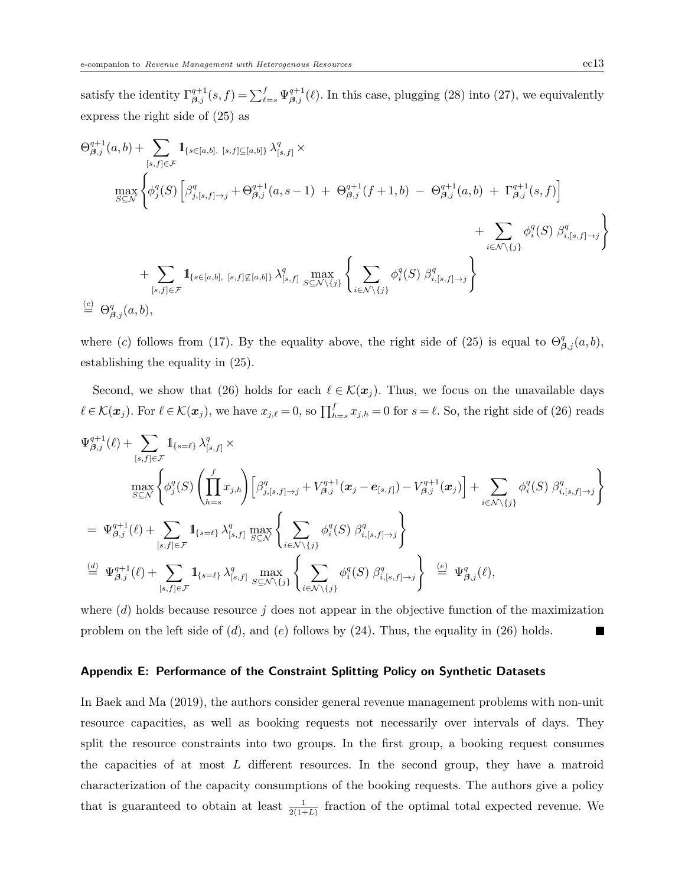satisfy the identity  $\Gamma_{\beta,j}^{q+1}(s,f) = \sum_{\ell=s}^{f} \Psi_{\beta,j}^{q+1}(\ell)$ . In this case, plugging (28) into (27), we equivalently express the right side of (25) as

$$
\Theta_{\beta,j}^{q+1}(a,b) + \sum_{[s,f]\in\mathcal{F}} \mathbb{1}_{\{s\in[a,b], [s,f]\subseteq[a,b]\}} \lambda_{[s,f]}^q \times
$$
\n
$$
\max_{S\subseteq\mathcal{N}} \left\{ \phi_j^q(S) \left[ \beta_{j,[s,f]\to j}^q + \Theta_{\beta,j}^{q+1}(a,s-1) + \Theta_{\beta,j}^{q+1}(f+1,b) - \Theta_{\beta,j}^{q+1}(a,b) + \Gamma_{\beta,j}^{q+1}(s,f) \right] + \sum_{i\in\mathcal{N}\backslash\{j\}} \phi_i^q(S) \beta_{i,[s,f]\to j}^q \right\}
$$
\n
$$
+ \sum_{[s,f]\in\mathcal{F}} \mathbb{1}_{\{s\in[a,b], [s,f]\not\subseteq[a,b]\}} \lambda_{[s,f]}^q \max_{S\subseteq\mathcal{N}\backslash\{j\}} \left\{ \sum_{i\in\mathcal{N}\backslash\{j\}} \phi_i^q(S) \beta_{i,[s,f]\to j}^q \right\}
$$
\n
$$
\stackrel{(c)}{=} \Theta_{\beta,j}^q(a,b),
$$

where (c) follows from (17). By the equality above, the right side of (25) is equal to  $\Theta_{\beta,j}^q(a,b)$ , establishing the equality in (25).

Second, we show that (26) holds for each  $\ell \in \mathcal{K}(x_j)$ . Thus, we focus on the unavailable days  $\ell \in \mathcal{K}(\boldsymbol{x}_j)$ . For  $\ell \in \mathcal{K}(\boldsymbol{x}_j)$ , we have  $x_{j,\ell} = 0$ , so  $\prod_{h=s}^f x_{j,h} = 0$  for  $s = \ell$ . So, the right side of (26) reads

$$
\Psi_{\beta,j}^{q+1}(\ell) + \sum_{[s,f]\in\mathcal{F}} \mathbb{1}_{\{s=\ell\}} \lambda_{[s,f]}^q \times \n\max_{S\subseteq\mathcal{N}} \left\{ \phi_j^q(S) \left( \prod_{h=s}^f x_{j,h} \right) \left[ \beta_{j,[s,f]\to j}^q + V_{\beta,j}^{q+1}(\boldsymbol{x}_j - \boldsymbol{e}_{[s,f]}) - V_{\beta,j}^{q+1}(\boldsymbol{x}_j) \right] + \sum_{i\in\mathcal{N}\backslash\{j\}} \phi_i^q(S) \beta_{i,[s,f]\to j}^q \right\} \n= \Psi_{\beta,j}^{q+1}(\ell) + \sum_{[s,f]\in\mathcal{F}} \mathbb{1}_{\{s=\ell\}} \lambda_{[s,f]}^q \max_{S\subseteq\mathcal{N}} \left\{ \sum_{i\in\mathcal{N}\backslash\{j\}} \phi_i^q(S) \beta_{i,[s,f]\to j}^q \right\} \n\stackrel{(d)}{=} \Psi_{\beta,j}^{q+1}(\ell) + \sum_{[s,f]\in\mathcal{F}} \mathbb{1}_{\{s=\ell\}} \lambda_{[s,f]}^q \max_{S\subseteq\mathcal{N}\backslash\{j\}} \left\{ \sum_{i\in\mathcal{N}\backslash\{j\}} \phi_i^q(S) \beta_{i,[s,f]\to j}^q \right\} \stackrel{(e)}{=} \Psi_{\beta,j}^q(\ell),
$$

where  $(d)$  holds because resource j does not appear in the objective function of the maximization problem on the left side of  $(d)$ , and  $(e)$  follows by  $(24)$ . Thus, the equality in  $(26)$  holds.

## Appendix E: Performance of the Constraint Splitting Policy on Synthetic Datasets

In Baek and Ma (2019), the authors consider general revenue management problems with non-unit resource capacities, as well as booking requests not necessarily over intervals of days. They split the resource constraints into two groups. In the first group, a booking request consumes the capacities of at most L different resources. In the second group, they have a matroid characterization of the capacity consumptions of the booking requests. The authors give a policy that is guaranteed to obtain at least  $\frac{1}{2(1+L)}$  fraction of the optimal total expected revenue. We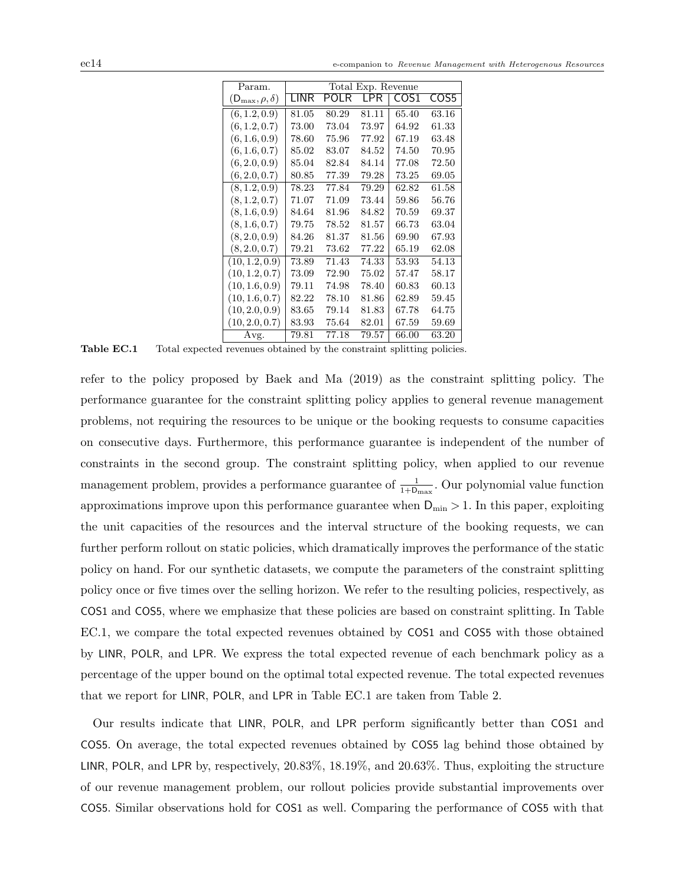| Param.                     |       |       | Total Exp. Revenue |       |       |
|----------------------------|-------|-------|--------------------|-------|-------|
| $(D_{\max}, \rho, \delta)$ | I INR | POLR  | I PR               | COS1  | COS5  |
| (6, 1.2, 0.9)              | 81.05 | 80.29 | 81.11              | 65.40 | 63.16 |
| (6, 1.2, 0.7)              | 73.00 | 73.04 | 73.97              | 64.92 | 61.33 |
| (6, 1.6, 0.9)              | 78.60 | 75.96 | 77.92              | 67.19 | 63.48 |
| (6, 1.6, 0.7)              | 85.02 | 83.07 | 84.52              | 74.50 | 70.95 |
| (6, 2.0, 0.9)              | 85.04 | 82.84 | 84.14              | 77.08 | 72.50 |
| (6, 2.0, 0.7)              | 80.85 | 77.39 | 79.28              | 73.25 | 69.05 |
| (8, 1.2, 0.9)              | 78.23 | 77.84 | 79.29              | 62.82 | 61.58 |
| (8, 1.2, 0.7)              | 71.07 | 71.09 | 73.44              | 59.86 | 56.76 |
| (8, 1.6, 0.9)              | 84.64 | 81.96 | 84.82              | 70.59 | 69.37 |
| (8, 1.6, 0.7)              | 79.75 | 78.52 | 81.57              | 66.73 | 63.04 |
| (8, 2.0, 0.9)              | 84.26 | 81.37 | 81.56              | 69.90 | 67.93 |
| (8, 2.0, 0.7)              | 79.21 | 73.62 | 77.22              | 65.19 | 62.08 |
| (10, 1.2, 0.9)             | 73.89 | 71.43 | 74.33              | 53.93 | 54.13 |
| (10, 1.2, 0.7)             | 73.09 | 72.90 | 75.02              | 57.47 | 58.17 |
| (10, 1.6, 0.9)             | 79.11 | 74.98 | 78.40              | 60.83 | 60.13 |
| (10, 1.6, 0.7)             | 82.22 | 78.10 | 81.86              | 62.89 | 59.45 |
| (10, 2.0, 0.9)             | 83.65 | 79.14 | 81.83              | 67.78 | 64.75 |
| (10, 2.0, 0.7)             | 83.93 | 75.64 | 82.01              | 67.59 | 59.69 |
| Avg.                       | 79.81 | 77.18 | 79.57              | 66.00 | 63.20 |

Table EC.1 Total expected revenues obtained by the constraint splitting policies.

refer to the policy proposed by Baek and Ma (2019) as the constraint splitting policy. The performance guarantee for the constraint splitting policy applies to general revenue management problems, not requiring the resources to be unique or the booking requests to consume capacities on consecutive days. Furthermore, this performance guarantee is independent of the number of constraints in the second group. The constraint splitting policy, when applied to our revenue management problem, provides a performance guarantee of  $\frac{1}{1+D_{\text{max}}}$ . Our polynomial value function approximations improve upon this performance guarantee when  $D_{\min} > 1$ . In this paper, exploiting the unit capacities of the resources and the interval structure of the booking requests, we can further perform rollout on static policies, which dramatically improves the performance of the static policy on hand. For our synthetic datasets, we compute the parameters of the constraint splitting policy once or five times over the selling horizon. We refer to the resulting policies, respectively, as COS1 and COS5, where we emphasize that these policies are based on constraint splitting. In Table EC.1, we compare the total expected revenues obtained by COS1 and COS5 with those obtained by LINR, POLR, and LPR. We express the total expected revenue of each benchmark policy as a percentage of the upper bound on the optimal total expected revenue. The total expected revenues that we report for LINR, POLR, and LPR in Table EC.1 are taken from Table 2.

Our results indicate that LINR, POLR, and LPR perform significantly better than COS1 and COS5. On average, the total expected revenues obtained by COS5 lag behind those obtained by LINR, POLR, and LPR by, respectively, 20.83%, 18.19%, and 20.63%. Thus, exploiting the structure of our revenue management problem, our rollout policies provide substantial improvements over COS5. Similar observations hold for COS1 as well. Comparing the performance of COS5 with that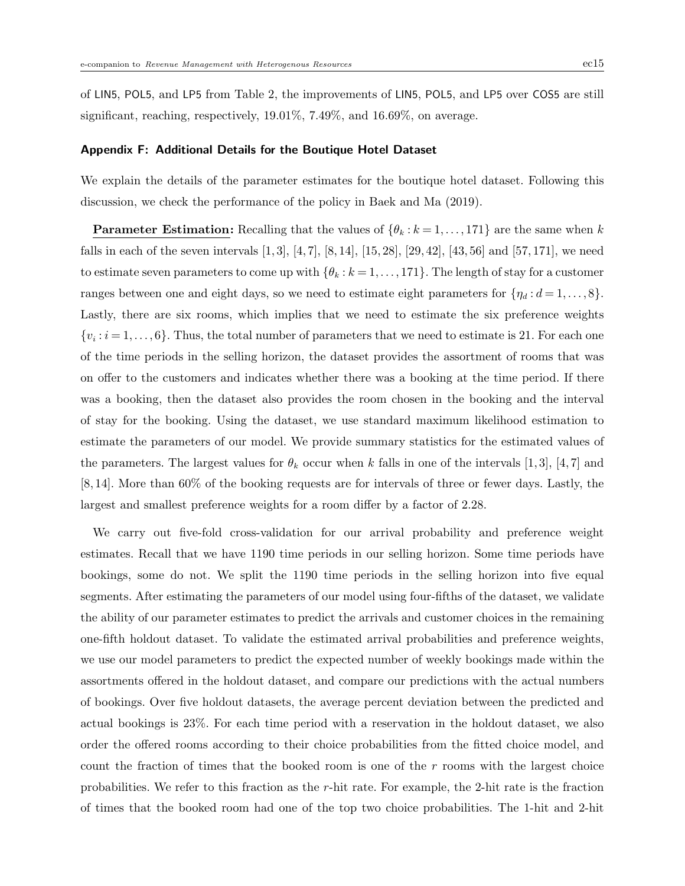of LIN5, POL5, and LP5 from Table 2, the improvements of LIN5, POL5, and LP5 over COS5 are still significant, reaching, respectively, 19.01%, 7.49%, and 16.69%, on average.

#### Appendix F: Additional Details for the Boutique Hotel Dataset

We explain the details of the parameter estimates for the boutique hotel dataset. Following this discussion, we check the performance of the policy in Baek and Ma (2019).

**Parameter Estimation:** Recalling that the values of  $\{\theta_k : k = 1, \ldots, 171\}$  are the same when k falls in each of the seven intervals  $[1, 3]$ ,  $[4, 7]$ ,  $[8, 14]$ ,  $[15, 28]$ ,  $[29, 42]$ ,  $[43, 56]$  and  $[57, 171]$ , we need to estimate seven parameters to come up with  $\{\theta_k : k = 1, \ldots, 171\}$ . The length of stay for a customer ranges between one and eight days, so we need to estimate eight parameters for  $\{\eta_d : d = 1, \ldots, 8\}$ . Lastly, there are six rooms, which implies that we need to estimate the six preference weights  $\{v_i: i=1,\ldots,6\}$ . Thus, the total number of parameters that we need to estimate is 21. For each one of the time periods in the selling horizon, the dataset provides the assortment of rooms that was on offer to the customers and indicates whether there was a booking at the time period. If there was a booking, then the dataset also provides the room chosen in the booking and the interval of stay for the booking. Using the dataset, we use standard maximum likelihood estimation to estimate the parameters of our model. We provide summary statistics for the estimated values of the parameters. The largest values for  $\theta_k$  occur when k falls in one of the intervals [1, 3], [4, 7] and [8, 14]. More than 60% of the booking requests are for intervals of three or fewer days. Lastly, the largest and smallest preference weights for a room differ by a factor of 2.28.

We carry out five-fold cross-validation for our arrival probability and preference weight estimates. Recall that we have 1190 time periods in our selling horizon. Some time periods have bookings, some do not. We split the 1190 time periods in the selling horizon into five equal segments. After estimating the parameters of our model using four-fifths of the dataset, we validate the ability of our parameter estimates to predict the arrivals and customer choices in the remaining one-fifth holdout dataset. To validate the estimated arrival probabilities and preference weights, we use our model parameters to predict the expected number of weekly bookings made within the assortments offered in the holdout dataset, and compare our predictions with the actual numbers of bookings. Over five holdout datasets, the average percent deviation between the predicted and actual bookings is 23%. For each time period with a reservation in the holdout dataset, we also order the offered rooms according to their choice probabilities from the fitted choice model, and count the fraction of times that the booked room is one of the  $r$  rooms with the largest choice probabilities. We refer to this fraction as the r-hit rate. For example, the 2-hit rate is the fraction of times that the booked room had one of the top two choice probabilities. The 1-hit and 2-hit